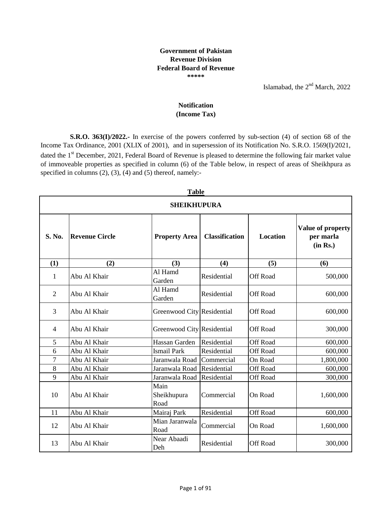## **Government of Pakistan Revenue Division Federal Board of Revenue \*\*\*\*\***

Islamabad, the  $2<sup>nd</sup>$  March, 2022

## **(Income Tax) Notification**

**S.R.O. 363(I)/2022.-** In exercise of the powers conferred by sub-section (4) of section 68 of the Income Tax Ordinance, 2001 (XLIX of 2001), and in supersession of its Notification No. S.R.O. 1569(I)/2021, dated the 1<sup>st</sup> December, 2021, Federal Board of Revenue is pleased to determine the following fair market value of immoveable properties as specified in column (6) of the Table below, in respect of areas of Sheikhpura as specified in columns (2), (3), (4) and (5) thereof, namely:-

|                | 1 avit<br><b>SHEIKHUPURA</b> |                             |                       |                 |                                            |  |  |  |  |
|----------------|------------------------------|-----------------------------|-----------------------|-----------------|--------------------------------------------|--|--|--|--|
| S. No.         | <b>Revenue Circle</b>        | <b>Property Area</b>        | <b>Classification</b> | <b>Location</b> | Value of property<br>per marla<br>(in Rs.) |  |  |  |  |
| (1)            | (2)                          | (3)                         | (4)                   | (5)             | (6)                                        |  |  |  |  |
| 1              | Abu Al Khair                 | Al Hamd<br>Garden           | Residential           | <b>Off Road</b> | 500,000                                    |  |  |  |  |
| $\overline{2}$ | Abu Al Khair                 | Al Hamd<br>Garden           | Residential           | <b>Off Road</b> | 600,000                                    |  |  |  |  |
| 3              | Abu Al Khair                 | Greenwood City Residential  |                       | <b>Off Road</b> | 600,000                                    |  |  |  |  |
| 4              | Abu Al Khair                 | Greenwood City Residential  |                       | <b>Off Road</b> | 300,000                                    |  |  |  |  |
| 5              | Abu Al Khair                 | Hassan Garden               | Residential           | <b>Off Road</b> | 600,000                                    |  |  |  |  |
| 6              | Abu Al Khair                 | <b>Ismail Park</b>          | Residential           | <b>Off Road</b> | 600,000                                    |  |  |  |  |
| 7              | Abu Al Khair                 | Jaranwala Road              | Commercial            | On Road         | 1,800,000                                  |  |  |  |  |
| 8              | Abu Al Khair                 | Jaranwala Road Residential  |                       | <b>Off Road</b> | 600,000                                    |  |  |  |  |
| 9              | Abu Al Khair                 | Jaranwala Road              | Residential           | <b>Off Road</b> | 300,000                                    |  |  |  |  |
| 10             | Abu Al Khair                 | Main<br>Sheikhupura<br>Road | Commercial            | On Road         | 1,600,000                                  |  |  |  |  |
| 11             | Abu Al Khair                 | Mairaj Park                 | Residential           | <b>Off Road</b> | 600,000                                    |  |  |  |  |
| 12             | Abu Al Khair                 | Mian Jaranwala<br>Road      | Commercial            | On Road         | 1,600,000                                  |  |  |  |  |
| 13             | Abu Al Khair                 | Near Abaadi<br>Deh          | Residential           | <b>Off Road</b> | 300,000                                    |  |  |  |  |

## **Table**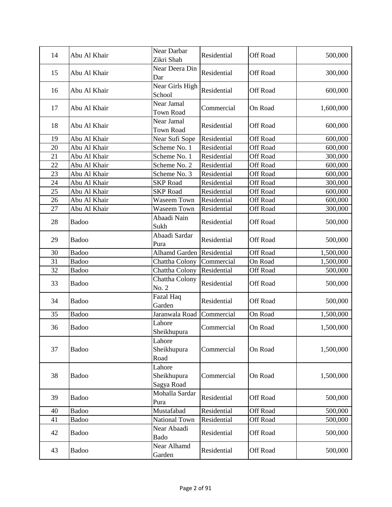| 14 | Abu Al Khair | Near Darbar<br>Zikri Shah           | Residential | Off Road        | 500,000   |
|----|--------------|-------------------------------------|-------------|-----------------|-----------|
| 15 | Abu Al Khair | Near Deera Din<br>Dar               | Residential | Off Road        | 300,000   |
| 16 | Abu Al Khair | Near Girls High<br>School           | Residential | Off Road        | 600,000   |
| 17 | Abu Al Khair | Near Jamal<br><b>Town Road</b>      | Commercial  | On Road         | 1,600,000 |
| 18 | Abu Al Khair | Near Jamal<br>Town Road             | Residential | <b>Off Road</b> | 600,000   |
| 19 | Abu Al Khair | Near Sufi Sope                      | Residential | <b>Off Road</b> | 600,000   |
| 20 | Abu Al Khair | Scheme No. 1                        | Residential | Off Road        | 600,000   |
| 21 | Abu Al Khair | Scheme No. 1                        | Residential | <b>Off Road</b> | 300,000   |
| 22 | Abu Al Khair | Scheme No. 2                        | Residential | <b>Off Road</b> | 600,000   |
| 23 | Abu Al Khair | Scheme No. 3                        | Residential | <b>Off Road</b> | 600,000   |
| 24 | Abu Al Khair | <b>SKP</b> Road                     | Residential | <b>Off Road</b> | 300,000   |
| 25 | Abu Al Khair | <b>SKP</b> Road                     | Residential | <b>Off Road</b> | 600,000   |
| 26 | Abu Al Khair | <b>Waseem Town</b>                  | Residential | <b>Off Road</b> | 600,000   |
| 27 | Abu Al Khair | <b>Waseem Town</b>                  | Residential | Off Road        | 300,000   |
| 28 | Badoo        | Abaadi Nain<br>Sukh                 | Residential | Off Road        | 500,000   |
| 29 | Badoo        | Abaadi Sardar<br>Pura               | Residential | Off Road        | 500,000   |
| 30 | Badoo        | <b>Alhamd Garden</b>                | Residential | <b>Off Road</b> | 1,500,000 |
| 31 | Badoo        | Chattha Colony                      | Commercial  | On Road         | 1,500,000 |
| 32 | Badoo        | Chattha Colony                      | Residential | Off Road        | 500,000   |
| 33 | Badoo        | Chattha Colony<br>No. 2             | Residential | Off Road        | 500,000   |
| 34 | Badoo        | Fazal Haq<br>Garden                 | Residential | Off Road        | 500,000   |
| 35 | Badoo        | Jaranwala Road                      | Commercial  | On Road         | 1,500,000 |
| 36 | Badoo        | Lahore<br>Sheikhupura               | Commercial  | On Road         | 1,500,000 |
| 37 | Badoo        | Lahore<br>Sheikhupura<br>Road       | Commercial  | On Road         | 1,500,000 |
| 38 | Badoo        | Lahore<br>Sheikhupura<br>Sagya Road | Commercial  | On Road         | 1,500,000 |
| 39 | Badoo        | Mohalla Sardar<br>Pura              | Residential | Off Road        | 500,000   |
| 40 | Badoo        | Mustafabad                          | Residential | <b>Off Road</b> | 500,000   |
| 41 | Badoo        | National Town                       | Residential | Off Road        | 500,000   |
| 42 | Badoo        | Near Abaadi<br>Bado                 | Residential | <b>Off Road</b> | 500,000   |
| 43 | Badoo        | Near Alhamd<br>Garden               | Residential | Off Road        | 500,000   |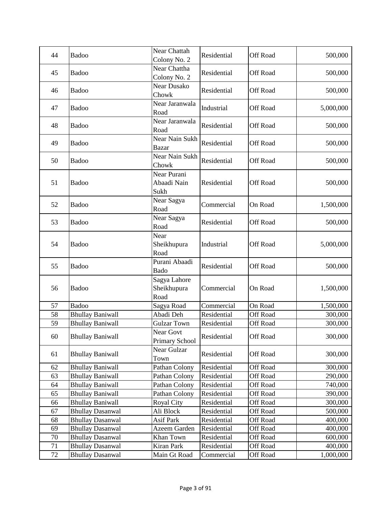| 44 | Badoo                   | Near Chattah<br>Colony No. 2        | Residential | <b>Off Road</b> | 500,000   |
|----|-------------------------|-------------------------------------|-------------|-----------------|-----------|
| 45 | Badoo                   | Near Chattha<br>Colony No. 2        | Residential | <b>Off Road</b> | 500,000   |
| 46 | Badoo                   | Near Dusako<br>Chowk                | Residential | <b>Off Road</b> | 500,000   |
| 47 | Badoo                   | Near Jaranwala<br>Road              | Industrial  | Off Road        | 5,000,000 |
| 48 | Badoo                   | Near Jaranwala<br>Road              | Residential | Off Road        | 500,000   |
| 49 | Badoo                   | Near Nain Sukh<br><b>Bazar</b>      | Residential | Off Road        | 500,000   |
| 50 | Badoo                   | Near Nain Sukh<br>Chowk             | Residential | Off Road        | 500,000   |
| 51 | Badoo                   | Near Purani<br>Abaadi Nain<br>Sukh  | Residential | Off Road        | 500,000   |
| 52 | Badoo                   | Near Sagya<br>Road                  | Commercial  | On Road         | 1,500,000 |
| 53 | Badoo                   | Near Sagya<br>Road                  | Residential | Off Road        | 500,000   |
| 54 | Badoo                   | Near<br>Sheikhupura<br>Road         | Industrial  | Off Road        | 5,000,000 |
| 55 | Badoo                   | Purani Abaadi<br>Bado               | Residential | Off Road        | 500,000   |
| 56 | Badoo                   | Sagya Lahore<br>Sheikhupura<br>Road | Commercial  | On Road         | 1,500,000 |
| 57 | Badoo                   | Sagya Road                          | Commercial  | On Road         | 1,500,000 |
| 58 | <b>Bhullay Baniwall</b> | Abadi Deh                           | Residential | <b>Off Road</b> | 300,000   |
| 59 | <b>Bhullay Baniwall</b> | <b>Gulzar Town</b>                  | Residential | <b>Off Road</b> | 300,000   |
| 60 | <b>Bhullay Baniwall</b> | Near Govt<br><b>Primary School</b>  | Residential | Off Road        | 300,000   |
| 61 | <b>Bhullay Baniwall</b> | Near Gulzar<br>Town                 | Residential | Off Road        | 300,000   |
| 62 | <b>Bhullay Baniwall</b> | Pathan Colony                       | Residential | Off Road        | 300,000   |
| 63 | <b>Bhullay Baniwall</b> | Pathan Colony                       | Residential | <b>Off Road</b> | 290,000   |
| 64 | <b>Bhullay Baniwall</b> | Pathan Colony                       | Residential | <b>Off Road</b> | 740,000   |
| 65 | <b>Bhullay Baniwall</b> | Pathan Colony                       | Residential | Off Road        | 390,000   |
| 66 | <b>Bhullay Baniwall</b> | <b>Royal City</b>                   | Residential | <b>Off Road</b> | 300,000   |
| 67 | <b>Bhullay Dasanwal</b> | Ali Block                           | Residential | <b>Off Road</b> | 500,000   |
| 68 | <b>Bhullay Dasanwal</b> | <b>Asif Park</b>                    | Residential | Off Road        | 400,000   |
| 69 | <b>Bhullay Dasanwal</b> | Azeem Garden                        | Residential | <b>Off Road</b> | 400,000   |
| 70 | <b>Bhullay Dasanwal</b> | Khan Town                           | Residential | <b>Off Road</b> | 600,000   |
| 71 | <b>Bhullay Dasanwal</b> | Kiran Park                          | Residential | Off Road        | 400,000   |
| 72 | <b>Bhullay Dasanwal</b> | Main Gt Road                        | Commercial  | Off Road        | 1,000,000 |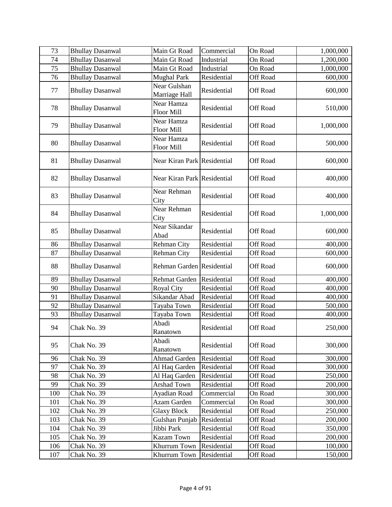| 73  | <b>Bhullay Dasanwal</b> | Main Gt Road                    | Commercial  | On Road         | 1,000,000 |
|-----|-------------------------|---------------------------------|-------------|-----------------|-----------|
| 74  | <b>Bhullay Dasanwal</b> | Main Gt Road                    | Industrial  | On Road         | 1,200,000 |
| 75  | <b>Bhullay Dasanwal</b> | Main Gt Road                    | Industrial  | On Road         | 1,000,000 |
| 76  | <b>Bhullay Dasanwal</b> | <b>Mughal Park</b>              | Residential | Off Road        | 600,000   |
| 77  | <b>Bhullay Dasanwal</b> | Near Gulshan<br>Marriage Hall   | Residential | Off Road        | 600,000   |
| 78  | <b>Bhullay Dasanwal</b> | Near Hamza<br><b>Floor Mill</b> | Residential | Off Road        | 510,000   |
| 79  | <b>Bhullay Dasanwal</b> | Near Hamza<br>Floor Mill        | Residential | Off Road        | 1,000,000 |
| 80  | <b>Bhullay Dasanwal</b> | Near Hamza<br><b>Floor Mill</b> | Residential | Off Road        | 500,000   |
| 81  | <b>Bhullay Dasanwal</b> | Near Kiran Park Residential     |             | Off Road        | 600,000   |
| 82  | <b>Bhullay Dasanwal</b> | Near Kiran Park Residential     |             | Off Road        | 400,000   |
| 83  | <b>Bhullay Dasanwal</b> | Near Rehman<br>City             | Residential | Off Road        | 400,000   |
| 84  | <b>Bhullay Dasanwal</b> | Near Rehman<br>City             | Residential | <b>Off Road</b> | 1,000,000 |
| 85  | <b>Bhullay Dasanwal</b> | Near Sikandar<br>Abad           | Residential | Off Road        | 600,000   |
| 86  | <b>Bhullay Dasanwal</b> | Rehman City                     | Residential | <b>Off Road</b> | 400,000   |
| 87  | <b>Bhullay Dasanwal</b> | Rehman City                     | Residential | <b>Off Road</b> | 600,000   |
| 88  | <b>Bhullay Dasanwal</b> | Rehman Garden Residential       |             | Off Road        | 600,000   |
| 89  | <b>Bhullay Dasanwal</b> | Rehmat Garden                   | Residential | <b>Off Road</b> | 400,000   |
| 90  | <b>Bhullay Dasanwal</b> | <b>Royal City</b>               | Residential | <b>Off Road</b> | 400,000   |
| 91  | <b>Bhullay Dasanwal</b> | Sikandar Abad                   | Residential | Off Road        | 400,000   |
| 92  | <b>Bhullay Dasanwal</b> | Tayaba Town                     | Residential | Off Road        | 500,000   |
| 93  | <b>Bhullay Dasanwal</b> | Tayaba Town                     | Residential | <b>Off Road</b> | 400,000   |
| 94  | Chak No. 39             | Abadi<br>Ranatown               | Residential | Off Road        | 250,000   |
| 95  | Chak No. 39             | Abadi<br>Ranatown               | Residential | Off Road        | 300,000   |
| 96  | Chak No. 39             | Ahmad Garden                    | Residential | Off Road        | 300,000   |
| 97  | Chak No. 39             | Al Haq Garden                   | Residential | <b>Off Road</b> | 300,000   |
| 98  | Chak No. 39             | Al Haq Garden                   | Residential | <b>Off Road</b> | 250,000   |
| 99  | Chak No. 39             | Arshad Town                     | Residential | Off Road        | 200,000   |
| 100 | Chak No. 39             | Ayadian Road                    | Commercial  | On Road         | 300,000   |
| 101 | Chak No. 39             | Azam Garden                     | Commercial  | On Road         | 300,000   |
| 102 | Chak No. 39             | <b>Glaxy Block</b>              | Residential | <b>Off Road</b> | 250,000   |
| 103 | Chak No. 39             | Gulshan Punjab                  | Residential | Off Road        | 200,000   |
| 104 | Chak No. 39             | Jibbi Park                      | Residential | Off Road        | 350,000   |
| 105 | Chak No. 39             | Kazam Town                      | Residential | <b>Off Road</b> | 200,000   |
| 106 | Chak No. 39             | Khurrum Town                    | Residential | Off Road        | 100,000   |
| 107 | Chak No. 39             | Khurrum Town                    | Residential | Off Road        | 150,000   |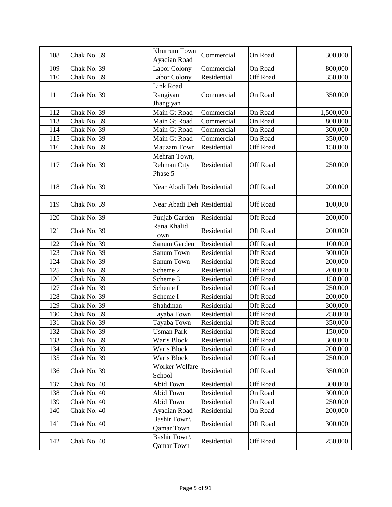| 108 | Chak No. 39 | Khurrum Town<br>Ayadian Road            | Commercial  | On Road         | 300,000   |
|-----|-------------|-----------------------------------------|-------------|-----------------|-----------|
| 109 | Chak No. 39 | Labor Colony                            | Commercial  | On Road         | 800,000   |
| 110 | Chak No. 39 | Labor Colony                            | Residential | <b>Off Road</b> | 350,000   |
|     |             | Link Road                               |             |                 |           |
| 111 | Chak No. 39 | Rangiyan                                | Commercial  | On Road         | 350,000   |
|     |             | Jhangiyan                               |             |                 |           |
| 112 | Chak No. 39 | Main Gt Road                            | Commercial  | On Road         | 1,500,000 |
| 113 | Chak No. 39 | Main Gt Road                            | Commercial  | On Road         | 800,000   |
| 114 | Chak No. 39 | Main Gt Road                            | Commercial  | On Road         | 300,000   |
| 115 | Chak No. 39 | Main Gt Road                            | Commercial  | On Road         | 350,000   |
| 116 | Chak No. 39 | Mauzam Town                             | Residential | Off Road        | 150,000   |
| 117 | Chak No. 39 | Mehran Town,<br>Rehman City<br>Phase 5  | Residential | Off Road        | 250,000   |
| 118 | Chak No. 39 | Near Abadi Deh Residential              |             | Off Road        | 200,000   |
| 119 | Chak No. 39 | Near Abadi Deh Residential              |             | Off Road        | 100,000   |
| 120 | Chak No. 39 | Punjab Garden                           | Residential | Off Road        | 200,000   |
| 121 | Chak No. 39 | Rana Khalid<br>Town                     | Residential | Off Road        | 200,000   |
| 122 | Chak No. 39 | Sanum Garden                            | Residential | Off Road        | 100,000   |
| 123 | Chak No. 39 | Sanum Town                              | Residential | Off Road        | 300,000   |
| 124 | Chak No. 39 | Sanum Town                              | Residential | <b>Off Road</b> | 200,000   |
| 125 | Chak No. 39 | Scheme 2                                | Residential | Off Road        | 200,000   |
| 126 | Chak No. 39 | Scheme 3                                | Residential | Off Road        | 150,000   |
| 127 | Chak No. 39 | Scheme I                                | Residential | Off Road        | 250,000   |
| 128 | Chak No. 39 | Scheme I                                | Residential | Off Road        | 200,000   |
| 129 | Chak No. 39 | Shahdman                                | Residential | Off Road        | 300,000   |
| 130 | Chak No. 39 | Tayaba Town                             | Residential | Off Road        | 250,000   |
| 131 | Chak No. 39 | Tayaba Town                             | Residential | <b>Off Road</b> | 350,000   |
| 132 | Chak No. 39 | <b>Usman Park</b>                       | Residential | Off Road        | 150,000   |
| 133 | Chak No. 39 | Waris Block                             | Residential | Off Road        | 300,000   |
| 134 | Chak No. 39 | Waris Block                             | Residential | Off Road        | 200,000   |
| 135 | Chak No. 39 | Waris Block                             | Residential | <b>Off Road</b> | 250,000   |
| 136 | Chak No. 39 | Worker Welfare<br>School                | Residential | Off Road        | 350,000   |
| 137 | Chak No. 40 | Abid Town                               | Residential | Off Road        | 300,000   |
| 138 | Chak No. 40 | Abid Town                               | Residential | On Road         | 300,000   |
| 139 | Chak No. 40 | Abid Town                               | Residential | On Road         | 250,000   |
| 140 | Chak No. 40 | Ayadian Road                            | Residential | On Road         | 200,000   |
| 141 | Chak No. 40 | <b>Bashir Town</b><br><b>Qamar Town</b> | Residential | Off Road        | 300,000   |
| 142 | Chak No. 40 | Bashir Town\<br><b>Qamar Town</b>       | Residential | Off Road        | 250,000   |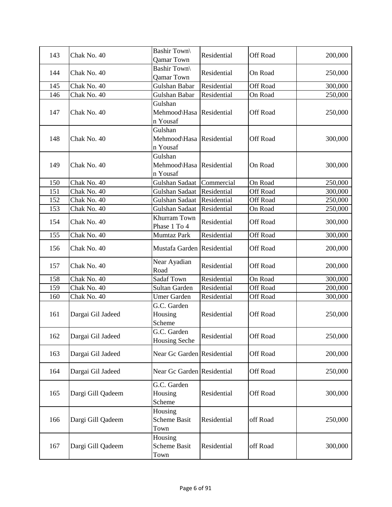| 143 | Chak No. 40       | Bashir Town\<br>Qamar Town                      | Residential | Off Road        | 200,000 |
|-----|-------------------|-------------------------------------------------|-------------|-----------------|---------|
| 144 | Chak No. 40       | <b>Bashir Town\</b><br>Qamar Town               | Residential | On Road         | 250,000 |
| 145 | Chak No. 40       | Gulshan Babar                                   | Residential | Off Road        | 300,000 |
| 146 | Chak No. 40       | Gulshan Babar                                   | Residential | On Road         | 250,000 |
| 147 | Chak No. 40       | Gulshan<br>Mehmood\Hasa Residential<br>n Yousaf |             | <b>Off Road</b> | 250,000 |
| 148 | Chak No. 40       | Gulshan<br>Mehmood\Hasa Residential<br>n Yousaf |             | Off Road        | 300,000 |
| 149 | Chak No. 40       | Gulshan<br>Mehmood\Hasa Residential<br>n Yousaf |             | On Road         | 300,000 |
| 150 | Chak No. 40       | Gulshan Sadaat                                  | Commercial  | On Road         | 250,000 |
| 151 | Chak No. 40       | Gulshan Sadaat                                  | Residential | <b>Off Road</b> | 300,000 |
| 152 | Chak No. 40       | Gulshan Sadaat                                  | Residential | Off Road        | 250,000 |
| 153 | Chak No. 40       | Gulshan Sadaat                                  | Residential | On Road         | 250,000 |
| 154 | Chak No. 40       | Khurram Town<br>Phase 1 To 4                    | Residential | Off Road        | 300,000 |
| 155 | Chak No. 40       | Mumtaz Park                                     | Residential | <b>Off Road</b> | 300,000 |
| 156 | Chak No. 40       | Mustafa Garden Residential                      |             | Off Road        | 200,000 |
| 157 | Chak No. 40       | Near Ayadian<br>Road                            | Residential | Off Road        | 200,000 |
| 158 | Chak No. 40       | <b>Sadaf Town</b>                               | Residential | On Road         | 300,000 |
| 159 | Chak No. 40       | Sultan Garden                                   | Residential | Off Road        | 200,000 |
| 160 | Chak No. 40       | <b>Umer Garden</b>                              | Residential | Off Road        | 300,000 |
| 161 | Dargai Gil Jadeed | G.C. Garden<br>Housing<br>Scheme                | Residential | Off Road        | 250,000 |
| 162 | Dargai Gil Jadeed | G.C. Garden<br><b>Housing Seche</b>             | Residential | Off Road        | 250,000 |
| 163 | Dargai Gil Jadeed | Near Gc Garden Residential                      |             | Off Road        | 200,000 |
| 164 | Dargai Gil Jadeed | Near Gc Garden Residential                      |             | Off Road        | 250,000 |
| 165 | Dargi Gill Qadeem | G.C. Garden<br>Housing<br>Scheme                | Residential | <b>Off Road</b> | 300,000 |
| 166 | Dargi Gill Qadeem | Housing<br>Scheme Basit<br>Town                 | Residential | off Road        | 250,000 |
| 167 | Dargi Gill Qadeem | Housing<br>Scheme Basit<br>Town                 | Residential | off Road        | 300,000 |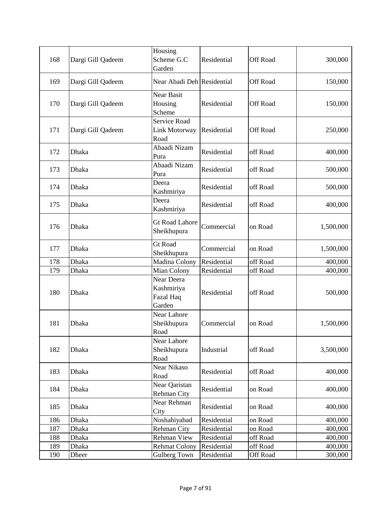| 168 | Dargi Gill Qadeem | Housing<br>Scheme G.C<br>Garden                 | Residential | Off Road | 300,000   |
|-----|-------------------|-------------------------------------------------|-------------|----------|-----------|
| 169 | Dargi Gill Qadeem | Near Abadi Deh Residential                      |             | Off Road | 150,000   |
| 170 | Dargi Gill Qadeem | Near Basit<br>Housing<br>Scheme                 | Residential | Off Road | 150,000   |
| 171 | Dargi Gill Qadeem | Service Road<br>Link Motorway<br>Road           | Residential | Off Road | 250,000   |
| 172 | Dhaka             | Abaadi Nizam<br>Pura                            | Residential | off Road | 400,000   |
| 173 | Dhaka             | Abaadi Nizam<br>Pura                            | Residential | off Road | 500,000   |
| 174 | Dhaka             | Deera<br>Kashmiriya                             | Residential | off Road | 500,000   |
| 175 | Dhaka             | Deera<br>Kashmiriya                             | Residential | off Road | 400,000   |
| 176 | Dhaka             | <b>Gt Road Lahore</b><br>Sheikhupura            | Commercial  | on Road  | 1,500,000 |
| 177 | Dhaka             | <b>Gt Road</b><br>Sheikhupura                   | Commercial  | on Road  | 1,500,000 |
| 178 | Dhaka             | Madina Colony                                   | Residential | off Road | 400,000   |
| 179 | Dhaka             | Mian Colony                                     | Residential | off Road | 400,000   |
| 180 | Dhaka             | Near Deera<br>Kashmiriya<br>Fazal Haq<br>Garden | Residential | off Road | 500,000   |
| 181 | Dhaka             | Near Lahore<br>Sheikhupura<br>Road              | Commercial  | on Road  | 1,500,000 |
| 182 | Dhaka             | Near Lahore<br>Sheikhupura<br>Road              | Industrial  | off Road | 3,500,000 |
| 183 | Dhaka             | Near Nikaso<br>Road                             | Residential | off Road | 400,000   |
| 184 | Dhaka             | Near Qaristan<br>Rehman City                    | Residential | on Road  | 400,000   |
| 185 | Dhaka             | Near Rehman<br>City                             | Residential | on Road  | 400,000   |
| 186 | Dhaka             | Noshahiyabad                                    | Residential | on Road  | 400,000   |
| 187 | Dhaka             | Rehman City                                     | Residential | on Road  | 400,000   |
| 188 | Dhaka             | Rehman View                                     | Residential | off Road | 400,000   |
| 189 | Dhaka             | <b>Rehmat Colony</b>                            | Residential | off Road | 400,000   |
| 190 | Dheer             | Gulberg Town                                    | Residential | Off Road | 300,000   |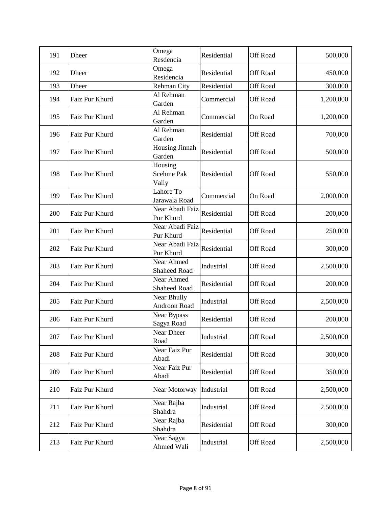| 191 | <b>Dheer</b>   | Omega<br>Resdencia                | Residential | Off Road        | 500,000   |
|-----|----------------|-----------------------------------|-------------|-----------------|-----------|
| 192 | Dheer          | Omega<br>Residencia               | Residential | <b>Off Road</b> | 450,000   |
| 193 | <b>Dheer</b>   | Rehman City                       | Residential | Off Road        | 300,000   |
| 194 | Faiz Pur Khurd | Al Rehman<br>Garden               | Commercial  | <b>Off Road</b> | 1,200,000 |
| 195 | Faiz Pur Khurd | Al Rehman<br>Garden               | Commercial  | On Road         | 1,200,000 |
| 196 | Faiz Pur Khurd | Al Rehman<br>Garden               | Residential | <b>Off Road</b> | 700,000   |
| 197 | Faiz Pur Khurd | <b>Housing Jinnah</b><br>Garden   | Residential | Off Road        | 500,000   |
| 198 | Faiz Pur Khurd | Housing<br>Scehme Pak<br>Vally    | Residential | <b>Off Road</b> | 550,000   |
| 199 | Faiz Pur Khurd | Lahore To<br>Jarawala Road        | Commercial  | On Road         | 2,000,000 |
| 200 | Faiz Pur Khurd | Near Abadi Faiz<br>Pur Khurd      | Residential | Off Road        | 200,000   |
| 201 | Faiz Pur Khurd | Near Abadi Faiz<br>Pur Khurd      | Residential | Off Road        | 250,000   |
| 202 | Faiz Pur Khurd | Near Abadi Faiz<br>Pur Khurd      | Residential | Off Road        | 300,000   |
| 203 | Faiz Pur Khurd | Near Ahmed<br><b>Shaheed Road</b> | Industrial  | Off Road        | 2,500,000 |
| 204 | Faiz Pur Khurd | Near Ahmed<br><b>Shaheed Road</b> | Residential | Off Road        | 200,000   |
| 205 | Faiz Pur Khurd | Near Bhully<br>Androon Road       | Industrial  | Off Road        | 2,500,000 |
| 206 | Faiz Pur Khurd | Near Bypass<br>Sagya Road         | Residential | Off Road        | 200,000   |
| 207 | Faiz Pur Khurd | Near Dheer<br>Road                | Industrial  | Off Road        | 2,500,000 |
| 208 | Faiz Pur Khurd | Near Faiz Pur<br>Abadi            | Residential | Off Road        | 300,000   |
| 209 | Faiz Pur Khurd | Near Faiz Pur<br>Abadi            | Residential | Off Road        | 350,000   |
| 210 | Faiz Pur Khurd | Near Motorway                     | Industrial  | Off Road        | 2,500,000 |
| 211 | Faiz Pur Khurd | Near Rajba<br>Shahdra             | Industrial  | Off Road        | 2,500,000 |
| 212 | Faiz Pur Khurd | Near Rajba<br>Shahdra             | Residential | Off Road        | 300,000   |
| 213 | Faiz Pur Khurd | Near Sagya<br>Ahmed Wali          | Industrial  | Off Road        | 2,500,000 |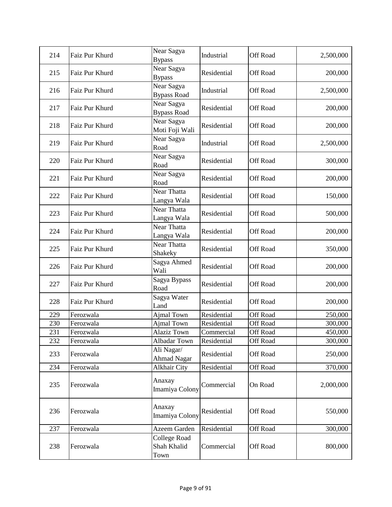| 214 | Faiz Pur Khurd | Near Sagya<br><b>Bypass</b>                | Industrial  | Off Road        | 2,500,000 |
|-----|----------------|--------------------------------------------|-------------|-----------------|-----------|
| 215 | Faiz Pur Khurd | Near Sagya<br><b>Bypass</b>                | Residential | Off Road        | 200,000   |
| 216 | Faiz Pur Khurd | Near Sagya<br><b>Bypass Road</b>           | Industrial  | Off Road        | 2,500,000 |
| 217 | Faiz Pur Khurd | Near Sagya<br><b>Bypass Road</b>           | Residential | Off Road        | 200,000   |
| 218 | Faiz Pur Khurd | Near Sagya<br>Moti Foji Wali               | Residential | Off Road        | 200,000   |
| 219 | Faiz Pur Khurd | Near Sagya<br>Road                         | Industrial  | Off Road        | 2,500,000 |
| 220 | Faiz Pur Khurd | Near Sagya<br>Road                         | Residential | Off Road        | 300,000   |
| 221 | Faiz Pur Khurd | Near Sagya<br>Road                         | Residential | Off Road        | 200,000   |
| 222 | Faiz Pur Khurd | Near Thatta<br>Langya Wala                 | Residential | <b>Off Road</b> | 150,000   |
| 223 | Faiz Pur Khurd | Near Thatta<br>Langya Wala                 | Residential | Off Road        | 500,000   |
| 224 | Faiz Pur Khurd | Near Thatta<br>Langya Wala                 | Residential | Off Road        | 200,000   |
| 225 | Faiz Pur Khurd | Near Thatta<br>Shakeky                     | Residential | <b>Off Road</b> | 350,000   |
| 226 | Faiz Pur Khurd | Sagya Ahmed<br>Wali                        | Residential | Off Road        | 200,000   |
| 227 | Faiz Pur Khurd | Sagya Bypass<br>Road                       | Residential | Off Road        | 200,000   |
| 228 | Faiz Pur Khurd | Sagya Water<br>Land                        | Residential | <b>Off Road</b> | 200,000   |
| 229 | Ferozwala      | Ajmal Town                                 | Residential | <b>Off Road</b> | 250,000   |
| 230 | Ferozwala      | Ajmal Town                                 | Residential | Off Road        | 300,000   |
| 231 | Ferozwala      | <b>Alaziz Town</b>                         | Commercial  | Off Road        | 450,000   |
| 232 | Ferozwala      | Albadar Town                               | Residential | Off Road        | 300,000   |
| 233 | Ferozwala      | Ali Nagar/<br><b>Ahmad Nagar</b>           | Residential | Off Road        | 250,000   |
| 234 | Ferozwala      | <b>Alkhair City</b>                        | Residential | Off Road        | 370,000   |
| 235 | Ferozwala      | Anaxay<br>Imamiya Colony                   | Commercial  | On Road         | 2,000,000 |
| 236 | Ferozwala      | Anaxay<br>Imamiya Colony                   | Residential | Off Road        | 550,000   |
| 237 | Ferozwala      | Azeem Garden                               | Residential | Off Road        | 300,000   |
| 238 | Ferozwala      | <b>College Road</b><br>Shah Khalid<br>Town | Commercial  | Off Road        | 800,000   |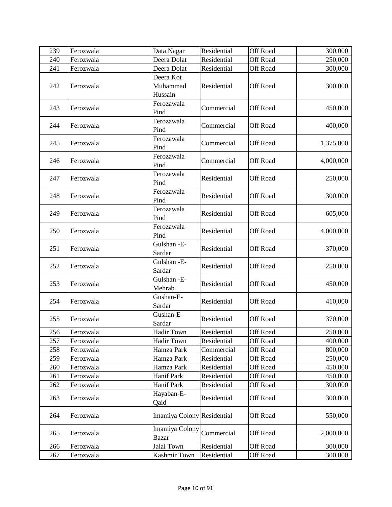| 239        | Ferozwala              | Data Nagar                       | Residential                | Off Road                           | 300,000   |
|------------|------------------------|----------------------------------|----------------------------|------------------------------------|-----------|
| 240        | Ferozwala              | Deera Dolat                      | Residential                | Off Road                           | 250,000   |
| 241        | Ferozwala              | Deera Dolat                      | Residential                | <b>Off Road</b>                    | 300,000   |
| 242        | Ferozwala              | Deera Kot<br>Muhammad<br>Hussain | Residential                | Off Road                           | 300,000   |
| 243        | Ferozwala              | Ferozawala<br>Pind               | Commercial                 | Off Road                           | 450,000   |
| 244        | Ferozwala              | Ferozawala<br>Pind               | Commercial                 | Off Road                           | 400,000   |
| 245        | Ferozwala              | Ferozawala<br>Pind               | Commercial                 | Off Road                           | 1,375,000 |
| 246        | Ferozwala              | Ferozawala<br>Pind               | Commercial                 | Off Road                           | 4,000,000 |
| 247        | Ferozwala              | Ferozawala<br>Pind               | Residential                | Off Road                           | 250,000   |
| 248        | Ferozwala              | Ferozawala<br>Pind               | Residential                | Off Road                           | 300,000   |
| 249        | Ferozwala              | Ferozawala<br>Pind               | Residential                | Off Road                           | 605,000   |
| 250        | Ferozwala              | Ferozawala<br>Pind               | Residential                | Off Road                           | 4,000,000 |
| 251        | Ferozwala              | Gulshan - E-<br>Sardar           | Residential                | Off Road                           | 370,000   |
| 252        | Ferozwala              | Gulshan - E-<br>Sardar           | Residential                | Off Road                           | 250,000   |
| 253        | Ferozwala              | Gulshan - E-<br>Mehrab           | Residential                | Off Road                           | 450,000   |
| 254        | Ferozwala              | Gushan-E-<br>Sardar              | Residential                | Off Road                           | 410,000   |
| 255        | Ferozwala              | Gushan-E-<br>Sardar              | Residential                | <b>Off Road</b>                    | 370,000   |
| 256        | Ferozwala              | Hadir Town                       | Residential                | Off Road                           | 250,000   |
| 257        | Ferozwala              | Hadir Town                       | Residential                | Off Road                           | 400,000   |
| 258        | Ferozwala              | Hamza Park                       | Commercial                 | Off Road                           | 800,000   |
| 259        | Ferozwala              | Hamza Park                       | Residential                | Off Road                           | 250,000   |
| 260        | Ferozwala              | Hamza Park                       | Residential                | <b>Off Road</b>                    | 450,000   |
| 261<br>262 | Ferozwala<br>Ferozwala | <b>Hanif Park</b><br>Hanif Park  | Residential<br>Residential | <b>Off Road</b><br><b>Off Road</b> | 450,000   |
|            |                        | Hayaban-E-                       |                            |                                    | 300,000   |
| 263        | Ferozwala              | Qaid                             | Residential                | <b>Off Road</b>                    | 300,000   |
| 264        | Ferozwala              | Imamiya Colony Residential       |                            | Off Road                           | 550,000   |
| 265        | Ferozwala              | Imamiya Colony<br><b>Bazar</b>   | Commercial                 | <b>Off Road</b>                    | 2,000,000 |
| 266        | Ferozwala              | <b>Jalal Town</b>                | Residential                | <b>Off Road</b>                    | 300,000   |
| 267        | Ferozwala              | Kashmir Town                     | Residential                | Off Road                           | 300,000   |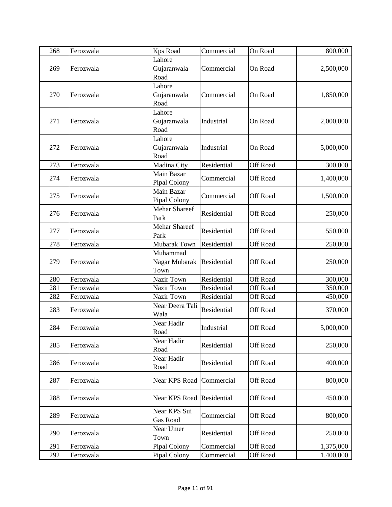| 268 | Ferozwala | <b>Kps Road</b>                   | Commercial  | On Road         | 800,000   |
|-----|-----------|-----------------------------------|-------------|-----------------|-----------|
| 269 | Ferozwala | Lahore<br>Gujaranwala<br>Road     | Commercial  | On Road         | 2,500,000 |
| 270 | Ferozwala | Lahore<br>Gujaranwala<br>Road     | Commercial  | On Road         | 1,850,000 |
| 271 | Ferozwala | Lahore<br>Gujaranwala<br>Road     | Industrial  | On Road         | 2,000,000 |
| 272 | Ferozwala | Lahore<br>Gujaranwala<br>Road     | Industrial  | On Road         | 5,000,000 |
| 273 | Ferozwala | Madina City                       | Residential | <b>Off Road</b> | 300,000   |
| 274 | Ferozwala | Main Bazar<br>Pipal Colony        | Commercial  | Off Road        | 1,400,000 |
| 275 | Ferozwala | Main Bazar<br>Pipal Colony        | Commercial  | Off Road        | 1,500,000 |
| 276 | Ferozwala | <b>Mehar Shareef</b><br>Park      | Residential | Off Road        | 250,000   |
| 277 | Ferozwala | <b>Mehar Shareef</b><br>Park      | Residential | <b>Off Road</b> | 550,000   |
| 278 | Ferozwala | <b>Mubarak Town</b>               | Residential | Off Road        | 250,000   |
| 279 | Ferozwala | Muhammad<br>Nagar Mubarak<br>Town | Residential | <b>Off Road</b> | 250,000   |
| 280 | Ferozwala | Nazir Town                        | Residential | Off Road        | 300,000   |
| 281 | Ferozwala | Nazir Town                        | Residential | Off Road        | 350,000   |
| 282 | Ferozwala | Nazir Town                        | Residential | Off Road        | 450,000   |
| 283 | Ferozwala | Near Deera Tali<br>Wala           | Residential | Off Road        | 370,000   |
| 284 | Ferozwala | Near Hadir<br>Road                | Industrial  | Off Road        | 5,000,000 |
| 285 | Ferozwala | Near Hadir<br>Road                | Residential | Off Road        | 250,000   |
| 286 | Ferozwala | Near Hadir<br>Road                | Residential | <b>Off Road</b> | 400,000   |
| 287 | Ferozwala | Near KPS Road                     | Commercial  | Off Road        | 800,000   |
| 288 | Ferozwala | Near KPS Road Residential         |             | Off Road        | 450,000   |
| 289 | Ferozwala | Near KPS Sui<br><b>Gas Road</b>   | Commercial  | Off Road        | 800,000   |
| 290 | Ferozwala | Near Umer<br>Town                 | Residential | Off Road        | 250,000   |
| 291 | Ferozwala | Pipal Colony                      | Commercial  | <b>Off Road</b> | 1,375,000 |
| 292 | Ferozwala | Pipal Colony                      | Commercial  | Off Road        | 1,400,000 |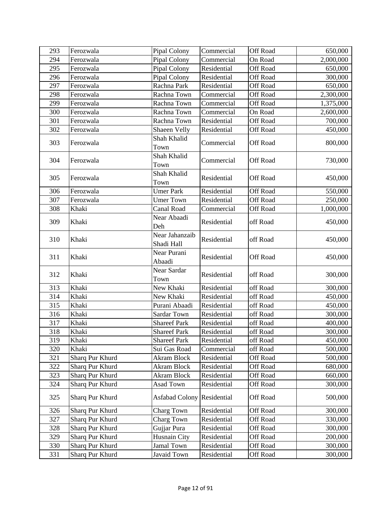| 293 | Ferozwala       | Pipal Colony                      | Commercial  | Off Road        | 650,000   |
|-----|-----------------|-----------------------------------|-------------|-----------------|-----------|
| 294 | Ferozwala       | Pipal Colony                      | Commercial  | On Road         | 2,000,000 |
| 295 | Ferozwala       | Pipal Colony                      | Residential | Off Road        | 650,000   |
| 296 | Ferozwala       | Pipal Colony                      | Residential | <b>Off Road</b> | 300,000   |
| 297 | Ferozwala       | Rachna Park                       | Residential | Off Road        | 650,000   |
| 298 | Ferozwala       | Rachna Town                       | Commercial  | <b>Off Road</b> | 2,300,000 |
| 299 | Ferozwala       | Rachna Town                       | Commercial  | <b>Off Road</b> | 1,375,000 |
| 300 | Ferozwala       | Rachna Town                       | Commercial  | On Road         | 2,600,000 |
| 301 | Ferozwala       | Rachna Town                       | Residential | Off Road        | 700,000   |
| 302 | Ferozwala       | Shaeen Velly                      | Residential | Off Road        | 450,000   |
| 303 | Ferozwala       | Shah Khalid<br>Town               | Commercial  | <b>Off Road</b> | 800,000   |
| 304 | Ferozwala       | Shah Khalid<br>Town               | Commercial  | Off Road        | 730,000   |
| 305 | Ferozwala       | Shah Khalid<br>Town               | Residential | Off Road        | 450,000   |
| 306 | Ferozwala       | <b>Umer Park</b>                  | Residential | <b>Off Road</b> | 550,000   |
| 307 | Ferozwala       | <b>Umer Town</b>                  | Residential | Off Road        | 250,000   |
| 308 | Khaki           | Canal Road                        | Commercial  | Off Road        | 1,000,000 |
| 309 | Khaki           | Near Abaadi<br>Deh                | Residential | off Road        | 450,000   |
| 310 | Khaki           | Near Jahanzaib<br>Shadi Hall      | Residential | off Road        | 450,000   |
| 311 | Khaki           | Near Purani<br>Abaadi             | Residential | <b>Off Road</b> | 450,000   |
| 312 | Khaki           | Near Sardar<br>Town               | Residential | off Road        | 300,000   |
| 313 | Khaki           | New Khaki                         | Residential | off Road        | 300,000   |
| 314 | Khaki           | New Khaki                         | Residential | off Road        | 450,000   |
| 315 | Khaki           | Purani Abaadi                     | Residential | off Road        | 450,000   |
| 316 | Khaki           | Sardar Town                       | Residential | off Road        | 300,000   |
| 317 | Khaki           | <b>Shareef Park</b>               | Residential | off Road        | 400,000   |
| 318 | Khaki           | <b>Shareef Park</b>               | Residential | off Road        | 300,000   |
| 319 | Khaki           | <b>Shareef Park</b>               | Residential | off Road        | 450,000   |
| 320 | Khaki           | Sui Gas Road                      | Commercial  | off Road        | 500,000   |
| 321 | Sharq Pur Khurd | Akram Block                       | Residential | Off Road        | 500,000   |
| 322 | Sharq Pur Khurd | Akram Block                       | Residential | <b>Off Road</b> | 680,000   |
| 323 | Sharq Pur Khurd | <b>Akram Block</b>                | Residential | <b>Off Road</b> | 660,000   |
| 324 | Sharq Pur Khurd | Asad Town                         | Residential | Off Road        | 300,000   |
| 325 | Sharq Pur Khurd | <b>Asfabad Colony Residential</b> |             | Off Road        | 500,000   |
| 326 | Sharq Pur Khurd | Charg Town                        | Residential | <b>Off Road</b> | 300,000   |
| 327 | Sharq Pur Khurd | <b>Charg Town</b>                 | Residential | Off Road        | 330,000   |
| 328 | Sharq Pur Khurd | Gujjar Pura                       | Residential | <b>Off Road</b> | 300,000   |
| 329 | Sharq Pur Khurd | Husnain City                      | Residential | Off Road        | 200,000   |
| 330 | Sharq Pur Khurd | Jamal Town                        | Residential | Off Road        | 300,000   |
| 331 | Sharq Pur Khurd | Javaid Town                       | Residential | Off Road        | 300,000   |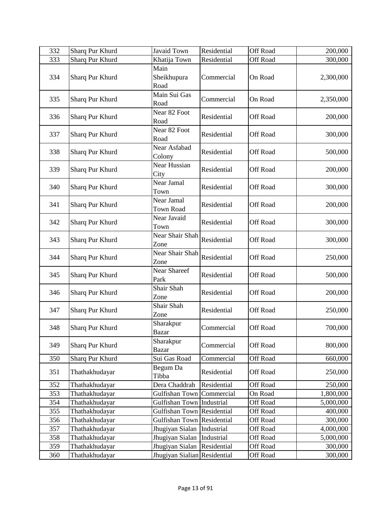| 332 | Sharq Pur Khurd | Javaid Town                    | Residential | <b>Off Road</b> | 200,000   |
|-----|-----------------|--------------------------------|-------------|-----------------|-----------|
| 333 | Sharq Pur Khurd | Khatija Town                   | Residential | <b>Off Road</b> | 300,000   |
| 334 | Sharq Pur Khurd | Main<br>Sheikhupura<br>Road    | Commercial  | On Road         | 2,300,000 |
| 335 | Sharq Pur Khurd | Main Sui Gas<br>Road           | Commercial  | On Road         | 2,350,000 |
| 336 | Sharq Pur Khurd | Near 82 Foot<br>Road           | Residential | Off Road        | 200,000   |
| 337 | Sharq Pur Khurd | Near 82 Foot<br>Road           | Residential | Off Road        | 300,000   |
| 338 | Sharq Pur Khurd | Near Asfabad<br>Colony         | Residential | Off Road        | 500,000   |
| 339 | Sharq Pur Khurd | <b>Near Hussian</b><br>City    | Residential | Off Road        | 200,000   |
| 340 | Sharq Pur Khurd | Near Jamal<br>Town             | Residential | Off Road        | 300,000   |
| 341 | Sharq Pur Khurd | Near Jamal<br><b>Town Road</b> | Residential | Off Road        | 200,000   |
| 342 | Sharq Pur Khurd | Near Javaid<br>Town            | Residential | Off Road        | 300,000   |
| 343 | Sharq Pur Khurd | Near Shair Shah<br>Zone        | Residential | Off Road        | 300,000   |
| 344 | Sharq Pur Khurd | Near Shair Shah<br>Zone        | Residential | Off Road        | 250,000   |
| 345 | Sharq Pur Khurd | Near Shareef<br>Park           | Residential | Off Road        | 500,000   |
| 346 | Sharq Pur Khurd | Shair Shah<br>Zone             | Residential | Off Road        | 200,000   |
| 347 | Sharq Pur Khurd | Shair Shah<br>Zone             | Residential | <b>Off Road</b> | 250,000   |
| 348 | Sharq Pur Khurd | Sharakpur<br><b>Bazar</b>      | Commercial  | Off Road        | 700,000   |
| 349 | Sharq Pur Khurd | Sharakpur<br><b>Bazar</b>      | Commercial  | Off Road        | 800,000   |
| 350 | Sharq Pur Khurd | Sui Gas Road                   | Commercial  | Off Road        | 660,000   |
| 351 | Thathakhudayar  | Begum Da<br>Tibba              | Residential | Off Road        | 250,000   |
| 352 | Thathakhudayar  | Dera Chaddrah                  | Residential | Off Road        | 250,000   |
| 353 | Thathakhudayar  | Gulfishan Town                 | Commercial  | On Road         | 1,800,000 |
| 354 | Thathakhudayar  | Gulfishan Town Industrial      |             | Off Road        | 5,000,000 |
| 355 | Thathakhudayar  | Gulfishan Town                 | Residential | Off Road        | 400,000   |
| 356 | Thathakhudayar  | Gulfishan Town                 | Residential | Off Road        | 300,000   |
| 357 | Thathakhudayar  | Jhugiyan Sialan                | Industrial  | Off Road        | 4,000,000 |
| 358 | Thathakhudayar  | Jhugiyan Sialan                | Industrial  | Off Road        | 5,000,000 |
| 359 | Thathakhudayar  | Jhugiyan Sialan                | Residential | Off Road        | 300,000   |
| 360 | Thathakhudayar  | Jhugiyan Sialian Residential   |             | Off Road        | 300,000   |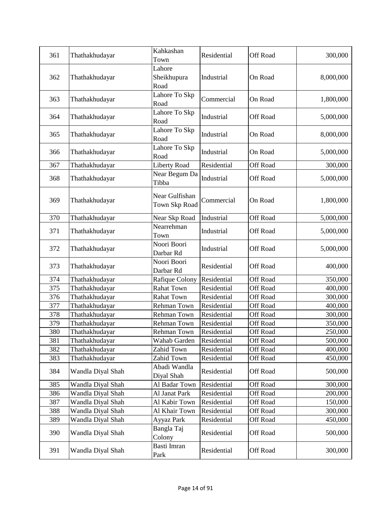| 361        | Thathakhudayar                      | Kahkashan<br>Town               | Residential                | <b>Off Road</b>                    | 300,000            |
|------------|-------------------------------------|---------------------------------|----------------------------|------------------------------------|--------------------|
| 362        | Thathakhudayar                      | Lahore<br>Sheikhupura<br>Road   | Industrial                 | On Road                            | 8,000,000          |
| 363        | Thathakhudayar                      | Lahore To Skp<br>Road           | Commercial                 | On Road                            | 1,800,000          |
| 364        | Thathakhudayar                      | Lahore To Skp<br>Road           | Industrial                 | Off Road                           | 5,000,000          |
| 365        | Thathakhudayar                      | Lahore To Skp<br>Road           | Industrial                 | On Road                            | 8,000,000          |
| 366        | Thathakhudayar                      | Lahore To Skp<br>Road           | Industrial                 | On Road                            | 5,000,000          |
| 367        | Thathakhudayar                      | <b>Liberty Road</b>             | Residential                | <b>Off Road</b>                    | 300,000            |
| 368        | Thathakhudayar                      | Near Begum Da<br>Tibba          | Industrial                 | Off Road                           | 5,000,000          |
| 369        | Thathakhudayar                      | Near Gulfishan<br>Town Skp Road | Commercial                 | On Road                            | 1,800,000          |
| 370        | Thathakhudayar                      | Near Skp Road                   | Industrial                 | Off Road                           | 5,000,000          |
| 371        | Thathakhudayar                      | Nearrehman<br>Town              | Industrial                 | Off Road                           | 5,000,000          |
| 372        | Thathakhudayar                      | Noori Boori<br>Darbar Rd        | Industrial                 | Off Road                           | 5,000,000          |
| 373        | Thathakhudayar                      | Noori Boori<br>Darbar Rd        | Residential                | <b>Off Road</b>                    | 400,000            |
| 374        | Thathakhudayar                      | Rafique Colony                  | Residential                | <b>Off Road</b>                    | 350,000            |
| 375        | Thathakhudayar                      | <b>Rahat Town</b>               | Residential                | <b>Off Road</b>                    | 400,000            |
| 376        | Thathakhudayar                      | Rahat Town                      | Residential                | Off Road                           | 300,000            |
| 377        | Thathakhudayar                      | Rehman Town                     | Residential                | Off Road                           | 400,000            |
| 378        | Thathakhudayar                      | Rehman Town                     | Residential                | <b>Off Road</b>                    | 300,000            |
| 379        | Thathakhudayar                      | Rehman Town                     | Residential                | Off Road                           | 350,000            |
| 380        | Thathakhudayar                      | Rehman Town                     | Residential                | Off Road                           | 250,000            |
| 381        | Thathakhudayar                      | Wahab Garden                    | Residential                | Off Road                           | 500,000            |
| 382<br>383 | Thathakhudayar                      | Zahid Town<br>Zahid Town        | Residential<br>Residential | <b>Off Road</b><br><b>Off Road</b> | 400,000            |
| 384        | Thathakhudayar<br>Wandla Diyal Shah | Abadi Wandla<br>Diyal Shah      | Residential                | <b>Off Road</b>                    | 450,000<br>500,000 |
| 385        | Wandla Diyal Shah                   | Al Badar Town                   | Residential                | <b>Off Road</b>                    | 300,000            |
| 386        | Wandla Diyal Shah                   | Al Janat Park                   | Residential                | Off Road                           | 200,000            |
| 387        | Wandla Diyal Shah                   | Al Kabir Town                   | Residential                | Off Road                           | 150,000            |
| 388        | Wandla Diyal Shah                   | Al Khair Town                   | Residential                | <b>Off Road</b>                    | 300,000            |
| 389        | Wandla Diyal Shah                   | Ayyaz Park                      | Residential                | <b>Off Road</b>                    | 450,000            |
| 390        | Wandla Diyal Shah                   | Bangla Taj<br>Colony            | Residential                | Off Road                           | 500,000            |
| 391        | Wandla Diyal Shah                   | Basti Imran<br>Park             | Residential                | Off Road                           | 300,000            |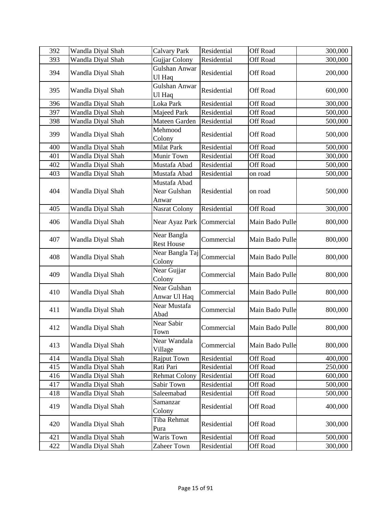| 392 | Wandla Diyal Shah | <b>Calvary Park</b>                   | Residential | Off Road        | 300,000 |
|-----|-------------------|---------------------------------------|-------------|-----------------|---------|
| 393 | Wandla Diyal Shah | Gujjar Colony                         | Residential | Off Road        | 300,000 |
| 394 | Wandla Diyal Shah | Gulshan Anwar<br>Ul Haq               | Residential | Off Road        | 200,000 |
| 395 | Wandla Diyal Shah | Gulshan Anwar<br>Ul Haq               | Residential | Off Road        | 600,000 |
| 396 | Wandla Diyal Shah | Loka Park                             | Residential | Off Road        | 300,000 |
| 397 | Wandla Diyal Shah | Majeed Park                           | Residential | Off Road        | 500,000 |
| 398 | Wandla Diyal Shah | Mateen Garden                         | Residential | Off Road        | 500,000 |
| 399 | Wandla Diyal Shah | Mehmood<br>Colony                     | Residential | Off Road        | 500,000 |
| 400 | Wandla Diyal Shah | <b>Milat Park</b>                     | Residential | Off Road        | 500,000 |
| 401 | Wandla Diyal Shah | Munir Town                            | Residential | <b>Off Road</b> | 300,000 |
| 402 | Wandla Diyal Shah | Mustafa Abad                          | Residential | Off Road        | 500,000 |
| 403 | Wandla Diyal Shah | Mustafa Abad                          | Residential | on road         | 500,000 |
| 404 | Wandla Diyal Shah | Mustafa Abad<br>Near Gulshan<br>Anwar | Residential | on road         | 500,000 |
| 405 | Wandla Diyal Shah | Nasrat Colony                         | Residential | Off Road        | 300,000 |
| 406 | Wandla Diyal Shah | Near Ayaz Park                        | Commercial  | Main Bado Pulle | 800,000 |
| 407 | Wandla Diyal Shah | Near Bangla<br><b>Rest House</b>      | Commercial  | Main Bado Pulle | 800,000 |
| 408 | Wandla Diyal Shah | Near Bangla Taj<br>Colony             | Commercial  | Main Bado Pulle | 800,000 |
| 409 | Wandla Diyal Shah | Near Gujjar<br>Colony                 | Commercial  | Main Bado Pulle | 800,000 |
| 410 | Wandla Diyal Shah | Near Gulshan<br>Anwar Ul Haq          | Commercial  | Main Bado Pulle | 800,000 |
| 411 | Wandla Diyal Shah | Near Mustafa<br>Abad                  | Commercial  | Main Bado Pulle | 800,000 |
| 412 | Wandla Diyal Shah | Near Sabir<br>Town                    | Commercial  | Main Bado Pulle | 800,000 |
| 413 | Wandla Diyal Shah | Near Wandala<br>Village               | Commercial  | Main Bado Pulle | 800,000 |
| 414 | Wandla Diyal Shah | Rajput Town                           | Residential | Off Road        | 400,000 |
| 415 | Wandla Diyal Shah | Rati Pari                             | Residential | <b>Off Road</b> | 250,000 |
| 416 | Wandla Diyal Shah | <b>Rehmat Colony</b>                  | Residential | <b>Off Road</b> | 600,000 |
| 417 | Wandla Diyal Shah | Sabir Town                            | Residential | Off Road        | 500,000 |
| 418 | Wandla Diyal Shah | Saleemabad                            | Residential | Off Road        | 500,000 |
| 419 | Wandla Diyal Shah | Samanzar<br>Colony                    | Residential | Off Road        | 400,000 |
| 420 | Wandla Diyal Shah | Tiba Rehmat<br>Pura                   | Residential | Off Road        | 300,000 |
| 421 | Wandla Diyal Shah | Waris Town                            | Residential | Off Road        | 500,000 |
| 422 | Wandla Diyal Shah | Zaheer Town                           | Residential | Off Road        | 300,000 |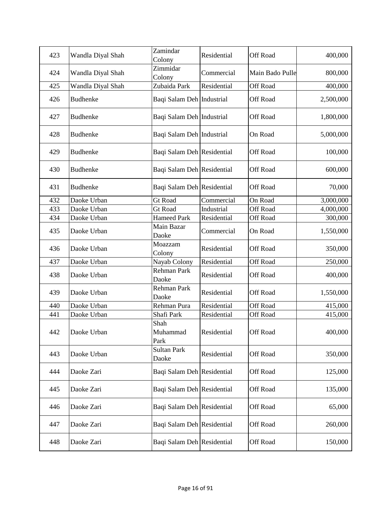| 423 | Wandla Diyal Shah | Zamindar<br>Colony          | Residential | Off Road        | 400,000   |
|-----|-------------------|-----------------------------|-------------|-----------------|-----------|
| 424 | Wandla Diyal Shah | Zimmidar<br>Colony          | Commercial  | Main Bado Pulle | 800,000   |
| 425 | Wandla Diyal Shah | Zubaida Park                | Residential | Off Road        | 400,000   |
| 426 | <b>Budhenke</b>   | Baqi Salam Deh Industrial   |             | <b>Off Road</b> | 2,500,000 |
| 427 | <b>Budhenke</b>   | Baqi Salam Deh Industrial   |             | Off Road        | 1,800,000 |
| 428 | <b>Budhenke</b>   | Baqi Salam Deh Industrial   |             | On Road         | 5,000,000 |
| 429 | <b>Budhenke</b>   | Baqi Salam Deh Residential  |             | Off Road        | 100,000   |
| 430 | <b>Budhenke</b>   | Baqi Salam Deh Residential  |             | <b>Off Road</b> | 600,000   |
| 431 | <b>Budhenke</b>   | Baqi Salam Deh Residential  |             | Off Road        | 70,000    |
| 432 | Daoke Urban       | <b>Gt Road</b>              | Commercial  | On Road         | 3,000,000 |
| 433 | Daoke Urban       | <b>Gt Road</b>              | Industrial  | <b>Off Road</b> | 4,000,000 |
| 434 | Daoke Urban       | <b>Hameed Park</b>          | Residential | Off Road        | 300,000   |
| 435 | Daoke Urban       | Main Bazar<br>Daoke         | Commercial  | On Road         | 1,550,000 |
| 436 | Daoke Urban       | Moazzam<br>Colony           | Residential | <b>Off Road</b> | 350,000   |
| 437 | Daoke Urban       | Nayab Colony                | Residential | Off Road        | 250,000   |
| 438 | Daoke Urban       | Rehman Park<br>Daoke        | Residential | Off Road        | 400,000   |
| 439 | Daoke Urban       | Rehman Park<br>Daoke        | Residential | <b>Off Road</b> | 1,550,000 |
| 440 | Daoke Urban       | Rehman Pura                 | Residential | Off Road        | 415,000   |
| 441 | Daoke Urban       | Shafi Park                  | Residential | Off Road        | 415,000   |
| 442 | Daoke Urban       | Shah<br>Muhammad<br>Park    | Residential | Off Road        | 400,000   |
| 443 | Daoke Urban       | <b>Sultan Park</b><br>Daoke | Residential | Off Road        | 350,000   |
| 444 | Daoke Zari        | Baqi Salam Deh Residential  |             | Off Road        | 125,000   |
| 445 | Daoke Zari        | Baqi Salam Deh Residential  |             | <b>Off Road</b> | 135,000   |
| 446 | Daoke Zari        | Baqi Salam Deh Residential  |             | Off Road        | 65,000    |
| 447 | Daoke Zari        | Baqi Salam Deh Residential  |             | Off Road        | 260,000   |
| 448 | Daoke Zari        | Baqi Salam Deh Residential  |             | <b>Off Road</b> | 150,000   |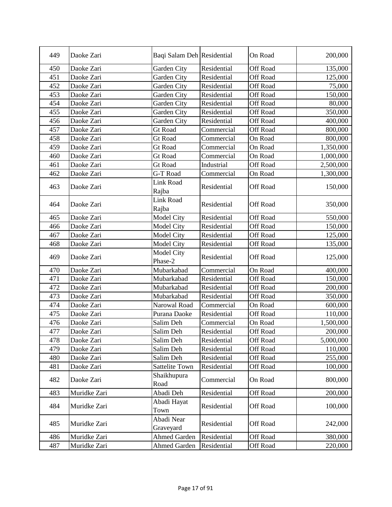| 449 | Daoke Zari   | Baqi Salam Deh Residential |             | On Road         | 200,000   |
|-----|--------------|----------------------------|-------------|-----------------|-----------|
| 450 | Daoke Zari   | Garden City                | Residential | Off Road        | 135,000   |
| 451 | Daoke Zari   | Garden City                | Residential | Off Road        | 125,000   |
| 452 | Daoke Zari   | Garden City                | Residential | <b>Off Road</b> | 75,000    |
| 453 | Daoke Zari   | Garden City                | Residential | Off Road        | 150,000   |
| 454 | Daoke Zari   | Garden City                | Residential | Off Road        | 80,000    |
| 455 | Daoke Zari   | Garden City                | Residential | Off Road        | 350,000   |
| 456 | Daoke Zari   | Garden City                | Residential | Off Road        | 400,000   |
| 457 | Daoke Zari   | <b>Gt Road</b>             | Commercial  | <b>Off Road</b> | 800,000   |
| 458 | Daoke Zari   | <b>Gt Road</b>             | Commercial  | On Road         | 800,000   |
| 459 | Daoke Zari   | <b>Gt Road</b>             | Commercial  | On Road         | 1,350,000 |
| 460 | Daoke Zari   | <b>Gt Road</b>             | Commercial  | On Road         | 1,000,000 |
| 461 | Daoke Zari   | <b>Gt Road</b>             | Industrial  | <b>Off Road</b> | 2,500,000 |
| 462 | Daoke Zari   | G-T Road                   | Commercial  | On Road         | 1,300,000 |
| 463 | Daoke Zari   | <b>Link Road</b><br>Rajba  | Residential | <b>Off Road</b> | 150,000   |
| 464 | Daoke Zari   | Link Road<br>Rajba         | Residential | Off Road        | 350,000   |
| 465 | Daoke Zari   | <b>Model City</b>          | Residential | <b>Off Road</b> | 550,000   |
| 466 | Daoke Zari   | Model City                 | Residential | <b>Off Road</b> | 150,000   |
| 467 | Daoke Zari   | Model City                 | Residential | <b>Off Road</b> | 125,000   |
| 468 | Daoke Zari   | Model City                 | Residential | Off Road        | 135,000   |
| 469 | Daoke Zari   | Model City<br>Phase-2      | Residential | Off Road        | 125,000   |
| 470 | Daoke Zari   | Mubarkabad                 | Commercial  | On Road         | 400,000   |
| 471 | Daoke Zari   | Mubarkabad                 | Residential | Off Road        | 150,000   |
| 472 | Daoke Zari   | Mubarkabad                 | Residential | <b>Off Road</b> | 200,000   |
| 473 | Daoke Zari   | Mubarkabad                 | Residential | <b>Off Road</b> | 350,000   |
| 474 | Daoke Zari   | Narowal Road               | Commercial  | On Road         | 600,000   |
| 475 | Daoke Zari   | Purana Daoke               | Residential | Off Road        | 110,000   |
| 476 | Daoke Zari   | Salim Deh                  | Commercial  | On Road         | 1,500,000 |
| 477 | Daoke Zari   | Salim Deh                  | Residential | Off Road        | 200,000   |
| 478 | Daoke Zari   | Salim Deh                  | Residential | Off Road        | 5,000,000 |
| 479 | Daoke Zari   | Salim Deh                  | Residential | Off Road        | 110,000   |
| 480 | Daoke Zari   | Salim Deh                  | Residential | Off Road        | 255,000   |
| 481 | Daoke Zari   | <b>Sattelite Town</b>      | Residential | Off Road        | 100,000   |
| 482 | Daoke Zari   | Shaikhupura<br>Road        | Commercial  | On Road         | 800,000   |
| 483 | Muridke Zari | Abadi Deh                  | Residential | Off Road        | 200,000   |
| 484 | Muridke Zari | Abadi Hayat<br>Town        | Residential | Off Road        | 100,000   |
| 485 | Muridke Zari | Abadi Near<br>Graveyard    | Residential | Off Road        | 242,000   |
| 486 | Muridke Zari | <b>Ahmed Garden</b>        | Residential | Off Road        | 380,000   |
| 487 | Muridke Zari | <b>Ahmed Garden</b>        | Residential | Off Road        | 220,000   |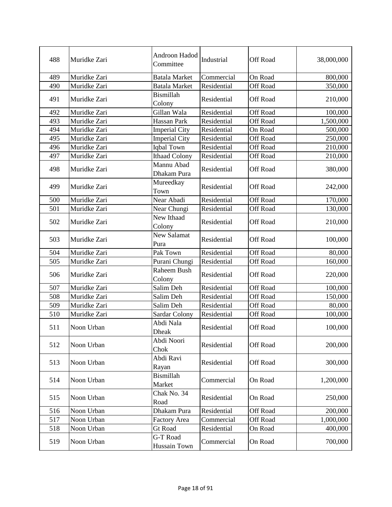| 488 | Muridke Zari | Androon Hadod<br>Committee | Industrial  | <b>Off Road</b> | 38,000,000 |
|-----|--------------|----------------------------|-------------|-----------------|------------|
| 489 | Muridke Zari | <b>Batala Market</b>       | Commercial  | On Road         | 800,000    |
| 490 | Muridke Zari | <b>Batala Market</b>       | Residential | <b>Off Road</b> | 350,000    |
| 491 | Muridke Zari | <b>Bismillah</b><br>Colony | Residential | Off Road        | 210,000    |
| 492 | Muridke Zari | Gillan Wala                | Residential | <b>Off Road</b> | 100,000    |
| 493 | Muridke Zari | Hassan Park                | Residential | <b>Off Road</b> | 1,500,000  |
| 494 | Muridke Zari | <b>Imperial City</b>       | Residential | On Road         | 500,000    |
| 495 | Muridke Zari | <b>Imperial City</b>       | Residential | Off Road        | 250,000    |
| 496 | Muridke Zari | Iqbal Town                 | Residential | <b>Off Road</b> | 210,000    |
| 497 | Muridke Zari | <b>Ithaad Colony</b>       | Residential | <b>Off Road</b> | 210,000    |
| 498 | Muridke Zari | Mannu Abad<br>Dhakam Pura  | Residential | Off Road        | 380,000    |
| 499 | Muridke Zari | Mureedkay<br>Town          | Residential | Off Road        | 242,000    |
| 500 | Muridke Zari | Near Abadi                 | Residential | Off Road        | 170,000    |
| 501 | Muridke Zari | Near Chungi                | Residential | Off Road        | 130,000    |
| 502 | Muridke Zari | New Ithaad<br>Colony       | Residential | Off Road        | 210,000    |
| 503 | Muridke Zari | <b>New Salamat</b><br>Pura | Residential | Off Road        | 100,000    |
| 504 | Muridke Zari | Pak Town                   | Residential | Off Road        | 80,000     |
| 505 | Muridke Zari | Purani Chungi              | Residential | Off Road        | 160,000    |
| 506 | Muridke Zari | Raheem Bush<br>Colony      | Residential | Off Road        | 220,000    |
| 507 | Muridke Zari | Salim Deh                  | Residential | <b>Off Road</b> | 100,000    |
| 508 | Muridke Zari | Salim Deh                  | Residential | <b>Off Road</b> | 150,000    |
| 509 | Muridke Zari | Salim Deh                  | Residential | <b>Off Road</b> | 80,000     |
| 510 | Muridke Zari | Sardar Colony              | Residential | <b>Off Road</b> | 100,000    |
| 511 | Noon Urban   | Abdi Nala<br>Dheak         | Residential | Off Road        | 100,000    |
| 512 | Noon Urban   | Abdi Noori<br>Chok         | Residential | Off Road        | 200,000    |
| 513 | Noon Urban   | Abdi Ravi<br>Rayan         | Residential | Off Road        | 300,000    |
| 514 | Noon Urban   | Bismillah<br>Market        | Commercial  | On Road         | 1,200,000  |
| 515 | Noon Urban   | Chak No. 34<br>Road        | Residential | On Road         | 250,000    |
| 516 | Noon Urban   | Dhakam Pura                | Residential | Off Road        | 200,000    |
| 517 | Noon Urban   | <b>Factory Area</b>        | Commercial  | Off Road        | 1,000,000  |
| 518 | Noon Urban   | <b>Gt Road</b>             | Residential | On Road         | 400,000    |
| 519 | Noon Urban   | G-T Road<br>Hussain Town   | Commercial  | On Road         | 700,000    |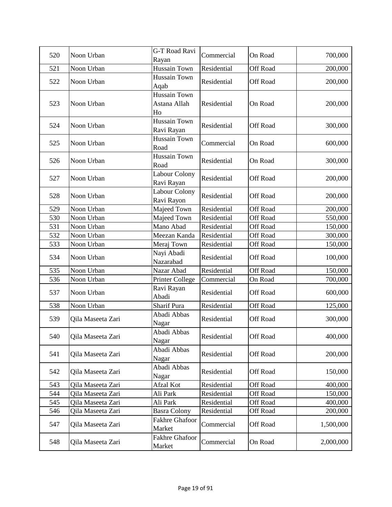| 520 | Noon Urban        | G-T Road Ravi<br>Rayan                    | Commercial  | On Road         | 700,000   |
|-----|-------------------|-------------------------------------------|-------------|-----------------|-----------|
| 521 | Noon Urban        | Hussain Town                              | Residential | <b>Off Road</b> | 200,000   |
| 522 | Noon Urban        | Hussain Town<br>Aqab                      | Residential | Off Road        | 200,000   |
| 523 | Noon Urban        | <b>Hussain Town</b><br>Astana Allah<br>Ho | Residential | On Road         | 200,000   |
| 524 | Noon Urban        | Hussain Town<br>Ravi Rayan                | Residential | <b>Off Road</b> | 300,000   |
| 525 | Noon Urban        | <b>Hussain Town</b><br>Road               | Commercial  | On Road         | 600,000   |
| 526 | Noon Urban        | <b>Hussain Town</b><br>Road               | Residential | On Road         | 300,000   |
| 527 | Noon Urban        | Labour Colony<br>Ravi Rayan               | Residential | Off Road        | 200,000   |
| 528 | Noon Urban        | Labour Colony<br>Ravi Rayon               | Residential | Off Road        | 200,000   |
| 529 | Noon Urban        | Majeed Town                               | Residential | Off Road        | 200,000   |
| 530 | Noon Urban        | Majeed Town                               | Residential | Off Road        | 550,000   |
| 531 | Noon Urban        | Mano Abad                                 | Residential | <b>Off Road</b> | 150,000   |
| 532 | Noon Urban        | Meezan Kanda                              | Residential | <b>Off Road</b> | 300,000   |
| 533 | Noon Urban        | Meraj Town                                | Residential | Off Road        | 150,000   |
| 534 | Noon Urban        | Nayi Abadi<br>Nazarabad                   | Residential | Off Road        | 100,000   |
| 535 | Noon Urban        | Nazar Abad                                | Residential | Off Road        | 150,000   |
| 536 | Noon Urban        | Printer College                           | Commercial  | On Road         | 700,000   |
| 537 | Noon Urban        | Ravi Rayan<br>Abadi                       | Residential | Off Road        | 600,000   |
| 538 | Noon Urban        | <b>Sharif Pura</b>                        | Residential | Off Road        | 125,000   |
| 539 | Qila Maseeta Zari | Abadi Abbas<br>Nagar                      | Residential | Off Road        | 300,000   |
| 540 | Qila Maseeta Zari | Abadi Abbas<br>Nagar                      | Residential | Off Road        | 400,000   |
| 541 | Qila Maseeta Zari | Abadi Abbas<br>Nagar                      | Residential | Off Road        | 200,000   |
| 542 | Qila Maseeta Zari | Abadi Abbas<br>Nagar                      | Residential | <b>Off Road</b> | 150,000   |
| 543 | Qila Maseeta Zari | Afzal Kot                                 | Residential | Off Road        | 400,000   |
| 544 | Qila Maseeta Zari | Ali Park                                  | Residential | Off Road        | 150,000   |
| 545 | Qila Maseeta Zari | Ali Park                                  | Residential | Off Road        | 400,000   |
| 546 | Qila Maseeta Zari | <b>Basra Colony</b>                       | Residential | <b>Off Road</b> | 200,000   |
| 547 | Qila Maseeta Zari | Fakhre Ghafoor<br>Market                  | Commercial  | Off Road        | 1,500,000 |
| 548 | Qila Maseeta Zari | Fakhre Ghafoor<br>Market                  | Commercial  | On Road         | 2,000,000 |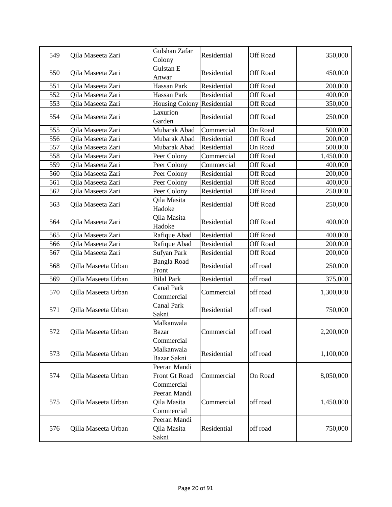| 549 | Qila Maseeta Zari   | Gulshan Zafar<br>Colony                     | Residential | Off Road        | 350,000   |
|-----|---------------------|---------------------------------------------|-------------|-----------------|-----------|
| 550 | Qila Maseeta Zari   | Gulstan E<br>Anwar                          | Residential | Off Road        | 450,000   |
| 551 | Qila Maseeta Zari   | Hassan Park                                 | Residential | Off Road        | 200,000   |
| 552 | Qila Maseeta Zari   | Hassan Park                                 | Residential | <b>Off Road</b> | 400,000   |
| 553 | Qila Maseeta Zari   | <b>Housing Colony</b>                       | Residential | <b>Off Road</b> | 350,000   |
| 554 | Qila Maseeta Zari   | Laxurion<br>Garden                          | Residential | <b>Off Road</b> | 250,000   |
| 555 | Qila Maseeta Zari   | Mubarak Abad                                | Commercial  | On Road         | 500,000   |
| 556 | Qila Maseeta Zari   | Mubarak Abad                                | Residential | Off Road        | 200,000   |
| 557 | Qila Maseeta Zari   | Mubarak Abad                                | Residential | On Road         | 500,000   |
| 558 | Qila Maseeta Zari   | Peer Colony                                 | Commercial  | <b>Off Road</b> | 1,450,000 |
| 559 | Qila Maseeta Zari   | Peer Colony                                 | Commercial  | Off Road        | 400,000   |
| 560 | Qila Maseeta Zari   | Peer Colony                                 | Residential | Off Road        | 200,000   |
| 561 | Qila Maseeta Zari   | Peer Colony                                 | Residential | Off Road        | 400,000   |
| 562 | Qila Maseeta Zari   | Peer Colony                                 | Residential | Off Road        | 250,000   |
| 563 | Qila Maseeta Zari   | Qila Masita<br>Hadoke                       | Residential | Off Road        | 250,000   |
| 564 | Qila Maseeta Zari   | Qila Masita<br>Hadoke                       | Residential | Off Road        | 400,000   |
| 565 | Qila Maseeta Zari   | Rafique Abad                                | Residential | Off Road        | 400,000   |
| 566 | Qila Maseeta Zari   | Rafique Abad                                | Residential | <b>Off Road</b> | 200,000   |
| 567 | Qila Maseeta Zari   | Sufyan Park                                 | Residential | Off Road        | 200,000   |
| 568 | Qilla Maseeta Urban | <b>Bangla Road</b><br>Front                 | Residential | off road        | 250,000   |
| 569 | Qilla Maseeta Urban | <b>Bilal Park</b>                           | Residential | off road        | 375,000   |
| 570 | Qilla Maseeta Urban | <b>Canal Park</b><br>Commercial             | Commercial  | off road        | 1,300,000 |
| 571 | Qilla Maseeta Urban | Canal Park<br>Sakni                         | Residential | off road        | 750,000   |
| 572 | Qilla Maseeta Urban | Malkanwala<br><b>Bazar</b><br>Commercial    | Commercial  | off road        | 2,200,000 |
| 573 | Qilla Maseeta Urban | Malkanwala<br>Bazar Sakni                   | Residential | off road        | 1,100,000 |
| 574 | Qilla Maseeta Urban | Peeran Mandi<br>Front Gt Road<br>Commercial | Commercial  | On Road         | 8,050,000 |
| 575 | Qilla Maseeta Urban | Peeran Mandi<br>Qila Masita<br>Commercial   | Commercial  | off road        | 1,450,000 |
| 576 | Qilla Maseeta Urban | Peeran Mandi<br>Qila Masita<br>Sakni        | Residential | off road        | 750,000   |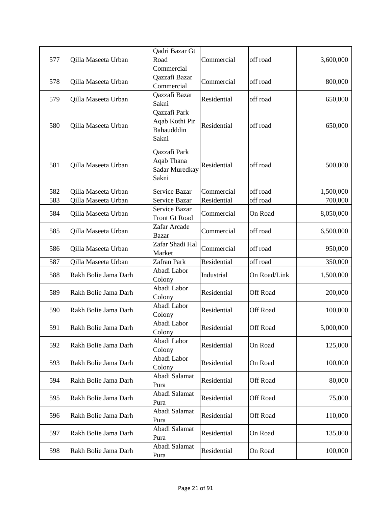| 577 | Qilla Maseeta Urban  | Qadri Bazar Gt<br>Road<br>Commercial                  | Commercial  | off road        | 3,600,000 |
|-----|----------------------|-------------------------------------------------------|-------------|-----------------|-----------|
| 578 | Qilla Maseeta Urban  | Qazzafi Bazar<br>Commercial                           | Commercial  | off road        | 800,000   |
| 579 | Qilla Maseeta Urban  | Qazzafi Bazar<br>Sakni                                | Residential | off road        | 650,000   |
| 580 | Qilla Maseeta Urban  | Qazzafi Park<br>Aqab Kothi Pir<br>Bahaudddin<br>Sakni | Residential | off road        | 650,000   |
| 581 | Qilla Maseeta Urban  | Qazzafi Park<br>Aqab Thana<br>Sadar Muredkay<br>Sakni | Residential | off road        | 500,000   |
| 582 | Qilla Maseeta Urban  | Service Bazar                                         | Commercial  | off road        | 1,500,000 |
| 583 | Qilla Maseeta Urban  | Service Bazar                                         | Residential | off road        | 700,000   |
| 584 | Qilla Maseeta Urban  | Service Bazar<br>Front Gt Road                        | Commercial  | On Road         | 8,050,000 |
| 585 | Qilla Maseeta Urban  | Zafar Arcade<br><b>Bazar</b>                          | Commercial  | off road        | 6,500,000 |
| 586 | Qilla Maseeta Urban  | Zafar Shadi Hal<br>Market                             | Commercial  | off road        | 950,000   |
| 587 | Qilla Maseeta Urban  | Zafran Park                                           | Residential | off road        | 350,000   |
| 588 | Rakh Bolie Jama Darh | Abadi Labor<br>Colony                                 | Industrial  | On Road/Link    | 1,500,000 |
| 589 | Rakh Bolie Jama Darh | Abadi Labor<br>Colony                                 | Residential | Off Road        | 200,000   |
| 590 | Rakh Bolie Jama Darh | Abadi Labor<br>Colony                                 | Residential | Off Road        | 100,000   |
| 591 | Rakh Bolie Jama Darh | Abadi Labor<br>Colony                                 | Residential | Off Road        | 5,000,000 |
| 592 | Rakh Bolie Jama Darh | Abadi Labor<br>Colony                                 | Residential | On Road         | 125,000   |
| 593 | Rakh Bolie Jama Darh | Abadi Labor<br>Colony                                 | Residential | On Road         | 100,000   |
| 594 | Rakh Bolie Jama Darh | Abadi Salamat<br>Pura                                 | Residential | <b>Off Road</b> | 80,000    |
| 595 | Rakh Bolie Jama Darh | Abadi Salamat<br>Pura                                 | Residential | <b>Off Road</b> | 75,000    |
| 596 | Rakh Bolie Jama Darh | Abadi Salamat<br>Pura                                 | Residential | Off Road        | 110,000   |
| 597 | Rakh Bolie Jama Darh | Abadi Salamat<br>Pura                                 | Residential | On Road         | 135,000   |
| 598 | Rakh Bolie Jama Darh | Abadi Salamat<br>Pura                                 | Residential | On Road         | 100,000   |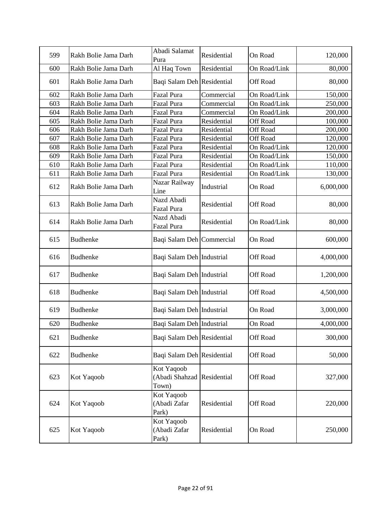| 599 | Rakh Bolie Jama Darh | Abadi Salamat<br>Pura                             | Residential | On Road         | 120,000   |
|-----|----------------------|---------------------------------------------------|-------------|-----------------|-----------|
| 600 | Rakh Bolie Jama Darh | Al Haq Town                                       | Residential | On Road/Link    | 80,000    |
| 601 | Rakh Bolie Jama Darh | Baqi Salam Deh Residential                        |             | Off Road        | 80,000    |
| 602 | Rakh Bolie Jama Darh | Fazal Pura                                        | Commercial  | On Road/Link    | 150,000   |
| 603 | Rakh Bolie Jama Darh | Fazal Pura                                        | Commercial  | On Road/Link    | 250,000   |
| 604 | Rakh Bolie Jama Darh | Fazal Pura                                        | Commercial  | On Road/Link    | 200,000   |
| 605 | Rakh Bolie Jama Darh | Fazal Pura                                        | Residential | <b>Off Road</b> | 100,000   |
| 606 | Rakh Bolie Jama Darh | Fazal Pura                                        | Residential | <b>Off Road</b> | 200,000   |
| 607 | Rakh Bolie Jama Darh | Fazal Pura                                        | Residential | <b>Off Road</b> | 120,000   |
| 608 | Rakh Bolie Jama Darh | <b>Fazal Pura</b>                                 | Residential | On Road/Link    | 120,000   |
| 609 | Rakh Bolie Jama Darh | Fazal Pura                                        | Residential | On Road/Link    | 150,000   |
| 610 | Rakh Bolie Jama Darh | Fazal Pura                                        | Residential | On Road/Link    | 110,000   |
| 611 | Rakh Bolie Jama Darh | <b>Fazal Pura</b>                                 | Residential | On Road/Link    | 130,000   |
| 612 | Rakh Bolie Jama Darh | Nazar Railway<br>Line                             | Industrial  | On Road         | 6,000,000 |
| 613 | Rakh Bolie Jama Darh | Nazd Abadi<br>Fazal Pura                          | Residential | Off Road        | 80,000    |
| 614 | Rakh Bolie Jama Darh | Nazd Abadi<br>Fazal Pura                          | Residential | On Road/Link    | 80,000    |
| 615 | <b>Budhenke</b>      | Baqi Salam Deh Commercial                         |             | On Road         | 600,000   |
| 616 | <b>Budhenke</b>      | Baqi Salam Deh Industrial                         |             | Off Road        | 4,000,000 |
| 617 | <b>Budhenke</b>      | Baqi Salam Deh Industrial                         |             | Off Road        | 1,200,000 |
| 618 | <b>Budhenke</b>      | Baqi Salam Deh Industrial                         |             | Off Road        | 4,500,000 |
| 619 | <b>Budhenke</b>      | Baqi Salam Deh Industrial                         |             | On Road         | 3,000,000 |
| 620 | <b>Budhenke</b>      | Baqi Salam Deh Industrial                         |             | On Road         | 4,000,000 |
| 621 | <b>Budhenke</b>      | Baqi Salam Deh Residential                        |             | Off Road        | 300,000   |
| 622 | <b>Budhenke</b>      | Baqi Salam Deh Residential                        |             | Off Road        | 50,000    |
| 623 | Kot Yaqoob           | Kot Yaqoob<br>(Abadi Shahzad Residential<br>Town) |             | Off Road        | 327,000   |
| 624 | Kot Yaqoob           | Kot Yaqoob<br>(Abadi Zafar<br>Park)               | Residential | Off Road        | 220,000   |
| 625 | Kot Yaqoob           | Kot Yaqoob<br>(Abadi Zafar<br>Park)               | Residential | On Road         | 250,000   |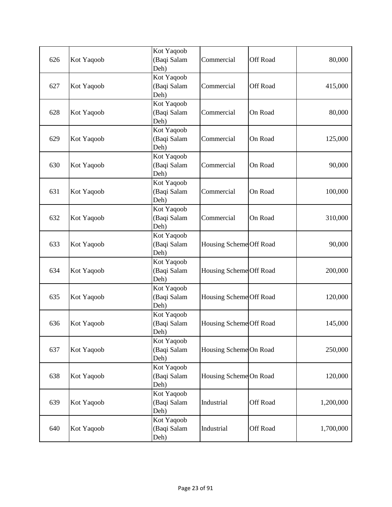| 626 | Kot Yaqoob | Kot Yaqoob<br>(Baqi Salam<br>Deh) | Commercial              | Off Road | 80,000    |
|-----|------------|-----------------------------------|-------------------------|----------|-----------|
| 627 | Kot Yaqoob | Kot Yaqoob<br>(Baqi Salam<br>Deh) | Commercial              | Off Road | 415,000   |
| 628 | Kot Yaqoob | Kot Yaqoob<br>(Baqi Salam<br>Deh) | Commercial              | On Road  | 80,000    |
| 629 | Kot Yaqoob | Kot Yaqoob<br>(Baqi Salam<br>Deh) | Commercial              | On Road  | 125,000   |
| 630 | Kot Yaqoob | Kot Yaqoob<br>(Baqi Salam<br>Deh) | Commercial              | On Road  | 90,000    |
| 631 | Kot Yaqoob | Kot Yaqoob<br>(Baqi Salam<br>Deh) | Commercial              | On Road  | 100,000   |
| 632 | Kot Yaqoob | Kot Yaqoob<br>(Baqi Salam<br>Deh) | Commercial              | On Road  | 310,000   |
| 633 | Kot Yaqoob | Kot Yaqoob<br>(Baqi Salam<br>Deh) | Housing Scheme Off Road |          | 90,000    |
| 634 | Kot Yaqoob | Kot Yaqoob<br>(Baqi Salam<br>Deh) | Housing Scheme Off Road |          | 200,000   |
| 635 | Kot Yaqoob | Kot Yaqoob<br>(Baqi Salam<br>Deh) | Housing Scheme Off Road |          | 120,000   |
| 636 | Kot Yaqoob | Kot Yaqoob<br>(Baqi Salam<br>Deh) | Housing Scheme Off Road |          | 145,000   |
| 637 | Kot Yaqoob | Kot Yaqoob<br>(Baqi Salam<br>Deh) | Housing Scheme On Road  |          | 250,000   |
| 638 | Kot Yaqoob | Kot Yaqoob<br>(Baqi Salam<br>Deh) | Housing Scheme On Road  |          | 120,000   |
| 639 | Kot Yaqoob | Kot Yaqoob<br>(Baqi Salam<br>Deh) | Industrial              | Off Road | 1,200,000 |
| 640 | Kot Yaqoob | Kot Yaqoob<br>(Baqi Salam<br>Deh) | Industrial              | Off Road | 1,700,000 |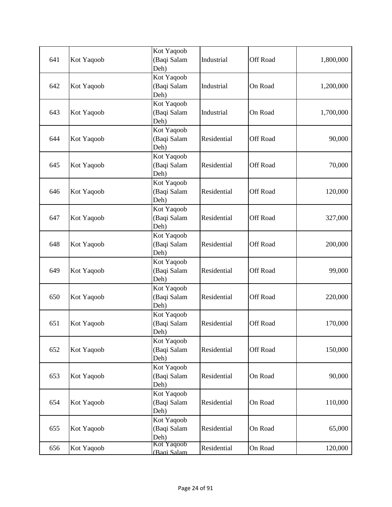| 641 | Kot Yaqoob | Kot Yaqoob<br>(Baqi Salam<br>Deh) | Industrial  | <b>Off Road</b> | 1,800,000 |
|-----|------------|-----------------------------------|-------------|-----------------|-----------|
| 642 | Kot Yaqoob | Kot Yaqoob<br>(Baqi Salam<br>Deh) | Industrial  | On Road         | 1,200,000 |
| 643 | Kot Yaqoob | Kot Yaqoob<br>(Baqi Salam<br>Deh) | Industrial  | On Road         | 1,700,000 |
| 644 | Kot Yaqoob | Kot Yaqoob<br>(Baqi Salam<br>Deh) | Residential | <b>Off Road</b> | 90,000    |
| 645 | Kot Yaqoob | Kot Yaqoob<br>(Baqi Salam<br>Deh) | Residential | Off Road        | 70,000    |
| 646 | Kot Yaqoob | Kot Yaqoob<br>(Baqi Salam<br>Deh) | Residential | Off Road        | 120,000   |
| 647 | Kot Yaqoob | Kot Yaqoob<br>(Baqi Salam<br>Deh) | Residential | Off Road        | 327,000   |
| 648 | Kot Yaqoob | Kot Yaqoob<br>(Baqi Salam<br>Deh) | Residential | <b>Off Road</b> | 200,000   |
| 649 | Kot Yaqoob | Kot Yaqoob<br>(Baqi Salam<br>Deh) | Residential | <b>Off Road</b> | 99,000    |
| 650 | Kot Yaqoob | Kot Yaqoob<br>(Baqi Salam<br>Deh) | Residential | Off Road        | 220,000   |
| 651 | Kot Yaqoob | Kot Yaqoob<br>(Baqi Salam<br>Deh) | Residential | Off Road        | 170,000   |
| 652 | Kot Yaqoob | Kot Yaqoob<br>(Baqi Salam<br>Deh) | Residential | Off Road        | 150,000   |
| 653 | Kot Yaqoob | Kot Yaqoob<br>(Baqi Salam<br>Deh) | Residential | On Road         | 90,000    |
| 654 | Kot Yaqoob | Kot Yaqoob<br>(Baqi Salam<br>Deh) | Residential | On Road         | 110,000   |
| 655 | Kot Yaqoob | Kot Yaqoob<br>(Baqi Salam<br>Deh) | Residential | On Road         | 65,000    |
| 656 | Kot Yaqoob | Kot Yaqoob<br>(Bagi Salam         | Residential | On Road         | 120,000   |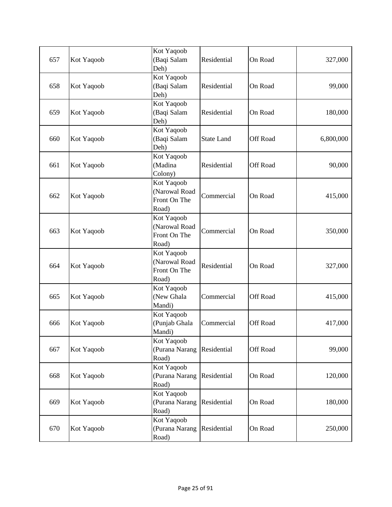| 657 | Kot Yaqoob | Kot Yaqoob<br>(Baqi Salam<br>Deh)                    | Residential       | On Road  | 327,000   |
|-----|------------|------------------------------------------------------|-------------------|----------|-----------|
| 658 | Kot Yaqoob | Kot Yaqoob<br>(Baqi Salam<br>Deh)                    | Residential       | On Road  | 99,000    |
| 659 | Kot Yaqoob | Kot Yaqoob<br>(Baqi Salam<br>Deh)                    | Residential       | On Road  | 180,000   |
| 660 | Kot Yaqoob | Kot Yaqoob<br>(Baqi Salam<br>Deh)                    | <b>State Land</b> | Off Road | 6,800,000 |
| 661 | Kot Yaqoob | Kot Yaqoob<br>(Madina<br>Colony)                     | Residential       | Off Road | 90,000    |
| 662 | Kot Yaqoob | Kot Yaqoob<br>(Narowal Road<br>Front On The<br>Road) | Commercial        | On Road  | 415,000   |
| 663 | Kot Yaqoob | Kot Yaqoob<br>(Narowal Road<br>Front On The<br>Road) | Commercial        | On Road  | 350,000   |
| 664 | Kot Yaqoob | Kot Yaqoob<br>(Narowal Road<br>Front On The<br>Road) | Residential       | On Road  | 327,000   |
| 665 | Kot Yaqoob | Kot Yaqoob<br>(New Ghala<br>Mandi)                   | Commercial        | Off Road | 415,000   |
| 666 | Kot Yaqoob | Kot Yaqoob<br>(Punjab Ghala<br>Mandi)                | Commercial        | Off Road | 417,000   |
| 667 | Kot Yaqoob | Kot Yaqoob<br>(Purana Narang<br>Road)                | Residential       | Off Road | 99,000    |
| 668 | Kot Yaqoob | Kot Yaqoob<br>(Purana Narang<br>Road)                | Residential       | On Road  | 120,000   |
| 669 | Kot Yaqoob | Kot Yaqoob<br>(Purana Narang<br>Road)                | Residential       | On Road  | 180,000   |
| 670 | Kot Yaqoob | Kot Yaqoob<br>(Purana Narang<br>Road)                | Residential       | On Road  | 250,000   |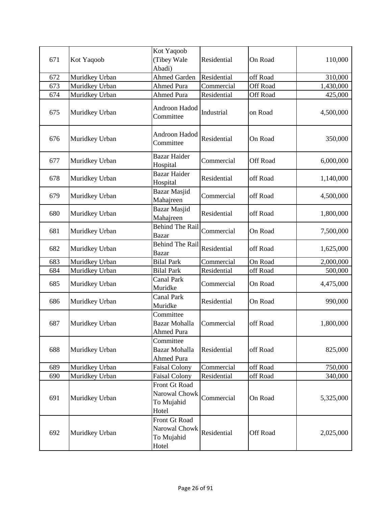| 671 | Kot Yaqoob     | Kot Yaqoob<br>(Tibey Wale<br>Abadi)                   | Residential | On Road  | 110,000   |
|-----|----------------|-------------------------------------------------------|-------------|----------|-----------|
| 672 | Muridkey Urban | Ahmed Garden                                          | Residential | off Road | 310,000   |
| 673 | Muridkey Urban | <b>Ahmed Pura</b>                                     | Commercial  | Off Road | 1,430,000 |
| 674 | Muridkey Urban | <b>Ahmed Pura</b>                                     | Residential | Off Road | 425,000   |
| 675 | Muridkey Urban | Androon Hadod<br>Committee                            | Industrial  | on Road  | 4,500,000 |
| 676 | Muridkey Urban | Androon Hadod<br>Committee                            | Residential | On Road  | 350,000   |
| 677 | Muridkey Urban | <b>Bazar Haider</b><br>Hospital                       | Commercial  | Off Road | 6,000,000 |
| 678 | Muridkey Urban | <b>Bazar Haider</b><br>Hospital                       | Residential | off Road | 1,140,000 |
| 679 | Muridkey Urban | <b>Bazar Masjid</b><br>Mahajreen                      | Commercial  | off Road | 4,500,000 |
| 680 | Muridkey Urban | <b>Bazar Masjid</b><br>Mahajreen                      | Residential | off Road | 1,800,000 |
| 681 | Muridkey Urban | <b>Behind The Rail</b><br><b>Bazar</b>                | Commercial  | On Road  | 7,500,000 |
| 682 | Muridkey Urban | <b>Behind The Rail</b><br><b>Bazar</b>                | Residential | off Road | 1,625,000 |
| 683 | Muridkey Urban | <b>Bilal Park</b>                                     | Commercial  | On Road  | 2,000,000 |
| 684 | Muridkey Urban | <b>Bilal Park</b>                                     | Residential | off Road | 500,000   |
| 685 | Muridkey Urban | <b>Canal Park</b><br>Muridke                          | Commercial  | On Road  | 4,475,000 |
| 686 | Muridkey Urban | <b>Canal Park</b><br>Muridke                          | Residential | On Road  | 990,000   |
| 687 | Muridkey Urban | Committee<br>Bazar Mohalla<br>Ahmed Pura              | Commercial  | off Road | 1,800,000 |
| 688 | Muridkey Urban | Committee<br>Bazar Mohalla<br><b>Ahmed Pura</b>       | Residential | off Road | 825,000   |
| 689 | Muridkey Urban | <b>Faisal Colony</b>                                  | Commercial  | off Road | 750,000   |
| 690 | Muridkey Urban | <b>Faisal Colony</b>                                  | Residential | off Road | 340,000   |
| 691 | Muridkey Urban | Front Gt Road<br>Narowal Chowk<br>To Mujahid<br>Hotel | Commercial  | On Road  | 5,325,000 |
| 692 | Muridkey Urban | Front Gt Road<br>Narowal Chowk<br>To Mujahid<br>Hotel | Residential | Off Road | 2,025,000 |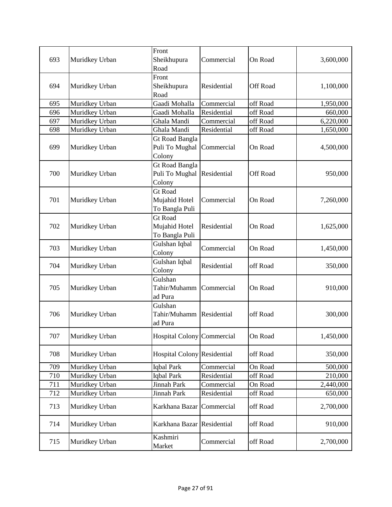| 693 | Muridkey Urban | Front<br>Sheikhupura<br>Road                      | Commercial  | On Road         | 3,600,000 |
|-----|----------------|---------------------------------------------------|-------------|-----------------|-----------|
| 694 | Muridkey Urban | Front<br>Sheikhupura<br>Road                      | Residential | <b>Off Road</b> | 1,100,000 |
| 695 | Muridkey Urban | Gaadi Mohalla                                     | Commercial  | off Road        | 1,950,000 |
| 696 | Muridkey Urban | Gaadi Mohalla                                     | Residential | off Road        | 660,000   |
| 697 | Muridkey Urban | Ghala Mandi                                       | Commercial  | off Road        | 6,220,000 |
| 698 | Muridkey Urban | Ghala Mandi                                       | Residential | off Road        | 1,650,000 |
| 699 | Muridkey Urban | Gt Road Bangla<br>Puli To Mughal<br>Colony        | Commercial  | On Road         | 4,500,000 |
| 700 | Muridkey Urban | <b>Gt Road Bangla</b><br>Puli To Mughal<br>Colony | Residential | Off Road        | 950,000   |
| 701 | Muridkey Urban | <b>Gt Road</b><br>Mujahid Hotel<br>To Bangla Puli | Commercial  | On Road         | 7,260,000 |
| 702 | Muridkey Urban | <b>Gt Road</b><br>Mujahid Hotel<br>To Bangla Puli | Residential | On Road         | 1,625,000 |
| 703 | Muridkey Urban | Gulshan Iqbal<br>Colony                           | Commercial  | On Road         | 1,450,000 |
| 704 | Muridkey Urban | Gulshan Iqbal<br>Colony                           | Residential | off Road        | 350,000   |
| 705 | Muridkey Urban | Gulshan<br>Tahir/Muhamm<br>ad Pura                | Commercial  | On Road         | 910,000   |
| 706 | Muridkey Urban | Gulshan<br>Tahir/Muhamm<br>ad Pura                | Residential | off Road        | 300,000   |
| 707 | Muridkey Urban | Hospital Colony Commercial                        |             | On Road         | 1,450,000 |
| 708 | Muridkey Urban | Hospital Colony Residential                       |             | off Road        | 350,000   |
| 709 | Muridkey Urban | <b>Iqbal Park</b>                                 | Commercial  | On Road         | 500,000   |
| 710 | Muridkey Urban | Iqbal Park                                        | Residential | off Road        | 210,000   |
| 711 | Muridkey Urban | Jinnah Park                                       | Commercial  | On Road         | 2,440,000 |
| 712 | Muridkey Urban | Jinnah Park                                       | Residential | off Road        | 650,000   |
| 713 | Muridkey Urban | Karkhana Bazar                                    | Commercial  | off Road        | 2,700,000 |
| 714 | Muridkey Urban | Karkhana Bazar Residential                        |             | off Road        | 910,000   |
| 715 | Muridkey Urban | Kashmiri<br>Market                                | Commercial  | off Road        | 2,700,000 |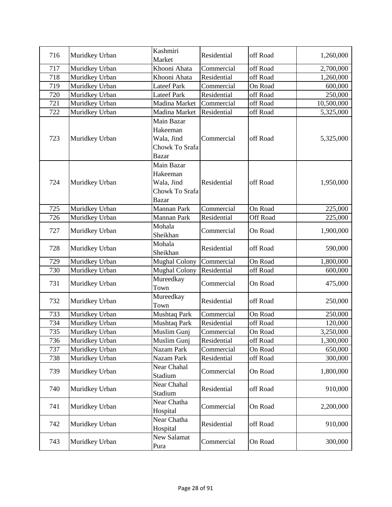| 716 | Muridkey Urban | Kashmiri<br>Market                                                     | Residential | off Road | 1,260,000  |
|-----|----------------|------------------------------------------------------------------------|-------------|----------|------------|
| 717 | Muridkey Urban | Khooni Ahata                                                           | Commercial  | off Road | 2,700,000  |
| 718 | Muridkey Urban | Khooni Ahata                                                           | Residential | off Road | 1,260,000  |
| 719 | Muridkey Urban | <b>Lateef Park</b>                                                     | Commercial  | On Road  | 600,000    |
| 720 | Muridkey Urban | <b>Lateef Park</b>                                                     | Residential | off Road | 250,000    |
| 721 | Muridkey Urban | Madina Market                                                          | Commercial  | off Road | 10,500,000 |
| 722 | Muridkey Urban | Madina Market                                                          | Residential | off Road | 5,325,000  |
| 723 | Muridkey Urban | Main Bazar<br>Hakeeman<br>Wala, Jind<br>Chowk To Srafa<br><b>Bazar</b> | Commercial  | off Road | 5,325,000  |
| 724 | Muridkey Urban | Main Bazar<br>Hakeeman<br>Wala, Jind<br>Chowk To Srafa<br><b>Bazar</b> | Residential | off Road | 1,950,000  |
| 725 | Muridkey Urban | Mannan Park                                                            | Commercial  | On Road  | 225,000    |
| 726 | Muridkey Urban | Mannan Park                                                            | Residential | Off Road | 225,000    |
| 727 | Muridkey Urban | Mohala<br>Sheikhan                                                     | Commercial  | On Road  | 1,900,000  |
| 728 | Muridkey Urban | Mohala<br>Sheikhan                                                     | Residential | off Road | 590,000    |
| 729 | Muridkey Urban | <b>Mughal Colony</b>                                                   | Commercial  | On Road  | 1,800,000  |
| 730 | Muridkey Urban | <b>Mughal Colony</b>                                                   | Residential | off Road | 600,000    |
| 731 | Muridkey Urban | Mureedkay<br>Town                                                      | Commercial  | On Road  | 475,000    |
| 732 | Muridkey Urban | Mureedkay<br>Town                                                      | Residential | off Road | 250,000    |
| 733 | Muridkey Urban | Mushtaq Park                                                           | Commercial  | On Road  | 250,000    |
| 734 | Muridkey Urban | Mushtaq Park                                                           | Residential | off Road | 120,000    |
| 735 | Muridkey Urban | Muslim Gunj                                                            | Commercial  | On Road  | 3,250,000  |
| 736 | Muridkey Urban | Muslim Gunj                                                            | Residential | off Road | 1,300,000  |
| 737 | Muridkey Urban | Nazam Park                                                             | Commercial  | On Road  | 650,000    |
| 738 | Muridkey Urban | Nazam Park                                                             | Residential | off Road | 300,000    |
| 739 | Muridkey Urban | Near Chahal<br>Stadium                                                 | Commercial  | On Road  | 1,800,000  |
| 740 | Muridkey Urban | Near Chahal<br>Stadium                                                 | Residential | off Road | 910,000    |
| 741 | Muridkey Urban | Near Chatha<br>Hospital                                                | Commercial  | On Road  | 2,200,000  |
| 742 | Muridkey Urban | Near Chatha<br>Hospital                                                | Residential | off Road | 910,000    |
| 743 | Muridkey Urban | New Salamat<br>Pura                                                    | Commercial  | On Road  | 300,000    |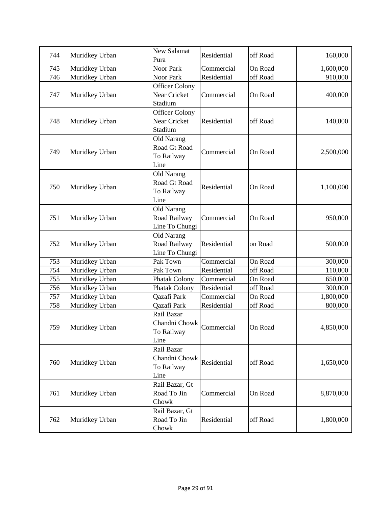| 744 | Muridkey Urban | New Salamat<br>Pura   | Residential | off Road | 160,000   |
|-----|----------------|-----------------------|-------------|----------|-----------|
| 745 | Muridkey Urban | <b>Noor Park</b>      | Commercial  | On Road  | 1,600,000 |
| 746 | Muridkey Urban | Noor Park             | Residential | off Road | 910,000   |
|     |                | <b>Officer Colony</b> |             |          |           |
| 747 | Muridkey Urban | Near Cricket          | Commercial  | On Road  | 400,000   |
|     |                | Stadium               |             |          |           |
|     |                | <b>Officer Colony</b> |             |          |           |
| 748 | Muridkey Urban | Near Cricket          | Residential | off Road | 140,000   |
|     |                | Stadium               |             |          |           |
|     |                | Old Narang            |             |          |           |
|     |                | Road Gt Road          |             |          |           |
| 749 | Muridkey Urban | To Railway            | Commercial  | On Road  | 2,500,000 |
|     |                | Line                  |             |          |           |
|     |                | Old Narang            |             |          |           |
|     |                | Road Gt Road          |             |          |           |
| 750 | Muridkey Urban | To Railway            | Residential | On Road  | 1,100,000 |
|     |                | Line                  |             |          |           |
|     |                | Old Narang            |             |          |           |
| 751 | Muridkey Urban | Road Railway          | Commercial  | On Road  | 950,000   |
|     |                | Line To Chungi        |             |          |           |
|     |                | Old Narang            |             |          |           |
| 752 | Muridkey Urban | Road Railway          | Residential | on Road  | 500,000   |
|     |                | Line To Chungi        |             |          |           |
| 753 | Muridkey Urban | Pak Town              | Commercial  | On Road  | 300,000   |
| 754 | Muridkey Urban | Pak Town              | Residential | off Road | 110,000   |
| 755 | Muridkey Urban | <b>Phatak Colony</b>  | Commercial  | On Road  | 650,000   |
| 756 | Muridkey Urban | Phatak Colony         | Residential | off Road | 300,000   |
| 757 | Muridkey Urban | Qazafi Park           | Commercial  | On Road  | 1,800,000 |
| 758 | Muridkey Urban | Qazafi Park           | Residential | off Road | 800,000   |
|     |                | Rail Bazar            |             |          |           |
| 759 | Muridkey Urban | Chandni Chowk         | Commercial  | On Road  | 4,850,000 |
|     |                | To Railway            |             |          |           |
|     |                | Line                  |             |          |           |
|     |                | Rail Bazar            |             |          |           |
| 760 |                | Chandni Chowk         | Residential | off Road | 1,650,000 |
|     | Muridkey Urban | To Railway            |             |          |           |
|     |                | Line                  |             |          |           |
|     |                | Rail Bazar, Gt        |             |          |           |
| 761 | Muridkey Urban | Road To Jin           | Commercial  | On Road  | 8,870,000 |
|     |                | Chowk                 |             |          |           |
|     |                | Rail Bazar, Gt        |             |          |           |
| 762 | Muridkey Urban | Road To Jin           | Residential | off Road | 1,800,000 |
|     |                | Chowk                 |             |          |           |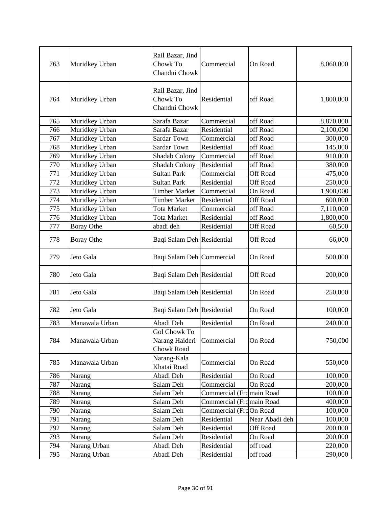| 763 | Muridkey Urban    | Rail Bazar, Jind<br>Chowk To<br>Chandni Chowk       | Commercial               | On Road         | 8,060,000 |
|-----|-------------------|-----------------------------------------------------|--------------------------|-----------------|-----------|
| 764 | Muridkey Urban    | Rail Bazar, Jind<br>Chowk To<br>Chandni Chowk       | Residential              | off Road        | 1,800,000 |
| 765 | Muridkey Urban    | Sarafa Bazar                                        | Commercial               | off Road        | 8,870,000 |
| 766 | Muridkey Urban    | Sarafa Bazar                                        | Residential              | off Road        | 2,100,000 |
| 767 | Muridkey Urban    | Sardar Town                                         | Commercial               | off Road        | 300,000   |
| 768 | Muridkey Urban    | <b>Sardar Town</b>                                  | Residential              | off Road        | 145,000   |
| 769 | Muridkey Urban    | Shadab Colony                                       | Commercial               | off Road        | 910,000   |
| 770 | Muridkey Urban    | Shadab Colony                                       | Residential              | off Road        | 380,000   |
| 771 | Muridkey Urban    | <b>Sultan Park</b>                                  | Commercial               | <b>Off Road</b> | 475,000   |
| 772 | Muridkey Urban    | Sultan Park                                         | Residential              | <b>Off Road</b> | 250,000   |
| 773 | Muridkey Urban    | <b>Timber Market</b>                                | Commercial               | On Road         | 1,900,000 |
| 774 | Muridkey Urban    | <b>Timber Market</b>                                | Residential              | <b>Off Road</b> | 600,000   |
| 775 | Muridkey Urban    | <b>Tota Market</b>                                  | Commercial               | off Road        | 7,110,000 |
| 776 | Muridkey Urban    | <b>Tota Market</b>                                  | Residential              | off Road        | 1,800,000 |
| 777 | <b>Boray Othe</b> | abadi deh                                           | Residential              | <b>Off Road</b> | 60,500    |
| 778 | <b>Boray Othe</b> | Baqi Salam Deh Residential                          |                          | Off Road        | 66,000    |
| 779 | Jeto Gala         | Baqi Salam Deh Commercial                           |                          | On Road         | 500,000   |
| 780 | Jeto Gala         | Baqi Salam Deh Residential                          |                          | Off Road        | 200,000   |
| 781 | Jeto Gala         | Baqi Salam Deh Residential                          |                          | On Road         | 250,000   |
| 782 | Jeto Gala         | Baqi Salam Deh Residential                          |                          | On Road         | 100,000   |
| 783 | Manawala Urban    | Abadi Deh                                           | Residential              | On Road         | 240,000   |
| 784 | Manawala Urban    | <b>Gol Chowk To</b><br>Narang Haideri<br>Chowk Road | Commercial               | On Road         | 750,000   |
| 785 | Manawala Urban    | Narang-Kala<br>Khatai Road                          | Commercial               | On Road         | 550,000   |
| 786 | Narang            | Abadi Deh                                           | Residential              | On Road         | 100,000   |
| 787 | Narang            | Salam Deh                                           | Commercial               | On Road         | 200,000   |
| 788 | Narang            | Salam Deh                                           | Commercial (Fromain Road |                 | 100,000   |
| 789 | Narang            | Salam Deh                                           | Commercial (Fromain Road |                 | 400,000   |
| 790 | Narang            | Salam Deh                                           | Commercial (FrdOn Road   |                 | 100,000   |
| 791 | Narang            | Salam Deh                                           | Residential              | Near Abadi deh  | 100,000   |
| 792 | Narang            | Salam Deh                                           | Residential              | Off Road        | 200,000   |
| 793 | Narang            | Salam Deh                                           | Residential              | On Road         | 200,000   |
| 794 | Narang Urban      | Abadi Deh                                           | Residential              | off road        | 220,000   |
| 795 | Narang Urban      | Abadi Deh                                           | Residential              | off road        | 290,000   |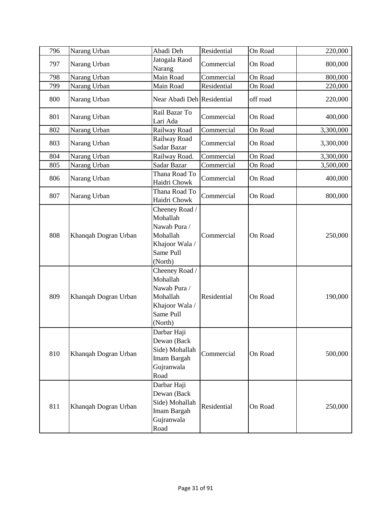| 796 | Narang Urban         | Abadi Deh                                                                                        | Residential | On Road  | 220,000   |
|-----|----------------------|--------------------------------------------------------------------------------------------------|-------------|----------|-----------|
| 797 | Narang Urban         | Jatogala Raod<br>Narang                                                                          | Commercial  | On Road  | 800,000   |
| 798 | Narang Urban         | Main Road                                                                                        | Commercial  | On Road  | 800,000   |
| 799 | Narang Urban         | Main Road                                                                                        | Residential | On Road  | 220,000   |
| 800 | Narang Urban         | Near Abadi Deh Residential                                                                       |             | off road | 220,000   |
| 801 | Narang Urban         | Rail Bazar To<br>Lari Ada                                                                        | Commercial  | On Road  | 400,000   |
| 802 | Narang Urban         | Railway Road                                                                                     | Commercial  | On Road  | 3,300,000 |
| 803 | Narang Urban         | Railway Road<br>Sadar Bazar                                                                      | Commercial  | On Road  | 3,300,000 |
| 804 | Narang Urban         | Railway Road.                                                                                    | Commercial  | On Road  | 3,300,000 |
| 805 | Narang Urban         | Sadar Bazar                                                                                      | Commercial  | On Road  | 3,500,000 |
| 806 | Narang Urban         | Thana Road To<br>Haidri Chowk                                                                    | Commercial  | On Road  | 400,000   |
| 807 | Narang Urban         | Thana Road To<br>Haidri Chowk                                                                    | Commercial  | On Road  | 800,000   |
| 808 | Khanqah Dogran Urban | Cheeney Road /<br>Mohallah<br>Nawab Pura /<br>Mohallah<br>Khajoor Wala /<br>Same Pull<br>(North) | Commercial  | On Road  | 250,000   |
| 809 | Khanqah Dogran Urban | Cheeney Road /<br>Mohallah<br>Nawab Pura /<br>Mohallah<br>Khajoor Wala /<br>Same Pull<br>(North) | Residential | On Road  | 190,000   |
| 810 | Khanqah Dogran Urban | Darbar Haji<br>Dewan (Back<br>Side) Mohallah<br>Imam Bargah<br>Gujranwala<br>Road                | Commercial  | On Road  | 500,000   |
| 811 | Khanqah Dogran Urban | Darbar Haji<br>Dewan (Back<br>Side) Mohallah<br>Imam Bargah<br>Gujranwala<br>Road                | Residential | On Road  | 250,000   |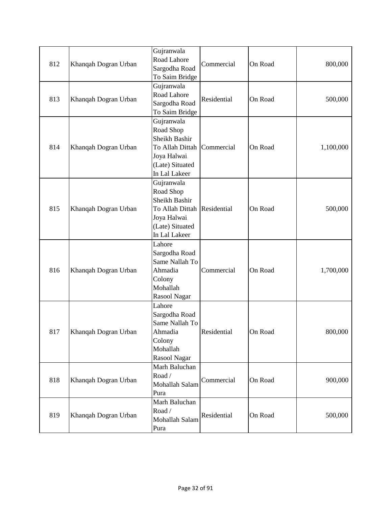| 812 | Khanqah Dogran Urban | Gujranwala<br>Road Lahore<br>Sargodha Road<br>To Saim Bridge                                                               | Commercial  | On Road | 800,000   |
|-----|----------------------|----------------------------------------------------------------------------------------------------------------------------|-------------|---------|-----------|
| 813 | Khanqah Dogran Urban | Gujranwala<br>Road Lahore<br>Sargodha Road<br>To Saim Bridge                                                               | Residential | On Road | 500,000   |
| 814 | Khanqah Dogran Urban | Gujranwala<br>Road Shop<br>Sheikh Bashir<br>To Allah Dittah<br>Joya Halwai<br>(Late) Situated<br>In Lal Lakeer             | Commercial  | On Road | 1,100,000 |
| 815 | Khanqah Dogran Urban | Gujranwala<br>Road Shop<br>Sheikh Bashir<br>To Allah Dittah Residential<br>Joya Halwai<br>(Late) Situated<br>In Lal Lakeer |             | On Road | 500,000   |
| 816 | Khanqah Dogran Urban | Lahore<br>Sargodha Road<br>Same Nallah To<br>Ahmadia<br>Colony<br>Mohallah<br>Rasool Nagar                                 | Commercial  | On Road | 1,700,000 |
| 817 | Khanqah Dogran Urban | Lahore<br>Sargodha Road<br>Same Nallah To<br>Ahmadia<br>Colony<br>Mohallah<br>Rasool Nagar                                 | Residential | On Road | 800,000   |
| 818 | Khanqah Dogran Urban | Marh Baluchan<br>Road /<br>Mohallah Salam<br>Pura                                                                          | Commercial  | On Road | 900,000   |
| 819 | Khanqah Dogran Urban | Marh Baluchan<br>Road /<br>Mohallah Salam<br>Pura                                                                          | Residential | On Road | 500,000   |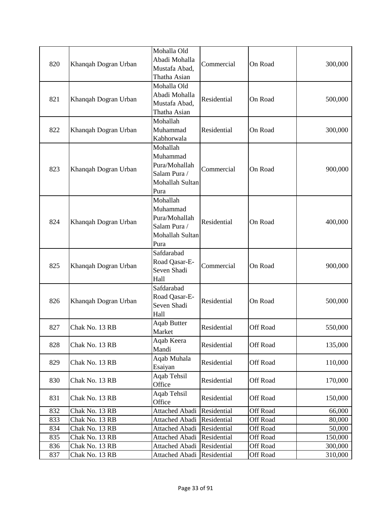| 820 | Khanqah Dogran Urban | Mohalla Old<br>Abadi Mohalla<br>Mustafa Abad,<br>Thatha Asian                    | Commercial  | On Road         | 300,000 |
|-----|----------------------|----------------------------------------------------------------------------------|-------------|-----------------|---------|
| 821 | Khanqah Dogran Urban | Mohalla Old<br>Abadi Mohalla<br>Mustafa Abad,<br>Thatha Asian                    | Residential | On Road         | 500,000 |
| 822 | Khanqah Dogran Urban | Mohallah<br>Muhammad<br>Kabhorwala                                               | Residential | On Road         | 300,000 |
| 823 | Khanqah Dogran Urban | Mohallah<br>Muhammad<br>Pura/Mohallah<br>Salam Pura /<br>Mohallah Sultan<br>Pura | Commercial  | On Road         | 900,000 |
| 824 | Khanqah Dogran Urban | Mohallah<br>Muhammad<br>Pura/Mohallah<br>Salam Pura /<br>Mohallah Sultan<br>Pura | Residential | On Road         | 400,000 |
| 825 | Khanqah Dogran Urban | Safdarabad<br>Road Qasar-E-<br>Seven Shadi<br>Hall                               | Commercial  | On Road         | 900,000 |
| 826 | Khanqah Dogran Urban | Safdarabad<br>Road Qasar-E-<br>Seven Shadi<br>Hall                               | Residential | On Road         | 500,000 |
| 827 | Chak No. 13 RB       | <b>Aqab Butter</b><br>Market                                                     | Residential | Off Road        | 550,000 |
| 828 | Chak No. 13 RB       | Aqab Keera<br>Mandi                                                              | Residential | <b>Off Road</b> | 135,000 |
| 829 | Chak No. 13 RB       | Aqab Muhala<br>Esaiyan                                                           | Residential | <b>Off Road</b> | 110,000 |
| 830 | Chak No. 13 RB       | Aqab Tehsil<br>Office                                                            | Residential | Off Road        | 170,000 |
| 831 | Chak No. 13 RB       | <b>Aqab Tehsil</b><br>Office                                                     | Residential | <b>Off Road</b> | 150,000 |
| 832 | Chak No. 13 RB       | <b>Attached Abadi</b>                                                            | Residential | <b>Off Road</b> | 66,000  |
| 833 | Chak No. 13 RB       | <b>Attached Abadi</b>                                                            | Residential | Off Road        | 80,000  |
| 834 | Chak No. 13 RB       | Attached Abadi                                                                   | Residential | Off Road        | 50,000  |
| 835 | Chak No. 13 RB       | <b>Attached Abadi</b>                                                            | Residential | <b>Off Road</b> | 150,000 |
| 836 | Chak No. 13 RB       | Attached Abadi                                                                   | Residential | <b>Off Road</b> | 300,000 |
| 837 | Chak No. 13 RB       | Attached Abadi                                                                   | Residential | Off Road        | 310,000 |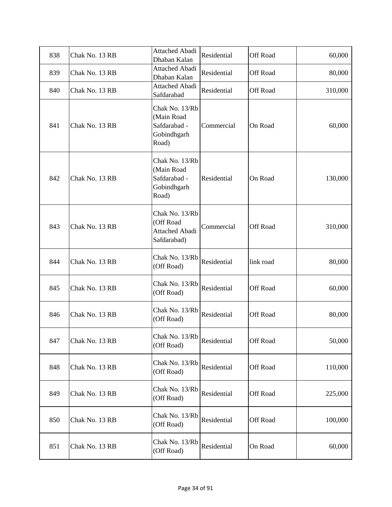| 838 | Chak No. 13 RB | <b>Attached Abadi</b><br>Dhaban Kalan                                | Residential | Off Road  | 60,000  |
|-----|----------------|----------------------------------------------------------------------|-------------|-----------|---------|
| 839 | Chak No. 13 RB | <b>Attached Abadi</b><br>Dhaban Kalan                                | Residential | Off Road  | 80,000  |
| 840 | Chak No. 13 RB | <b>Attached Abadi</b><br>Safdarabad                                  | Residential | Off Road  | 310,000 |
| 841 | Chak No. 13 RB | Chak No. 13/Rb<br>(Main Road<br>Safdarabad -<br>Gobindhgarh<br>Road) | Commercial  | On Road   | 60,000  |
| 842 | Chak No. 13 RB | Chak No. 13/Rb<br>(Main Road<br>Safdarabad -<br>Gobindhgarh<br>Road) | Residential | On Road   | 130,000 |
| 843 | Chak No. 13 RB | Chak No. 13/Rb<br>(Off Road<br><b>Attached Abadi</b><br>Safdarabad)  | Commercial  | Off Road  | 310,000 |
| 844 | Chak No. 13 RB | Chak No. 13/Rb<br>(Off Road)                                         | Residential | link road | 80,000  |
| 845 | Chak No. 13 RB | Chak No. 13/Rb<br>(Off Road)                                         | Residential | Off Road  | 60,000  |
| 846 | Chak No. 13 RB | Chak No. 13/Rb<br>(Off Road)                                         | Residential | Off Road  | 80,000  |
| 847 | Chak No. 13 RB | Chak No. 13/Rb<br>(Off Road)                                         | Residential | Off Road  | 50,000  |
| 848 | Chak No. 13 RB | Chak No. 13/Rb<br>(Off Road)                                         | Residential | Off Road  | 110,000 |
| 849 | Chak No. 13 RB | Chak No. 13/Rb<br>(Off Road)                                         | Residential | Off Road  | 225,000 |
| 850 | Chak No. 13 RB | Chak No. 13/Rb<br>(Off Road)                                         | Residential | Off Road  | 100,000 |
| 851 | Chak No. 13 RB | Chak No. 13/Rb<br>(Off Road)                                         | Residential | On Road   | 60,000  |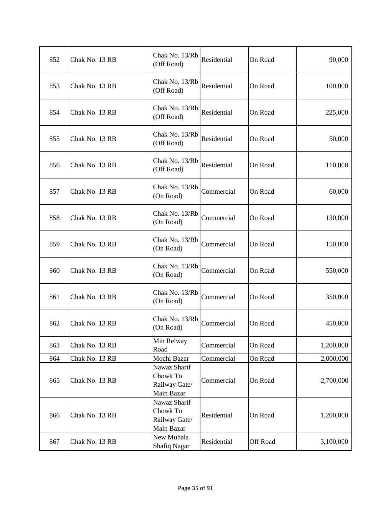| 852 | Chak No. 13 RB | Chak No. 13/Rb<br>(Off Road)                            | Residential | On Road  | 90,000    |
|-----|----------------|---------------------------------------------------------|-------------|----------|-----------|
| 853 | Chak No. 13 RB | Chak No. 13/Rb<br>(Off Road)                            | Residential | On Road  | 100,000   |
| 854 | Chak No. 13 RB | Chak No. 13/Rb<br>(Off Road)                            | Residential | On Road  | 225,000   |
| 855 | Chak No. 13 RB | Chak No. 13/Rb<br>(Off Road)                            | Residential | On Road  | 50,000    |
| 856 | Chak No. 13 RB | Chak No. 13/Rb<br>(Off Road)                            | Residential | On Road  | 110,000   |
| 857 | Chak No. 13 RB | Chak No. 13/Rb<br>(On Road)                             | Commercial  | On Road  | 60,000    |
| 858 | Chak No. 13 RB | Chak No. 13/Rb<br>(On Road)                             | Commercial  | On Road  | 130,000   |
| 859 | Chak No. 13 RB | Chak No. 13/Rb<br>(On Road)                             | Commercial  | On Road  | 150,000   |
| 860 | Chak No. 13 RB | Chak No. 13/Rb<br>(On Road)                             | Commercial  | On Road  | 550,000   |
| 861 | Chak No. 13 RB | Chak No. 13/Rb<br>(On Road)                             | Commercial  | On Road  | 350,000   |
| 862 | Chak No. 13 RB | Chak No. 13/Rb<br>(On Road)                             | Commercial  | On Road  | 450,000   |
| 863 | Chak No. 13 RB | Min Relway<br>Road                                      | Commercial  | On Road  | 1,200,000 |
| 864 | Chak No. 13 RB | Mochi Bazar                                             | Commercial  | On Road  | 2,000,000 |
| 865 | Chak No. 13 RB | Nawaz Sharif<br>Chowk To<br>Railway Gate/<br>Main Bazar | Commercial  | On Road  | 2,700,000 |
| 866 | Chak No. 13 RB | Nawaz Sharif<br>Chowk To<br>Railway Gate/<br>Main Bazar | Residential | On Road  | 1,200,000 |
| 867 | Chak No. 13 RB | New Muhala<br><b>Shafiq Nagar</b>                       | Residential | Off Road | 3,100,000 |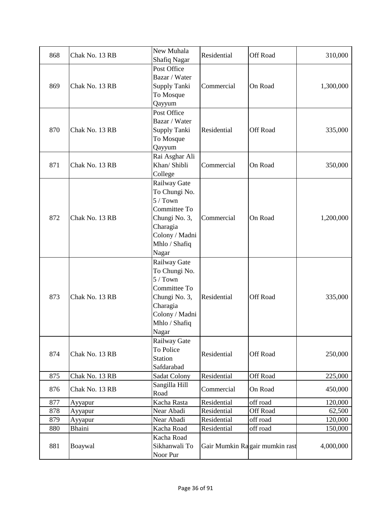| 868 | Chak No. 13 RB | New Muhala<br><b>Shafiq Nagar</b>                                                                                                   | Residential | Off Road                       | 310,000   |
|-----|----------------|-------------------------------------------------------------------------------------------------------------------------------------|-------------|--------------------------------|-----------|
| 869 | Chak No. 13 RB | Post Office<br>Bazar / Water<br>Supply Tanki<br>To Mosque<br>Qayyum                                                                 | Commercial  | On Road                        | 1,300,000 |
| 870 | Chak No. 13 RB | Post Office<br>Bazar / Water<br>Supply Tanki<br>To Mosque<br>Qayyum                                                                 | Residential | Off Road                       | 335,000   |
| 871 | Chak No. 13 RB | Rai Asghar Ali<br>Khan/ Shibli<br>College                                                                                           | Commercial  | On Road                        | 350,000   |
| 872 | Chak No. 13 RB | Railway Gate<br>To Chungi No.<br>$5/$ Town<br>Committee To<br>Chungi No. 3,<br>Charagia<br>Colony / Madni<br>Mhlo / Shafiq<br>Nagar | Commercial  | On Road                        | 1,200,000 |
| 873 | Chak No. 13 RB | Railway Gate<br>To Chungi No.<br>$5/$ Town<br>Committee To<br>Chungi No. 3,<br>Charagia<br>Colony / Madni<br>Mhlo / Shafiq<br>Nagar | Residential | Off Road                       | 335,000   |
| 874 | Chak No. 13 RB | Railway Gate<br>To Police<br>Station<br>Safdarabad                                                                                  | Residential | Off Road                       | 250,000   |
| 875 | Chak No. 13 RB | Sadat Colony                                                                                                                        | Residential | Off Road                       | 225,000   |
| 876 | Chak No. 13 RB | Sangilla Hill<br>Road                                                                                                               | Commercial  | On Road                        | 450,000   |
| 877 | Ayyapur        | Kacha Rasta                                                                                                                         | Residential | off road                       | 120,000   |
| 878 | Ayyapur        | Near Abadi                                                                                                                          | Residential | <b>Off Road</b>                | 62,500    |
| 879 | Ayyapur        | Near Abadi                                                                                                                          | Residential | off road                       | 120,000   |
| 880 | <b>Bhaini</b>  | Kacha Road                                                                                                                          | Residential | off road                       | 150,000   |
| 881 | Boaywal        | Kacha Road<br>Sikhanwali To<br>Noor Pur                                                                                             |             | Gair Mumkin Ragair mumkin rast | 4,000,000 |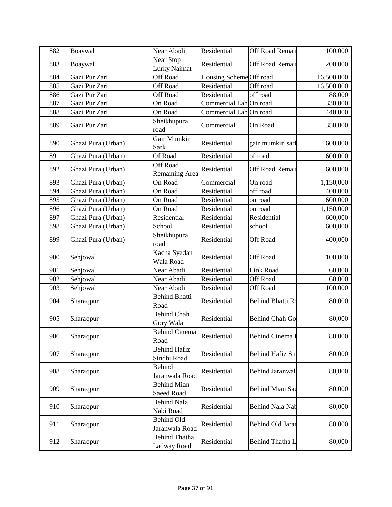| 882 | Boaywal            | Near Abadi                          | Residential             | Off Road Remain        | 100,000    |
|-----|--------------------|-------------------------------------|-------------------------|------------------------|------------|
| 883 | Boaywal            | Near Stop<br>Lurky Naimat           | Residential             | Off Road Remain        | 200,000    |
| 884 | Gazi Pur Zari      | <b>Off Road</b>                     | Housing Scheme Off road |                        | 16,500,000 |
| 885 | Gazi Pur Zari      | <b>Off Road</b>                     | Residential             | Off road               | 16,500,000 |
| 886 | Gazi Pur Zari      | Off Road                            | Residential             | off road               | 88,000     |
| 887 | Gazi Pur Zari      | On Road                             | Commercial Lah On road  |                        | 330,000    |
| 888 | Gazi Pur Zari      | On Road                             | Commercial LahOn road   |                        | 440,000    |
| 889 | Gazi Pur Zari      | Sheikhupura<br>road                 | Commercial              | On Road                | 350,000    |
| 890 | Ghazi Pura (Urban) | Gair Mumkin<br>Sark                 | Residential             | gair mumkin sarl       | 600,000    |
| 891 | Ghazi Pura (Urban) | Of Road                             | Residential             | of road                | 600,000    |
| 892 | Ghazi Pura (Urban) | <b>Off Road</b><br>Remaining Area   | Residential             | Off Road Remain        | 600,000    |
| 893 | Ghazi Pura (Urban) | On Road                             | Commercial              | On road                | 1,150,000  |
| 894 | Ghazi Pura (Urban) | On Road                             | Residential             | off road               | 400,000    |
| 895 | Ghazi Pura (Urban) | On Road                             | Residential             | on road                | 600,000    |
| 896 | Ghazi Pura (Urban) | On Road                             | Residential             | on road                | 1,150,000  |
| 897 | Ghazi Pura (Urban) | Residential                         | Residential             | Residential            | 600,000    |
| 898 | Ghazi Pura (Urban) | School                              | Residential             | school                 | 600,000    |
| 899 | Ghazi Pura (Urban) | Sheikhupura<br>road                 | Residential             | Off Road               | 400,000    |
| 900 | Sehjowal           | Kacha Syedan<br>Wala Road           | Residential             | Off Road               | 100,000    |
| 901 | Sehjowal           | Near Abadi                          | Residential             | Link Road              | 60,000     |
| 902 | Sehjowal           | Near Abadi                          | Residential             | Off Road               | 60,000     |
| 903 | Sehjowal           | Near Abadi                          | Residential             | Off Road               | 100,000    |
| 904 | Sharaqpur          | <b>Behind Bhatti</b><br>Road        | Residential             | Behind Bhatti Ro       | 80,000     |
| 905 | Sharaqpur          | <b>Behind Chah</b><br>Gory Wala     | Residential             | Behind Chah Go         | 80,000     |
| 906 | Sharaqpur          | <b>Behind Cinema</b><br>Road        | Residential             | Behind Cinema I        | 80,000     |
| 907 | Sharaqpur          | <b>Behind Hafiz</b><br>Sindhi Road  | Residential             | Behind Hafiz Sir       | 80,000     |
| 908 | Sharaqpur          | <b>Behind</b><br>Jaranwala Road     | Residential             | <b>Behind Jaranwal</b> | 80,000     |
| 909 | Sharaqpur          | <b>Behind Mian</b><br>Saeed Road    | Residential             | Behind Mian Sae        | 80,000     |
| 910 | Sharaqpur          | <b>Behind Nala</b><br>Nabi Road     | Residential             | Behind Nala Nab        | 80,000     |
| 911 | Sharaqpur          | Behind Old<br>Jaranwala Road        | Residential             | Behind Old Jarar       | 80,000     |
| 912 | Sharaqpur          | <b>Behind Thatha</b><br>Ladway Road | Residential             | Behind Thatha L        | 80,000     |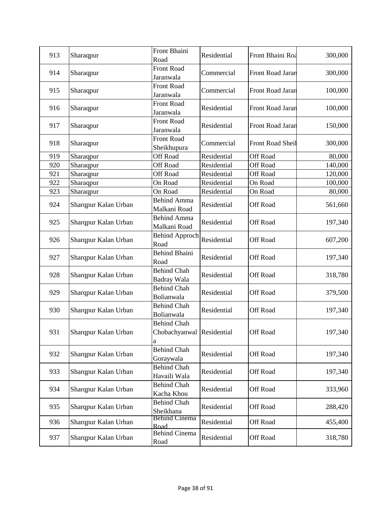| 913 | Sharaqpur            | Front Bhaini<br>Road                                 | Residential | Front Bhaini Roa | 300,000 |
|-----|----------------------|------------------------------------------------------|-------------|------------------|---------|
| 914 | Sharaqpur            | Front Road<br>Jaranwala                              | Commercial  | Front Road Jaran | 300,000 |
| 915 | Sharaqpur            | Front Road<br>Jaranwala                              | Commercial  | Front Road Jaran | 100,000 |
| 916 | Sharaqpur            | <b>Front Road</b><br>Jaranwala                       | Residential | Front Road Jaran | 100,000 |
| 917 | Sharaqpur            | Front Road<br>Jaranwala                              | Residential | Front Road Jaran | 150,000 |
| 918 | Sharaqpur            | <b>Front Road</b><br>Sheikhupura                     | Commercial  | Front Road Sheil | 300,000 |
| 919 | Sharaqpur            | <b>Off Road</b>                                      | Residential | <b>Off Road</b>  | 80,000  |
| 920 | Sharaqpur            | Off Road                                             | Residential | Off Road         | 140,000 |
| 921 | Sharaqpur            | <b>Off Road</b>                                      | Residential | <b>Off Road</b>  | 120,000 |
| 922 | Sharaqpur            | On Road                                              | Residential | On Road          | 100,000 |
| 923 | Sharaqpur            | On Road                                              | Residential | On Road          | 80,000  |
| 924 | Sharqpur Kalan Urban | <b>Behind Amma</b><br>Malkani Road                   | Residential | Off Road         | 561,660 |
| 925 | Sharqpur Kalan Urban | <b>Behind Amma</b><br>Malkani Road                   | Residential | Off Road         | 197,340 |
| 926 | Sharqpur Kalan Urban | <b>Behind Approch</b><br>Road                        | Residential | Off Road         | 607,200 |
| 927 | Sharqpur Kalan Urban | <b>Behind Bhaini</b><br>Road                         | Residential | Off Road         | 197,340 |
| 928 | Sharqpur Kalan Urban | <b>Behind Chah</b><br>Badray Wala                    | Residential | Off Road         | 318,780 |
| 929 | Sharqpur Kalan Urban | <b>Behind Chah</b><br>Bolianwala                     | Residential | Off Road         | 379,500 |
| 930 | Sharqpur Kalan Urban | <b>Behind Chah</b><br>Bolianwala                     | Residential | Off Road         | 197,340 |
| 931 | Sharqpur Kalan Urban | <b>Behind Chah</b><br>Chobachyanwal Residential<br>a |             | <b>Off Road</b>  | 197,340 |
| 932 | Sharqpur Kalan Urban | <b>Behind Chah</b><br>Goraywala                      | Residential | Off Road         | 197,340 |
| 933 | Sharqpur Kalan Urban | <b>Behind Chah</b><br>Havaili Wala                   | Residential | Off Road         | 197,340 |
| 934 | Sharqpur Kalan Urban | <b>Behind Chah</b><br>Kacha Khou                     | Residential | <b>Off Road</b>  | 333,960 |
| 935 | Sharqpur Kalan Urban | <b>Behind Chah</b><br>Sheikhana                      | Residential | Off Road         | 288,420 |
| 936 | Sharqpur Kalan Urban | <b>Behind Cinema</b><br>Road                         | Residential | Off Road         | 455,400 |
| 937 | Sharqpur Kalan Urban | <b>Behind Cinema</b><br>Road                         | Residential | Off Road         | 318,780 |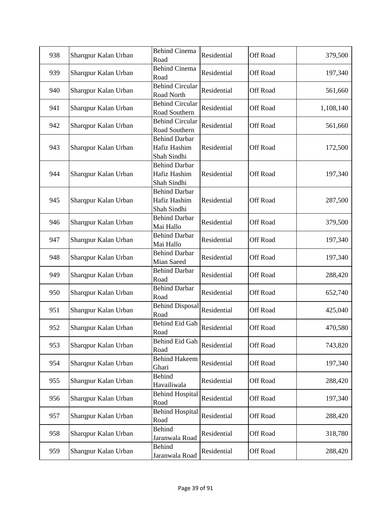| 938 | Sharqpur Kalan Urban | <b>Behind Cinema</b><br>Road                        | Residential | Off Road        | 379,500   |
|-----|----------------------|-----------------------------------------------------|-------------|-----------------|-----------|
| 939 | Sharqpur Kalan Urban | <b>Behind Cinema</b><br>Road                        | Residential | Off Road        | 197,340   |
| 940 | Sharqpur Kalan Urban | <b>Behind Circular</b><br>Road North                | Residential | <b>Off Road</b> | 561,660   |
| 941 | Sharqpur Kalan Urban | <b>Behind Circular</b><br>Road Southern             | Residential | Off Road        | 1,108,140 |
| 942 | Sharqpur Kalan Urban | <b>Behind Circular</b><br>Road Southern             | Residential | Off Road        | 561,660   |
| 943 | Sharqpur Kalan Urban | <b>Behind Darbar</b><br>Hafiz Hashim<br>Shah Sindhi | Residential | Off Road        | 172,500   |
| 944 | Sharqpur Kalan Urban | <b>Behind Darbar</b><br>Hafiz Hashim<br>Shah Sindhi | Residential | Off Road        | 197,340   |
| 945 | Sharqpur Kalan Urban | <b>Behind Darbar</b><br>Hafiz Hashim<br>Shah Sindhi | Residential | Off Road        | 287,500   |
| 946 | Sharqpur Kalan Urban | <b>Behind Darbar</b><br>Mai Hallo                   | Residential | Off Road        | 379,500   |
| 947 | Sharqpur Kalan Urban | <b>Behind Darbar</b><br>Mai Hallo                   | Residential | Off Road        | 197,340   |
| 948 | Sharqpur Kalan Urban | <b>Behind Darbar</b><br>Mian Saeed                  | Residential | <b>Off Road</b> | 197,340   |
| 949 | Sharqpur Kalan Urban | <b>Behind Darbar</b><br>Road                        | Residential | Off Road        | 288,420   |
| 950 | Sharqpur Kalan Urban | <b>Behind Darbar</b><br>Road                        | Residential | Off Road        | 652,740   |
| 951 | Sharqpur Kalan Urban | <b>Behind Disposal</b><br>Road                      | Residential | <b>Off Road</b> | 425,040   |
| 952 | Sharqpur Kalan Urban | Behind Eid Gah<br>Road                              | Residential | Off Road        | 470,580   |
| 953 | Sharqpur Kalan Urban | Behind Eid Gah<br>Road                              | Residential | Off Road        | 743,820   |
| 954 | Sharqpur Kalan Urban | <b>Behind Hakeem</b><br>Ghari                       | Residential | Off Road        | 197,340   |
| 955 | Sharqpur Kalan Urban | <b>Behind</b><br>Havailiwala                        | Residential | Off Road        | 288,420   |
| 956 | Sharqpur Kalan Urban | <b>Behind Hospital</b><br>Road                      | Residential | Off Road        | 197,340   |
| 957 | Sharqpur Kalan Urban | <b>Behind Hospital</b><br>Road                      | Residential | Off Road        | 288,420   |
| 958 | Sharqpur Kalan Urban | Behind<br>Jaranwala Road                            | Residential | Off Road        | 318,780   |
| 959 | Sharqpur Kalan Urban | Behind<br>Jaranwala Road                            | Residential | Off Road        | 288,420   |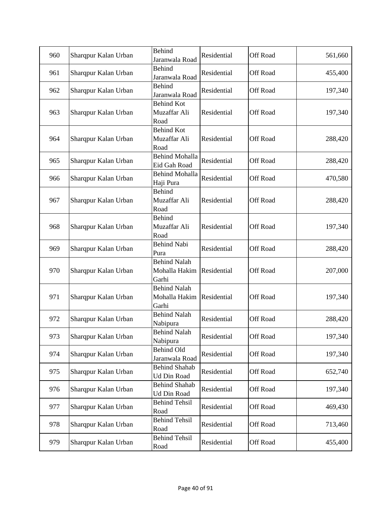| 960 | Sharqpur Kalan Urban | <b>Behind</b><br>Jaranwala Road               | Residential | Off Road        | 561,660 |
|-----|----------------------|-----------------------------------------------|-------------|-----------------|---------|
| 961 | Sharqpur Kalan Urban | <b>Behind</b><br>Jaranwala Road               | Residential | Off Road        | 455,400 |
| 962 | Sharqpur Kalan Urban | <b>Behind</b><br>Jaranwala Road               | Residential | <b>Off Road</b> | 197,340 |
| 963 | Sharqpur Kalan Urban | <b>Behind Kot</b><br>Muzaffar Ali<br>Road     | Residential | Off Road        | 197,340 |
| 964 | Sharqpur Kalan Urban | <b>Behind Kot</b><br>Muzaffar Ali<br>Road     | Residential | Off Road        | 288,420 |
| 965 | Sharqpur Kalan Urban | <b>Behind Mohalla</b><br>Eid Gah Road         | Residential | Off Road        | 288,420 |
| 966 | Sharqpur Kalan Urban | <b>Behind Mohalla</b><br>Haji Pura            | Residential | Off Road        | 470,580 |
| 967 | Sharqpur Kalan Urban | <b>Behind</b><br>Muzaffar Ali<br>Road         | Residential | <b>Off Road</b> | 288,420 |
| 968 | Sharqpur Kalan Urban | <b>Behind</b><br>Muzaffar Ali<br>Road         | Residential | Off Road        | 197,340 |
| 969 | Sharqpur Kalan Urban | <b>Behind Nabi</b><br>Pura                    | Residential | <b>Off Road</b> | 288,420 |
| 970 | Sharqpur Kalan Urban | <b>Behind Nalah</b><br>Mohalla Hakim<br>Garhi | Residential | Off Road        | 207,000 |
| 971 | Sharqpur Kalan Urban | <b>Behind Nalah</b><br>Mohalla Hakim<br>Garhi | Residential | Off Road        | 197,340 |
| 972 | Sharqpur Kalan Urban | <b>Behind Nalah</b><br>Nabipura               | Residential | Off Road        | 288,420 |
| 973 | Sharqpur Kalan Urban | <b>Behind Nalah</b><br>Nabipura               | Residential | Off Road        | 197,340 |
| 974 | Sharqpur Kalan Urban | Behind Old<br>Jaranwala Road                  | Residential | Off Road        | 197,340 |
| 975 | Sharqpur Kalan Urban | <b>Behind Shahab</b><br><b>Ud Din Road</b>    | Residential | Off Road        | 652,740 |
| 976 | Sharqpur Kalan Urban | <b>Behind Shahab</b><br>Ud Din Road           | Residential | Off Road        | 197,340 |
| 977 | Sharqpur Kalan Urban | <b>Behind Tehsil</b><br>Road                  | Residential | Off Road        | 469,430 |
| 978 | Sharqpur Kalan Urban | <b>Behind Tehsil</b><br>Road                  | Residential | Off Road        | 713,460 |
| 979 | Sharqpur Kalan Urban | <b>Behind Tehsil</b><br>Road                  | Residential | Off Road        | 455,400 |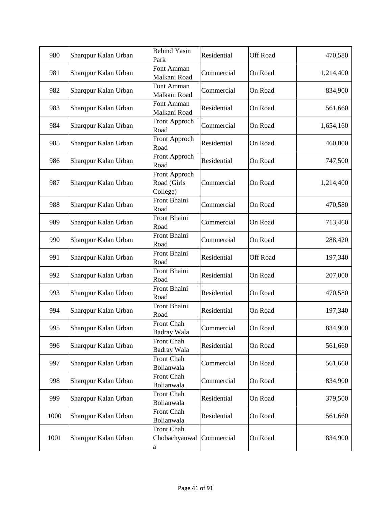| 980  | Sharqpur Kalan Urban | <b>Behind Yasin</b><br>Park              | Residential | Off Road | 470,580   |
|------|----------------------|------------------------------------------|-------------|----------|-----------|
| 981  | Sharqpur Kalan Urban | Font Amman<br>Malkani Road               | Commercial  | On Road  | 1,214,400 |
| 982  | Sharqpur Kalan Urban | Font Amman<br>Malkani Road               | Commercial  | On Road  | 834,900   |
| 983  | Sharqpur Kalan Urban | Font Amman<br>Malkani Road               | Residential | On Road  | 561,660   |
| 984  | Sharqpur Kalan Urban | Front Approch<br>Road                    | Commercial  | On Road  | 1,654,160 |
| 985  | Sharqpur Kalan Urban | Front Approch<br>Road                    | Residential | On Road  | 460,000   |
| 986  | Sharqpur Kalan Urban | Front Approch<br>Road                    | Residential | On Road  | 747,500   |
| 987  | Sharqpur Kalan Urban | Front Approch<br>Road (Girls<br>College) | Commercial  | On Road  | 1,214,400 |
| 988  | Sharqpur Kalan Urban | Front Bhaini<br>Road                     | Commercial  | On Road  | 470,580   |
| 989  | Sharqpur Kalan Urban | Front Bhaini<br>Road                     | Commercial  | On Road  | 713,460   |
| 990  | Sharqpur Kalan Urban | Front Bhaini<br>Road                     | Commercial  | On Road  | 288,420   |
| 991  | Sharqpur Kalan Urban | Front Bhaini<br>Road                     | Residential | Off Road | 197,340   |
| 992  | Sharqpur Kalan Urban | Front Bhaini<br>Road                     | Residential | On Road  | 207,000   |
| 993  | Sharqpur Kalan Urban | Front Bhaini<br>Road                     | Residential | On Road  | 470,580   |
| 994  | Sharqpur Kalan Urban | Front Bhaini<br>Road                     | Residential | On Road  | 197,340   |
| 995  | Sharqpur Kalan Urban | Front Chah<br>Badray Wala                | Commercial  | On Road  | 834,900   |
| 996  | Sharqpur Kalan Urban | Front Chah<br>Badray Wala                | Residential | On Road  | 561,660   |
| 997  | Sharqpur Kalan Urban | Front Chah<br>Bolianwala                 | Commercial  | On Road  | 561,660   |
| 998  | Sharqpur Kalan Urban | Front Chah<br>Bolianwala                 | Commercial  | On Road  | 834,900   |
| 999  | Sharqpur Kalan Urban | Front Chah<br>Bolianwala                 | Residential | On Road  | 379,500   |
| 1000 | Sharqpur Kalan Urban | Front Chah<br>Bolianwala                 | Residential | On Road  | 561,660   |
| 1001 | Sharqpur Kalan Urban | Front Chah<br>Chobachyanwal<br>a         | Commercial  | On Road  | 834,900   |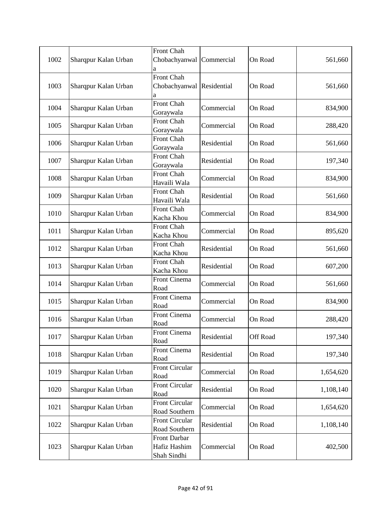| 1002 | Sharqpur Kalan Urban | Front Chah<br>Chobachyanwal<br>а                   | Commercial  | On Road  | 561,660   |
|------|----------------------|----------------------------------------------------|-------------|----------|-----------|
| 1003 | Sharqpur Kalan Urban | Front Chah<br>Chobachyanwal Residential<br>а       |             | On Road  | 561,660   |
| 1004 | Sharqpur Kalan Urban | Front Chah<br>Goraywala                            | Commercial  | On Road  | 834,900   |
| 1005 | Sharqpur Kalan Urban | Front Chah<br>Goraywala                            | Commercial  | On Road  | 288,420   |
| 1006 | Sharqpur Kalan Urban | Front Chah<br>Goraywala                            | Residential | On Road  | 561,660   |
| 1007 | Sharqpur Kalan Urban | Front Chah<br>Goraywala                            | Residential | On Road  | 197,340   |
| 1008 | Sharqpur Kalan Urban | Front Chah<br>Havaili Wala                         | Commercial  | On Road  | 834,900   |
| 1009 | Sharqpur Kalan Urban | Front Chah<br>Havaili Wala                         | Residential | On Road  | 561,660   |
| 1010 | Sharqpur Kalan Urban | Front Chah<br>Kacha Khou                           | Commercial  | On Road  | 834,900   |
| 1011 | Sharqpur Kalan Urban | Front Chah<br>Kacha Khou                           | Commercial  | On Road  | 895,620   |
| 1012 | Sharqpur Kalan Urban | Front Chah<br>Kacha Khou                           | Residential | On Road  | 561,660   |
| 1013 | Sharqpur Kalan Urban | Front Chah<br>Kacha Khou                           | Residential | On Road  | 607,200   |
| 1014 | Sharqpur Kalan Urban | Front Cinema<br>Road                               | Commercial  | On Road  | 561,660   |
| 1015 | Sharqpur Kalan Urban | Front Cinema<br>Road                               | Commercial  | On Road  | 834,900   |
| 1016 | Sharqpur Kalan Urban | Front Cinema<br>Road                               | Commercial  | On Road  | 288,420   |
| 1017 | Sharqpur Kalan Urban | Front Cinema<br>Road                               | Residential | Off Road | 197,340   |
| 1018 | Sharqpur Kalan Urban | Front Cinema<br>Road                               | Residential | On Road  | 197,340   |
| 1019 | Sharqpur Kalan Urban | <b>Front Circular</b><br>Road                      | Commercial  | On Road  | 1,654,620 |
| 1020 | Sharqpur Kalan Urban | <b>Front Circular</b><br>Road                      | Residential | On Road  | 1,108,140 |
| 1021 | Sharqpur Kalan Urban | <b>Front Circular</b><br>Road Southern             | Commercial  | On Road  | 1,654,620 |
| 1022 | Sharqpur Kalan Urban | <b>Front Circular</b><br>Road Southern             | Residential | On Road  | 1,108,140 |
| 1023 | Sharqpur Kalan Urban | <b>Front Darbar</b><br>Hafiz Hashim<br>Shah Sindhi | Commercial  | On Road  | 402,500   |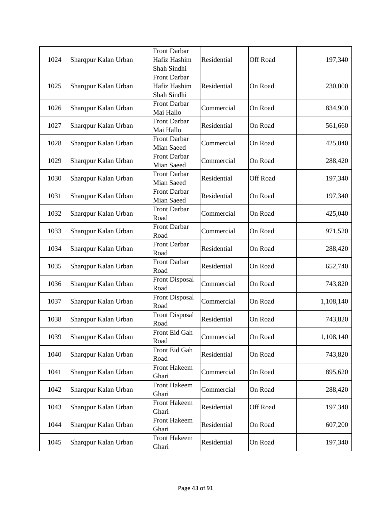| 1024 | Sharqpur Kalan Urban | Front Darbar<br>Hafiz Hashim                | Residential | Off Road | 197,340   |
|------|----------------------|---------------------------------------------|-------------|----------|-----------|
|      |                      | Shah Sindhi                                 |             |          |           |
| 1025 | Sharqpur Kalan Urban | Front Darbar<br>Hafiz Hashim<br>Shah Sindhi | Residential | On Road  | 230,000   |
| 1026 | Sharqpur Kalan Urban | <b>Front Darbar</b><br>Mai Hallo            | Commercial  | On Road  | 834,900   |
| 1027 | Sharqpur Kalan Urban | <b>Front Darbar</b><br>Mai Hallo            | Residential | On Road  | 561,660   |
| 1028 | Sharqpur Kalan Urban | <b>Front Darbar</b><br>Mian Saeed           | Commercial  | On Road  | 425,040   |
| 1029 | Sharqpur Kalan Urban | <b>Front Darbar</b><br>Mian Saeed           | Commercial  | On Road  | 288,420   |
| 1030 | Sharqpur Kalan Urban | <b>Front Darbar</b><br>Mian Saeed           | Residential | Off Road | 197,340   |
| 1031 | Sharqpur Kalan Urban | <b>Front Darbar</b><br>Mian Saeed           | Residential | On Road  | 197,340   |
| 1032 | Sharqpur Kalan Urban | Front Darbar<br>Road                        | Commercial  | On Road  | 425,040   |
| 1033 | Sharqpur Kalan Urban | <b>Front Darbar</b><br>Road                 | Commercial  | On Road  | 971,520   |
| 1034 | Sharqpur Kalan Urban | Front Darbar<br>Road                        | Residential | On Road  | 288,420   |
| 1035 | Sharqpur Kalan Urban | <b>Front Darbar</b><br>Road                 | Residential | On Road  | 652,740   |
| 1036 | Sharqpur Kalan Urban | <b>Front Disposal</b><br>Road               | Commercial  | On Road  | 743,820   |
| 1037 | Sharqpur Kalan Urban | <b>Front Disposal</b><br>Road               | Commercial  | On Road  | 1,108,140 |
| 1038 | Sharqpur Kalan Urban | <b>Front Disposal</b><br>Road               | Residential | On Road  | 743,820   |
| 1039 | Sharqpur Kalan Urban | Front Eid Gah<br>Road                       | Commercial  | On Road  | 1,108,140 |
| 1040 | Sharqpur Kalan Urban | Front Eid Gah<br>Road                       | Residential | On Road  | 743,820   |
| 1041 | Sharqpur Kalan Urban | Front Hakeem<br>Ghari                       | Commercial  | On Road  | 895,620   |
| 1042 | Sharqpur Kalan Urban | <b>Front Hakeem</b><br>Ghari                | Commercial  | On Road  | 288,420   |
| 1043 | Sharqpur Kalan Urban | <b>Front Hakeem</b><br>Ghari                | Residential | Off Road | 197,340   |
| 1044 | Sharqpur Kalan Urban | Front Hakeem<br>Ghari                       | Residential | On Road  | 607,200   |
| 1045 | Sharqpur Kalan Urban | Front Hakeem<br>Ghari                       | Residential | On Road  | 197,340   |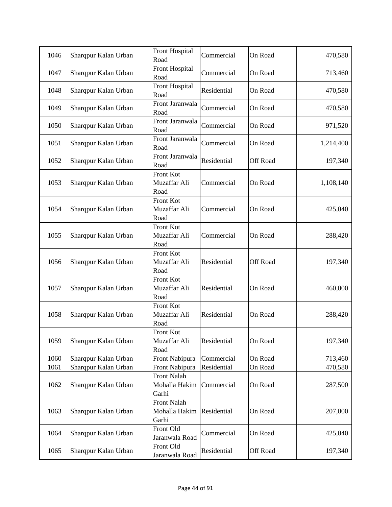| 1046 | Sharqpur Kalan Urban | <b>Front Hospital</b><br>Road                | Commercial  | On Road  | 470,580   |
|------|----------------------|----------------------------------------------|-------------|----------|-----------|
| 1047 | Sharqpur Kalan Urban | Front Hospital<br>Road                       | Commercial  | On Road  | 713,460   |
| 1048 | Sharqpur Kalan Urban | Front Hospital<br>Road                       | Residential | On Road  | 470,580   |
| 1049 | Sharqpur Kalan Urban | Front Jaranwala<br>Road                      | Commercial  | On Road  | 470,580   |
| 1050 | Sharqpur Kalan Urban | Front Jaranwala<br>Road                      | Commercial  | On Road  | 971,520   |
| 1051 | Sharqpur Kalan Urban | Front Jaranwala<br>Road                      | Commercial  | On Road  | 1,214,400 |
| 1052 | Sharqpur Kalan Urban | Front Jaranwala<br>Road                      | Residential | Off Road | 197,340   |
| 1053 | Sharqpur Kalan Urban | Front Kot<br>Muzaffar Ali<br>Road            | Commercial  | On Road  | 1,108,140 |
| 1054 | Sharqpur Kalan Urban | Front Kot<br>Muzaffar Ali<br>Road            | Commercial  | On Road  | 425,040   |
| 1055 | Sharqpur Kalan Urban | Front Kot<br>Muzaffar Ali<br>Road            | Commercial  | On Road  | 288,420   |
| 1056 | Sharqpur Kalan Urban | Front Kot<br>Muzaffar Ali<br>Road            | Residential | Off Road | 197,340   |
| 1057 | Sharqpur Kalan Urban | Front Kot<br>Muzaffar Ali<br>Road            | Residential | On Road  | 460,000   |
| 1058 | Sharqpur Kalan Urban | Front Kot<br>Muzaffar Ali<br>Road            | Residential | On Road  | 288,420   |
| 1059 | Sharqpur Kalan Urban | Front Kot<br>Muzaffar Ali<br>Road            | Residential | On Road  | 197,340   |
| 1060 | Sharqpur Kalan Urban | Front Nabipura                               | Commercial  | On Road  | 713,460   |
| 1061 | Sharqpur Kalan Urban | Front Nabipura                               | Residential | On Road  | 470,580   |
| 1062 | Sharqpur Kalan Urban | <b>Front Nalah</b><br>Mohalla Hakim<br>Garhi | Commercial  | On Road  | 287,500   |
| 1063 | Sharqpur Kalan Urban | <b>Front Nalah</b><br>Mohalla Hakim<br>Garhi | Residential | On Road  | 207,000   |
| 1064 | Sharqpur Kalan Urban | Front Old<br>Jaranwala Road                  | Commercial  | On Road  | 425,040   |
| 1065 | Sharqpur Kalan Urban | Front Old<br>Jaranwala Road                  | Residential | Off Road | 197,340   |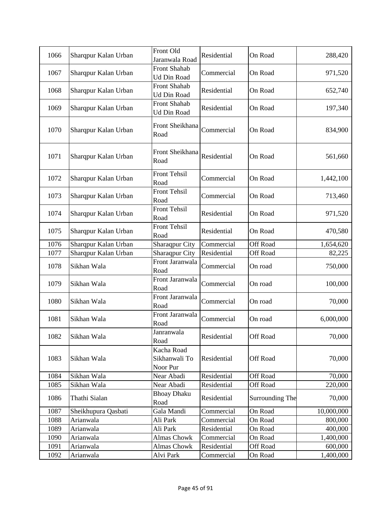| 1066 | Sharqpur Kalan Urban | Front Old<br>Jaranwala Road             | Residential | On Road         | 288,420    |
|------|----------------------|-----------------------------------------|-------------|-----------------|------------|
| 1067 | Sharqpur Kalan Urban | Front Shahab<br>Ud Din Road             | Commercial  | On Road         | 971,520    |
| 1068 | Sharqpur Kalan Urban | Front Shahab<br><b>Ud Din Road</b>      | Residential | On Road         | 652,740    |
| 1069 | Sharqpur Kalan Urban | Front Shahab<br>Ud Din Road             | Residential | On Road         | 197,340    |
| 1070 | Sharqpur Kalan Urban | Front Sheikhana<br>Road                 | Commercial  | On Road         | 834,900    |
| 1071 | Sharqpur Kalan Urban | Front Sheikhana<br>Road                 | Residential | On Road         | 561,660    |
| 1072 | Sharqpur Kalan Urban | <b>Front Tehsil</b><br>Road             | Commercial  | On Road         | 1,442,100  |
| 1073 | Sharqpur Kalan Urban | <b>Front Tehsil</b><br>Road             | Commercial  | On Road         | 713,460    |
| 1074 | Sharqpur Kalan Urban | <b>Front Tehsil</b><br>Road             | Residential | On Road         | 971,520    |
| 1075 | Sharqpur Kalan Urban | <b>Front Tehsil</b><br>Road             | Residential | On Road         | 470,580    |
| 1076 | Sharqpur Kalan Urban | Sharaqpur City                          | Commercial  | <b>Off Road</b> | 1,654,620  |
| 1077 | Sharqpur Kalan Urban | Sharaqpur City                          | Residential | <b>Off Road</b> | 82,225     |
| 1078 | Sikhan Wala          | Front Jaranwala<br>Road                 | Commercial  | On road         | 750,000    |
| 1079 | Sikhan Wala          | Front Jaranwala<br>Road                 | Commercial  | On road         | 100,000    |
| 1080 | Sikhan Wala          | Front Jaranwala<br>Road                 | Commercial  | On road         | 70,000     |
| 1081 | Sikhan Wala          | Front Jaranwala<br>Road                 | Commercial  | On road         | 6,000,000  |
| 1082 | Sikhan Wala          | Janranwala<br>Road                      | Residential | Off Road        | 70,000     |
| 1083 | Sikhan Wala          | Kacha Road<br>Sikhanwali To<br>Noor Pur | Residential | Off Road        | 70,000     |
| 1084 | Sikhan Wala          | Near Abadi                              | Residential | <b>Off Road</b> | 70,000     |
| 1085 | Sikhan Wala          | Near Abadi                              | Residential | <b>Off Road</b> | 220,000    |
| 1086 | Thathi Sialan        | <b>Bhoay Dhaku</b><br>Road              | Residential | Surrounding The | 70,000     |
| 1087 | Sheikhupura Qasbati  | Gala Mandi                              | Commercial  | On Road         | 10,000,000 |
| 1088 | Arianwala            | Ali Park                                | Commercial  | On Road         | 800,000    |
| 1089 | Arianwala            | Ali Park                                | Residential | On Road         | 400,000    |
| 1090 | Arianwala            | <b>Almas Chowk</b>                      | Commercial  | On Road         | 1,400,000  |
| 1091 | Arianwala            | <b>Almas Chowk</b>                      | Residential | <b>Off Road</b> | 600,000    |
| 1092 | Arianwala            | Alvi Park                               | Commercial  | On Road         | 1,400,000  |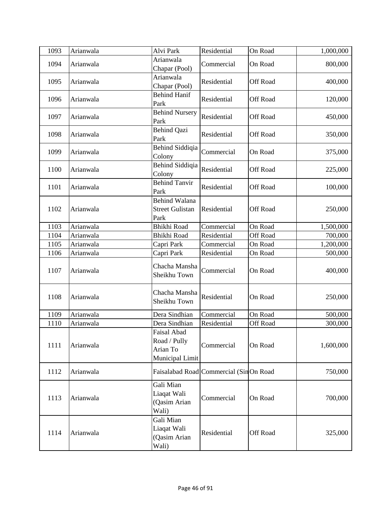| 1093 | Arianwala | Alvi Park                                                  | Residential                            | On Road         | 1,000,000 |
|------|-----------|------------------------------------------------------------|----------------------------------------|-----------------|-----------|
| 1094 | Arianwala | Arianwala<br>Chapar (Pool)                                 | Commercial                             | On Road         | 800,000   |
| 1095 | Arianwala | Arianwala<br>Chapar (Pool)                                 | Residential                            | <b>Off Road</b> | 400,000   |
| 1096 | Arianwala | <b>Behind Hanif</b><br>Park                                | Residential                            | <b>Off Road</b> | 120,000   |
| 1097 | Arianwala | <b>Behind Nursery</b><br>Park                              | Residential                            | Off Road        | 450,000   |
| 1098 | Arianwala | <b>Behind Qazi</b><br>Park                                 | Residential                            | <b>Off Road</b> | 350,000   |
| 1099 | Arianwala | Behind Siddiqia<br>Colony                                  | Commercial                             | On Road         | 375,000   |
| 1100 | Arianwala | <b>Behind Siddiqia</b><br>Colony                           | Residential                            | Off Road        | 225,000   |
| 1101 | Arianwala | <b>Behind Tanvir</b><br>Park                               | Residential                            | Off Road        | 100,000   |
| 1102 | Arianwala | <b>Behind Walana</b><br><b>Street Gulistan</b><br>Park     | Residential                            | Off Road        | 250,000   |
| 1103 | Arianwala | <b>Bhikhi Road</b>                                         | Commercial                             | On Road         | 1,500,000 |
| 1104 | Arianwala | <b>Bhikhi Road</b>                                         | Residential                            | Off Road        | 700,000   |
| 1105 | Arianwala | Capri Park                                                 | Commercial                             | On Road         | 1,200,000 |
| 1106 | Arianwala | Capri Park                                                 | Residential                            | On Road         | 500,000   |
| 1107 | Arianwala | Chacha Mansha<br>Sheikhu Town                              | Commercial                             | On Road         | 400,000   |
| 1108 | Arianwala | Chacha Mansha<br>Sheikhu Town                              | Residential                            | On Road         | 250,000   |
| 1109 | Arianwala | Dera Sindhian                                              | Commercial                             | On Road         | 500,000   |
| 1110 | Arianwala | Dera Sindhian                                              | Residential                            | Off Road        | 300,000   |
| 1111 | Arianwala | Faisal Abad<br>Road / Pully<br>Arian To<br>Municipal Limit | Commercial                             | On Road         | 1,600,000 |
| 1112 | Arianwala |                                                            | Faisalabad Road Commercial (SinOn Road |                 | 750,000   |
| 1113 | Arianwala | Gali Mian<br>Liaqat Wali<br>(Qasim Arian<br>Wali)          | Commercial                             | On Road         | 700,000   |
| 1114 | Arianwala | Gali Mian<br>Liaqat Wali<br>(Qasim Arian<br>Wali)          | Residential                            | Off Road        | 325,000   |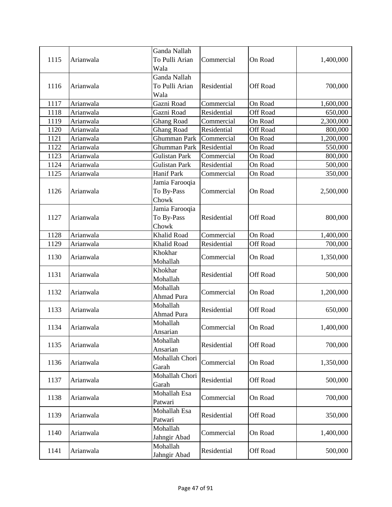| 1115 | Arianwala | Ganda Nallah<br>To Pulli Arian<br>Wala | Commercial  | On Road         | 1,400,000 |
|------|-----------|----------------------------------------|-------------|-----------------|-----------|
| 1116 | Arianwala | Ganda Nallah<br>To Pulli Arian<br>Wala | Residential | <b>Off Road</b> | 700,000   |
| 1117 | Arianwala | Gazni Road                             | Commercial  | On Road         | 1,600,000 |
| 1118 | Arianwala | Gazni Road                             | Residential | <b>Off Road</b> | 650,000   |
| 1119 | Arianwala | <b>Ghang Road</b>                      | Commercial  | On Road         | 2,300,000 |
| 1120 | Arianwala | <b>Ghang Road</b>                      | Residential | Off Road        | 800,000   |
| 1121 | Arianwala | Ghumman Park                           | Commercial  | On Road         | 1,200,000 |
| 1122 | Arianwala | Ghumman Park                           | Residential | On Road         | 550,000   |
| 1123 | Arianwala | <b>Gulistan Park</b>                   | Commercial  | On Road         | 800,000   |
| 1124 | Arianwala | <b>Gulistan Park</b>                   | Residential | On Road         | 500,000   |
| 1125 | Arianwala | Hanif Park                             | Commercial  | On Road         | 350,000   |
| 1126 | Arianwala | Jamia Farooqia<br>To By-Pass<br>Chowk  | Commercial  | On Road         | 2,500,000 |
| 1127 | Arianwala | Jamia Farooqia<br>To By-Pass<br>Chowk  | Residential | <b>Off Road</b> | 800,000   |
| 1128 | Arianwala | <b>Khalid Road</b>                     | Commercial  | On Road         | 1,400,000 |
| 1129 | Arianwala | Khalid Road                            | Residential | Off Road        | 700,000   |
| 1130 | Arianwala | Khokhar<br>Mohallah                    | Commercial  | On Road         | 1,350,000 |
| 1131 | Arianwala | Khokhar<br>Mohallah                    | Residential | Off Road        | 500,000   |
| 1132 | Arianwala | Mohallah<br><b>Ahmad Pura</b>          | Commercial  | On Road         | 1,200,000 |
| 1133 | Arianwala | Mohallah<br><b>Ahmad Pura</b>          | Residential | Off Road        | 650,000   |
| 1134 | Arianwala | Mohallah<br>Ansarian                   | Commercial  | On Road         | 1,400,000 |
| 1135 | Arianwala | Mohallah<br>Ansarian                   | Residential | Off Road        | 700,000   |
| 1136 | Arianwala | Mohallah Chori<br>Garah                | Commercial  | On Road         | 1,350,000 |
| 1137 | Arianwala | Mohallah Chori<br>Garah                | Residential | Off Road        | 500,000   |
| 1138 | Arianwala | Mohallah Esa<br>Patwari                | Commercial  | On Road         | 700,000   |
| 1139 | Arianwala | Mohallah Esa<br>Patwari                | Residential | Off Road        | 350,000   |
| 1140 | Arianwala | Mohallah<br>Jahngir Abad               | Commercial  | On Road         | 1,400,000 |
| 1141 | Arianwala | Mohallah<br>Jahngir Abad               | Residential | Off Road        | 500,000   |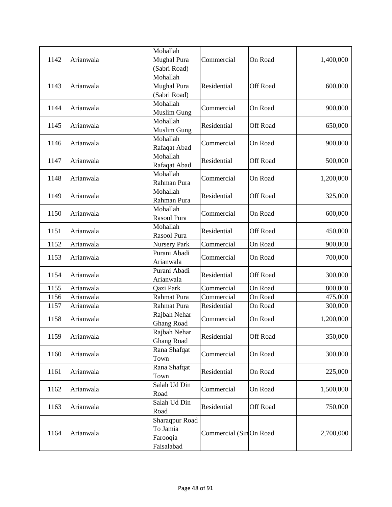| 1142 | Arianwala | Mohallah<br><b>Mughal Pura</b> | Commercial             | On Road         | 1,400,000 |
|------|-----------|--------------------------------|------------------------|-----------------|-----------|
|      |           | (Sabri Road)                   |                        |                 |           |
|      |           | Mohallah                       |                        |                 |           |
| 1143 | Arianwala | <b>Mughal Pura</b>             | Residential            | <b>Off Road</b> | 600,000   |
|      |           | (Sabri Road)                   |                        |                 |           |
|      |           | Mohallah                       |                        |                 |           |
| 1144 | Arianwala | <b>Muslim Gung</b>             | Commercial             | On Road         | 900,000   |
|      |           | Mohallah                       |                        |                 |           |
| 1145 | Arianwala | <b>Muslim Gung</b>             | Residential            | <b>Off Road</b> | 650,000   |
|      |           | Mohallah                       |                        |                 |           |
| 1146 | Arianwala | Rafaqat Abad                   | Commercial             | On Road         | 900,000   |
|      |           | Mohallah                       |                        |                 |           |
| 1147 | Arianwala | Rafaqat Abad                   | Residential            | <b>Off Road</b> | 500,000   |
|      |           | Mohallah                       |                        |                 |           |
| 1148 | Arianwala | Rahman Pura                    | Commercial             | On Road         | 1,200,000 |
|      |           | Mohallah                       |                        |                 |           |
| 1149 | Arianwala | Rahman Pura                    | Residential            | <b>Off Road</b> | 325,000   |
|      |           | Mohallah                       |                        |                 |           |
| 1150 | Arianwala | Rasool Pura                    | Commercial             | On Road         | 600,000   |
| 1151 | Arianwala | Mohallah                       | Residential            | <b>Off Road</b> |           |
|      |           | Rasool Pura                    |                        |                 | 450,000   |
| 1152 | Arianwala | <b>Nursery Park</b>            | Commercial             | On Road         | 900,000   |
| 1153 | Arianwala | Purani Abadi                   | Commercial             | On Road         | 700,000   |
|      |           | Arianwala                      |                        |                 |           |
| 1154 | Arianwala | Purani Abadi                   | Residential            | Off Road        | 300,000   |
|      |           | Arianwala                      |                        |                 |           |
| 1155 | Arianwala | Qazi Park                      | Commercial             | On Road         | 800,000   |
| 1156 | Arianwala | Rahmat Pura                    | Commercial             | On Road         | 475,000   |
| 1157 | Arianwala | Rahmat Pura                    | Residential            | On Road         | 300,000   |
| 1158 | Arianwala | Rajbah Nehar                   | Commercial             | On Road         | 1,200,000 |
|      |           | <b>Ghang Road</b>              |                        |                 |           |
| 1159 | Arianwala | Rajbah Nehar                   | Residential            | Off Road        | 350,000   |
|      |           | <b>Ghang Road</b>              |                        |                 |           |
| 1160 | Arianwala | Rana Shafqat                   | Commercial             | On Road         | 300,000   |
|      |           | Town                           |                        |                 |           |
| 1161 | Arianwala | Rana Shafqat                   | Residential            | On Road         | 225,000   |
|      |           | Town                           |                        |                 |           |
| 1162 | Arianwala | Salah Ud Din                   | Commercial             | On Road         | 1,500,000 |
|      |           | Road                           |                        |                 |           |
| 1163 | Arianwala | Salah Ud Din<br>Road           | Residential            | <b>Off Road</b> | 750,000   |
|      |           | Sharaqpur Road                 |                        |                 |           |
|      |           | To Jamia                       |                        |                 |           |
| 1164 | Arianwala | Farooqia                       | Commercial (SinOn Road |                 | 2,700,000 |
|      |           | Faisalabad                     |                        |                 |           |
|      |           |                                |                        |                 |           |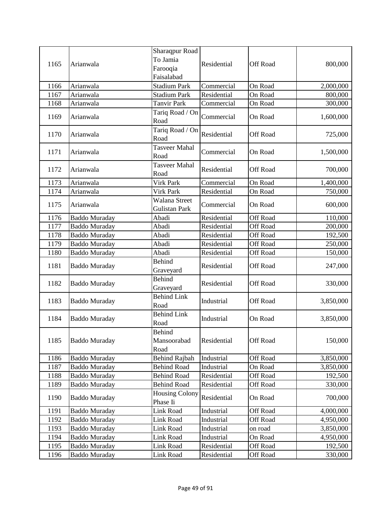|      |                      | Sharaqpur Road                    |             |                 |           |
|------|----------------------|-----------------------------------|-------------|-----------------|-----------|
| 1165 | Arianwala            | To Jamia                          | Residential | Off Road        |           |
|      |                      | Farooqia                          |             |                 | 800,000   |
|      |                      | Faisalabad                        |             |                 |           |
| 1166 | Arianwala            | <b>Stadium Park</b>               | Commercial  | On Road         | 2,000,000 |
| 1167 | Arianwala            | <b>Stadium Park</b>               | Residential | On Road         | 800,000   |
| 1168 | Arianwala            | <b>Tanvir Park</b>                | Commercial  | On Road         | 300,000   |
| 1169 | Arianwala            | Tariq Road / On                   | Commercial  | On Road         | 1,600,000 |
|      |                      | Road                              |             |                 |           |
| 1170 | Arianwala            | Tariq Road / On                   | Residential | Off Road        | 725,000   |
|      |                      | Road                              |             |                 |           |
| 1171 | Arianwala            | Tasveer Mahal                     | Commercial  | On Road         | 1,500,000 |
|      |                      | Road                              |             |                 |           |
| 1172 | Arianwala            | Tasveer Mahal                     | Residential | <b>Off Road</b> | 700,000   |
|      |                      | Road                              |             |                 |           |
| 1173 | Arianwala            | Virk Park                         | Commercial  | On Road         | 1,400,000 |
| 1174 | Arianwala            | Virk Park                         | Residential | On Road         | 750,000   |
| 1175 | Arianwala            | Walana Street                     | Commercial  | On Road         | 600,000   |
|      |                      | Gulistan Park                     |             |                 |           |
| 1176 | <b>Baddo Muraday</b> | Abadi                             | Residential | <b>Off Road</b> | 110,000   |
| 1177 | <b>Baddo Muraday</b> | Abadi                             | Residential | Off Road        | 200,000   |
| 1178 | <b>Baddo Muraday</b> | Abadi                             | Residential | Off Road        | 192,500   |
| 1179 | <b>Baddo Muraday</b> | Abadi                             | Residential | Off Road        | 250,000   |
| 1180 | <b>Baddo Muraday</b> | Abadi                             | Residential | Off Road        | 150,000   |
| 1181 | <b>Baddo Muraday</b> | <b>Behind</b><br>Graveyard        | Residential | Off Road        | 247,000   |
|      |                      | <b>Behind</b>                     | Residential | Off Road        |           |
| 1182 | <b>Baddo Muraday</b> | Graveyard                         |             |                 | 330,000   |
| 1183 | <b>Baddo Muraday</b> | <b>Behind Link</b>                | Industrial  | Off Road        |           |
|      |                      | Road                              |             |                 | 3,850,000 |
| 1184 | <b>Baddo Muraday</b> | <b>Behind Link</b>                | Industrial  | On Road         | 3,850,000 |
|      |                      | Road                              |             |                 |           |
|      |                      | Behind                            |             |                 |           |
| 1185 | <b>Baddo Muraday</b> | Mansoorabad                       | Residential | Off Road        | 150,000   |
|      |                      | Road                              |             |                 |           |
| 1186 | Baddo Muraday        | <b>Behind Rajbah</b>              | Industrial  | Off Road        | 3,850,000 |
| 1187 | <b>Baddo Muraday</b> | <b>Behind Road</b>                | Industrial  | On Road         | 3,850,000 |
| 1188 | <b>Baddo Muraday</b> | <b>Behind Road</b>                | Residential | Off Road        | 192,500   |
| 1189 | <b>Baddo Muraday</b> | <b>Behind Road</b>                | Residential | Off Road        | 330,000   |
| 1190 | Baddo Muraday        | <b>Housing Colony</b><br>Phase Ii | Residential | On Road         | 700,000   |
| 1191 | Baddo Muraday        | Link Road                         | Industrial  | Off Road        | 4,000,000 |
| 1192 | <b>Baddo Muraday</b> | Link Road                         | Industrial  | Off Road        | 4,950,000 |
| 1193 | <b>Baddo Muraday</b> | Link Road                         | Industrial  | on road         | 3,850,000 |
| 1194 | Baddo Muraday        | Link Road                         | Industrial  | On Road         | 4,950,000 |
| 1195 | <b>Baddo Muraday</b> | Link Road                         | Residential | Off Road        | 192,500   |
| 1196 | <b>Baddo Muraday</b> | Link Road                         | Residential | Off Road        | 330,000   |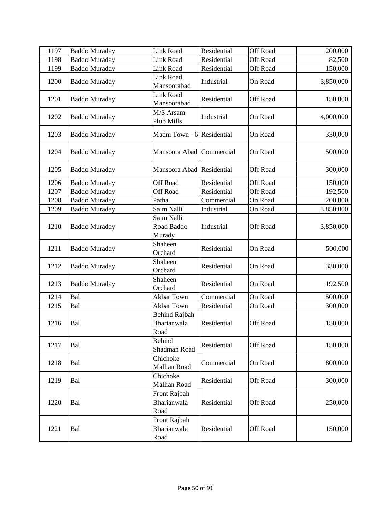| 1197 | <b>Baddo Muraday</b> | <b>Link Road</b>                            | Residential | <b>Off Road</b> | 200,000   |
|------|----------------------|---------------------------------------------|-------------|-----------------|-----------|
| 1198 | <b>Baddo Muraday</b> | Link Road                                   | Residential | Off Road        | 82,500    |
| 1199 | <b>Baddo Muraday</b> | <b>Link Road</b>                            | Residential | <b>Off Road</b> | 150,000   |
| 1200 | <b>Baddo Muraday</b> | <b>Link Road</b><br>Mansoorabad             | Industrial  | On Road         | 3,850,000 |
| 1201 | <b>Baddo Muraday</b> | <b>Link Road</b><br>Mansoorabad             | Residential | Off Road        | 150,000   |
| 1202 | <b>Baddo Muraday</b> | M/S Arsam<br>Plub Mills                     | Industrial  | On Road         | 4,000,000 |
| 1203 | <b>Baddo Muraday</b> | Madni Town - 6 Residential                  |             | On Road         | 330,000   |
| 1204 | <b>Baddo Muraday</b> | Mansoora Abad Commercial                    |             | On Road         | 500,000   |
| 1205 | <b>Baddo Muraday</b> | Mansoora Abad Residential                   |             | <b>Off Road</b> | 300,000   |
| 1206 | <b>Baddo Muraday</b> | <b>Off Road</b>                             | Residential | <b>Off Road</b> | 150,000   |
| 1207 | <b>Baddo Muraday</b> | <b>Off Road</b>                             | Residential | <b>Off Road</b> | 192,500   |
| 1208 | <b>Baddo Muraday</b> | Patha                                       | Commercial  | On Road         | 200,000   |
| 1209 | <b>Baddo Muraday</b> | Saim Nalli                                  | Industrial  | On Road         | 3,850,000 |
| 1210 | <b>Baddo Muraday</b> | Saim Nalli<br>Road Baddo<br>Murady          | Industrial  | Off Road        | 3,850,000 |
| 1211 | <b>Baddo Muraday</b> | Shaheen<br>Orchard                          | Residential | On Road         | 500,000   |
| 1212 | <b>Baddo Muraday</b> | Shaheen<br>Orchard                          | Residential | On Road         | 330,000   |
| 1213 | <b>Baddo Muraday</b> | Shaheen<br>Orchard                          | Residential | On Road         | 192,500   |
| 1214 | Bal                  | Akbar Town                                  | Commercial  | On Road         | 500,000   |
| 1215 | Bal                  | Akbar Town                                  | Residential | On Road         | 300,000   |
| 1216 | Bal                  | <b>Behind Rajbah</b><br>Bharianwala<br>Road | Residential | <b>Off Road</b> | 150,000   |
| 1217 | Bal                  | Behind<br>Shadman Road                      | Residential | Off Road        | 150,000   |
| 1218 | Bal                  | Chichoke<br>Mallian Road                    | Commercial  | On Road         | 800,000   |
| 1219 | Bal                  | Chichoke<br>Mallian Road                    | Residential | Off Road        | 300,000   |
| 1220 | Bal                  | Front Rajbah<br>Bharianwala<br>Road         | Residential | <b>Off Road</b> | 250,000   |
| 1221 | Bal                  | Front Rajbah<br>Bharianwala<br>Road         | Residential | Off Road        | 150,000   |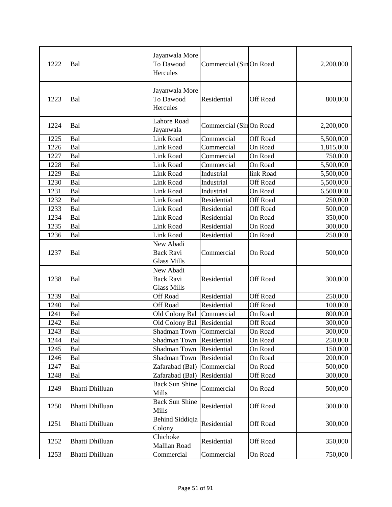| 1222 | Bal                    | Jayanwala More<br>To Dawood<br>Hercules             | Commercial (SinOn Road |                 | 2,200,000 |
|------|------------------------|-----------------------------------------------------|------------------------|-----------------|-----------|
| 1223 | Bal                    | Jayanwala More<br>To Dawood<br>Hercules             | Residential            | <b>Off Road</b> | 800,000   |
| 1224 | Bal                    | <b>Lahore Road</b><br>Jayanwala                     | Commercial (SinOn Road |                 | 2,200,000 |
| 1225 | Bal                    | <b>Link Road</b>                                    | Commercial             | <b>Off Road</b> | 5,500,000 |
| 1226 | Bal                    | Link Road                                           | Commercial             | On Road         | 1,815,000 |
| 1227 | Bal                    | Link Road                                           | Commercial             | On Road         | 750,000   |
| 1228 | Bal                    | Link Road                                           | Commercial             | On Road         | 5,500,000 |
| 1229 | Bal                    | <b>Link Road</b>                                    | Industrial             | link Road       | 5,500,000 |
| 1230 | Bal                    | Link Road                                           | Industrial             | Off Road        | 5,500,000 |
| 1231 | Bal                    | Link Road                                           | Industrial             | On Road         | 6,500,000 |
| 1232 | Bal                    | <b>Link Road</b>                                    | Residential            | <b>Off Road</b> | 250,000   |
| 1233 | Bal                    | Link Road                                           | Residential            | Off Road        | 500,000   |
| 1234 | Bal                    | <b>Link Road</b>                                    | Residential            | On Road         | 350,000   |
| 1235 | Bal                    | <b>Link Road</b>                                    | Residential            | On Road         | 300,000   |
| 1236 | Bal                    | Link Road                                           | Residential            | On Road         | 250,000   |
| 1237 | Bal                    | New Abadi<br><b>Back Ravi</b><br>Glass Mills        | Commercial             | On Road         | 500,000   |
| 1238 | Bal                    | New Abadi<br><b>Back Ravi</b><br><b>Glass Mills</b> | Residential            | Off Road        | 300,000   |
| 1239 | Bal                    | Off Road                                            | Residential            | <b>Off Road</b> | 250,000   |
| 1240 | Bal                    | Off Road                                            | Residential            | <b>Off Road</b> | 100,000   |
| 1241 | Bal                    | Old Colony Bal                                      | Commercial             | On Road         | 800,000   |
| 1242 | Bal                    | Old Colony Bal                                      | Residential            | <b>Off Road</b> | 300,000   |
| 1243 | Bal                    | Shadman Town Commercial                             |                        | On Road         | 300,000   |
| 1244 | Bal                    | Shadman Town                                        | Residential            | On Road         | 250,000   |
| 1245 | Bal                    | Shadman Town                                        | Residential            | On Road         | 150,000   |
| 1246 | Bal                    | Shadman Town                                        | Residential            | On Road         | 200,000   |
| 1247 | Bal                    | Zafarabad (Bal)                                     | Commercial             | On Road         | 500,000   |
| 1248 | Bal                    | Zafarabad (Bal)                                     | Residential            | Off Road        | 300,000   |
| 1249 | <b>Bhatti Dhilluan</b> | <b>Back Sun Shine</b><br>Mills                      | Commercial             | On Road         | 500,000   |
| 1250 | <b>Bhatti Dhilluan</b> | <b>Back Sun Shine</b><br>Mills                      | Residential            | <b>Off Road</b> | 300,000   |
| 1251 | <b>Bhatti Dhilluan</b> | <b>Behind Siddiqia</b><br>Colony                    | Residential            | Off Road        | 300,000   |
| 1252 | <b>Bhatti Dhilluan</b> | Chichoke<br>Mallian Road                            | Residential            | <b>Off Road</b> | 350,000   |
| 1253 | <b>Bhatti Dhilluan</b> | Commercial                                          | Commercial             | On Road         | 750,000   |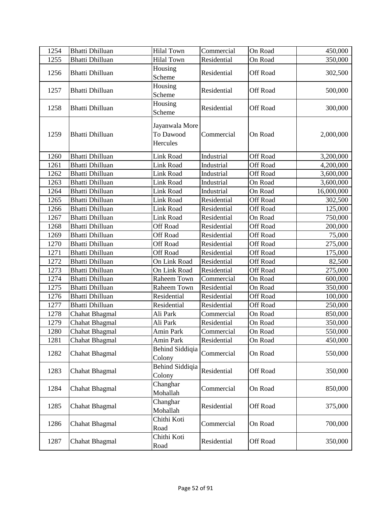| 1254 | <b>Bhatti Dhilluan</b> | <b>Hilal Town</b>                       | Commercial  | On Road         | 450,000    |
|------|------------------------|-----------------------------------------|-------------|-----------------|------------|
| 1255 | <b>Bhatti Dhilluan</b> | <b>Hilal Town</b>                       | Residential | On Road         | 350,000    |
| 1256 | <b>Bhatti Dhilluan</b> | Housing<br>Scheme                       | Residential | Off Road        | 302,500    |
| 1257 | <b>Bhatti Dhilluan</b> | Housing<br>Scheme                       | Residential | Off Road        | 500,000    |
| 1258 | <b>Bhatti Dhilluan</b> | Housing<br>Scheme                       | Residential | Off Road        | 300,000    |
| 1259 | <b>Bhatti Dhilluan</b> | Jayanwala More<br>To Dawood<br>Hercules | Commercial  | On Road         | 2,000,000  |
| 1260 | <b>Bhatti Dhilluan</b> | Link Road                               | Industrial  | Off Road        | 3,200,000  |
| 1261 | <b>Bhatti Dhilluan</b> | <b>Link Road</b>                        | Industrial  | Off Road        | 4,200,000  |
| 1262 | <b>Bhatti Dhilluan</b> | Link Road                               | Industrial  | Off Road        | 3,600,000  |
| 1263 | <b>Bhatti Dhilluan</b> | Link Road                               | Industrial  | On Road         | 3,600,000  |
| 1264 | <b>Bhatti Dhilluan</b> | Link Road                               | Industrial  | On Road         | 16,000,000 |
| 1265 | <b>Bhatti Dhilluan</b> | Link Road                               | Residential | Off Road        | 302,500    |
| 1266 | <b>Bhatti Dhilluan</b> | <b>Link Road</b>                        | Residential | Off Road        | 125,000    |
| 1267 | <b>Bhatti Dhilluan</b> | Link Road                               | Residential | On Road         | 750,000    |
| 1268 | <b>Bhatti Dhilluan</b> | <b>Off Road</b>                         | Residential | Off Road        | 200,000    |
| 1269 | <b>Bhatti Dhilluan</b> | <b>Off Road</b>                         | Residential | Off Road        | 75,000     |
| 1270 | <b>Bhatti Dhilluan</b> | <b>Off Road</b>                         | Residential | Off Road        | 275,000    |
| 1271 | <b>Bhatti Dhilluan</b> | <b>Off Road</b>                         | Residential | Off Road        | 175,000    |
| 1272 | <b>Bhatti Dhilluan</b> | On Link Road                            | Residential | <b>Off Road</b> | 82,500     |
| 1273 | <b>Bhatti Dhilluan</b> | On Link Road                            | Residential | Off Road        | 275,000    |
| 1274 | <b>Bhatti Dhilluan</b> | Raheem Town                             | Commercial  | On Road         | 600,000    |
| 1275 | <b>Bhatti Dhilluan</b> | Raheem Town                             | Residential | On Road         | 350,000    |
| 1276 | <b>Bhatti Dhilluan</b> | Residential                             | Residential | Off Road        | 100,000    |
| 1277 | <b>Bhatti Dhilluan</b> | Residential                             | Residential | Off Road        | 250,000    |
| 1278 | <b>Chahat Bhagmal</b>  | Ali Park                                | Commercial  | On Road         | 850,000    |
| 1279 | Chahat Bhagmal         | Ali Park                                | Residential | On Road         | 350,000    |
| 1280 | <b>Chahat Bhagmal</b>  | Amin Park                               | Commercial  | On Road         | 550,000    |
| 1281 | Chahat Bhagmal         | Amin Park                               | Residential | On Road         | 450,000    |
| 1282 | Chahat Bhagmal         | <b>Behind Siddiqia</b><br>Colony        | Commercial  | On Road         | 550,000    |
| 1283 | Chahat Bhagmal         | <b>Behind Siddiqia</b><br>Colony        | Residential | Off Road        | 350,000    |
| 1284 | Chahat Bhagmal         | Changhar<br>Mohallah                    | Commercial  | On Road         | 850,000    |
| 1285 | <b>Chahat Bhagmal</b>  | Changhar<br>Mohallah                    | Residential | Off Road        | 375,000    |
| 1286 | Chahat Bhagmal         | Chithi Koti<br>Road                     | Commercial  | On Road         | 700,000    |
| 1287 | <b>Chahat Bhagmal</b>  | Chithi Koti<br>Road                     | Residential | Off Road        | 350,000    |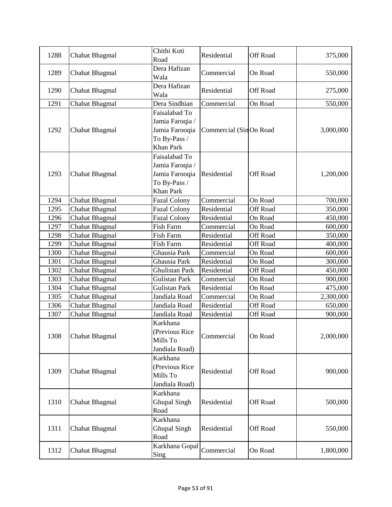| 1288 | Chahat Bhagmal        | Chithi Koti<br>Road                                                                    | Residential            | <b>Off Road</b> | 375,000   |
|------|-----------------------|----------------------------------------------------------------------------------------|------------------------|-----------------|-----------|
| 1289 | <b>Chahat Bhagmal</b> | Dera Hafizan<br>Wala                                                                   | Commercial             | On Road         | 550,000   |
| 1290 | <b>Chahat Bhagmal</b> | Dera Hafizan<br>Wala                                                                   | Residential            | Off Road        | 275,000   |
| 1291 | Chahat Bhagmal        | Dera Sindhian                                                                          | Commercial             | On Road         | 550,000   |
| 1292 | Chahat Bhagmal        | Faisalabad To<br>Jamia Faroqia /<br>Jamia Farooqia<br>To By-Pass /<br>Khan Park        | Commercial (SinOn Road |                 | 3,000,000 |
| 1293 | Chahat Bhagmal        | Faisalabad To<br>Jamia Faroqia /<br>Jamia Farooqia<br>To By-Pass /<br><b>Khan Park</b> | Residential            | Off Road        | 1,200,000 |
| 1294 | Chahat Bhagmal        | <b>Fazal Colony</b>                                                                    | Commercial             | On Road         | 700,000   |
| 1295 | <b>Chahat Bhagmal</b> | <b>Fazal Colony</b>                                                                    | Residential            | <b>Off Road</b> | 350,000   |
| 1296 | Chahat Bhagmal        | <b>Fazal Colony</b>                                                                    | Residential            | On Road         | 450,000   |
| 1297 | <b>Chahat Bhagmal</b> | Fish Farm                                                                              | Commercial             | On Road         | 600,000   |
| 1298 | <b>Chahat Bhagmal</b> | Fish Farm                                                                              | Residential            | Off Road        | 350,000   |
| 1299 | <b>Chahat Bhagmal</b> | Fish Farm                                                                              | Residential            | Off Road        | 400,000   |
| 1300 | Chahat Bhagmal        | Ghausia Park                                                                           | Commercial             | On Road         | 600,000   |
| 1301 | Chahat Bhagmal        | Ghausia Park                                                                           | Residential            | On Road         | 300,000   |
| 1302 | <b>Chahat Bhagmal</b> | Ghulistan Park                                                                         | Residential            | <b>Off Road</b> | 450,000   |
| 1303 | Chahat Bhagmal        | <b>Gulistan Park</b>                                                                   | Commercial             | On Road         | 900,000   |
| 1304 | Chahat Bhagmal        | <b>Gulistan Park</b>                                                                   | Residential            | On Road         | 475,000   |
| 1305 | <b>Chahat Bhagmal</b> | Jandiala Road                                                                          | Commercial             | On Road         | 2,300,000 |
| 1306 | <b>Chahat Bhagmal</b> | Jandiala Road                                                                          | Residential            | <b>Off Road</b> | 650,000   |
| 1307 | Chahat Bhagmal        | Jandiala Road                                                                          | Residential            | <b>Off Road</b> | 900,000   |
| 1308 | <b>Chahat Bhagmal</b> | Karkhana<br>(Previous Rice<br>Mills To<br>Jandiala Road)                               | Commercial             | On Road         | 2,000,000 |
| 1309 | Chahat Bhagmal        | Karkhana<br>(Previous Rice<br>Mills To<br>Jandiala Road)                               | Residential            | Off Road        | 900,000   |
| 1310 | <b>Chahat Bhagmal</b> | Karkhana<br><b>Ghupal Singh</b><br>Road                                                | Residential            | Off Road        | 500,000   |
| 1311 | <b>Chahat Bhagmal</b> | Karkhana<br><b>Ghupal Singh</b><br>Road                                                | Residential            | Off Road        | 550,000   |
| 1312 | <b>Chahat Bhagmal</b> | Karkhana Gopal<br>Sing                                                                 | Commercial             | On Road         | 1,800,000 |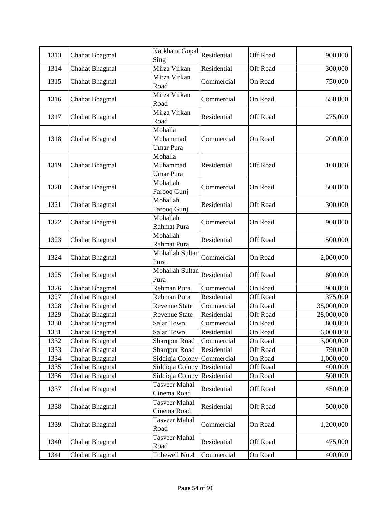| 1313         | Chahat Bhagmal                          | Karkhana Gopal<br>Sing                  | Residential                | Off Road            | 900,000            |
|--------------|-----------------------------------------|-----------------------------------------|----------------------------|---------------------|--------------------|
| 1314         | Chahat Bhagmal                          | Mirza Virkan                            | Residential                | Off Road            | 300,000            |
| 1315         | Chahat Bhagmal                          | Mirza Virkan<br>Road                    | Commercial                 | On Road             | 750,000            |
| 1316         | Chahat Bhagmal                          | Mirza Virkan<br>Road                    | Commercial                 | On Road             | 550,000            |
| 1317         | <b>Chahat Bhagmal</b>                   | Mirza Virkan<br>Road                    | Residential                | Off Road            | 275,000            |
| 1318         | Chahat Bhagmal                          | Mohalla<br>Muhammad<br><b>Umar Pura</b> | Commercial                 | On Road             | 200,000            |
| 1319         | Chahat Bhagmal                          | Mohalla<br>Muhammad<br>Umar Pura        | Residential                | <b>Off Road</b>     | 100,000            |
| 1320         | <b>Chahat Bhagmal</b>                   | Mohallah<br>Farooq Gunj                 | Commercial                 | On Road             | 500,000            |
| 1321         | Chahat Bhagmal                          | Mohallah<br>Farooq Gunj                 | Residential                | Off Road            | 300,000            |
| 1322         | Chahat Bhagmal                          | Mohallah<br>Rahmat Pura                 | Commercial                 | On Road             | 900,000            |
| 1323         | <b>Chahat Bhagmal</b>                   | Mohallah<br>Rahmat Pura                 | Residential                | Off Road            | 500,000            |
| 1324         | Chahat Bhagmal                          | Mohallah Sultan<br>Pura                 | Commercial                 | On Road             | 2,000,000          |
| 1325         | Chahat Bhagmal                          | Mohallah Sultan<br>Pura                 | Residential                | Off Road            | 800,000            |
| 1326         | Chahat Bhagmal                          | Rehman Pura                             | Commercial                 | On Road             | 900,000            |
| 1327         | Chahat Bhagmal                          | Rehman Pura                             | Residential                | <b>Off Road</b>     | 375,000            |
| 1328         | <b>Chahat Bhagmal</b>                   | <b>Revenue State</b>                    | Commercial                 | On Road             | 38,000,000         |
| 1329         | Chahat Bhagmal                          | <b>Revenue State</b>                    | Residential                | <b>Off Road</b>     | 28,000,000         |
| 1330         | Chahat Bhagmal                          | Salar Town                              | Commercial                 | On Road             | 800,000            |
| 1331         | <b>Chahat Bhagmal</b>                   | Salar Town                              | Residential                | On Road             | 6,000,000          |
| 1332         | Chahat Bhagmal                          | <b>Sharqpur Road</b>                    | Commercial                 | On Road             | 3,000,000          |
| 1333         | Chahat Bhagmal                          | <b>Sharqpur Road</b>                    | Residential                | <b>Off Road</b>     | 790,000            |
| 1334         | Chahat Bhagmal                          | Siddiqia Colony                         | Commercial                 | On Road             | 1,000,000          |
| 1335<br>1336 | <b>Chahat Bhagmal</b><br>Chahat Bhagmal | Siddiqia Colony<br>Siddiqia Colony      | Residential<br>Residential | Off Road<br>On Road | 400,000<br>500,000 |
|              |                                         | <b>Tasveer Mahal</b>                    |                            |                     |                    |
| 1337         | Chahat Bhagmal                          | Cinema Road                             | Residential                | <b>Off Road</b>     | 450,000            |
| 1338         | Chahat Bhagmal                          | <b>Tasveer Mahal</b><br>Cinema Road     | Residential                | <b>Off Road</b>     | 500,000            |
| 1339         | Chahat Bhagmal                          | Tasveer Mahal<br>Road                   | Commercial                 | On Road             | 1,200,000          |
| 1340         | Chahat Bhagmal                          | Tasveer Mahal<br>Road                   | Residential                | <b>Off Road</b>     | 475,000            |
| 1341         | <b>Chahat Bhagmal</b>                   | Tubewell No.4                           | Commercial                 | On Road             | 400,000            |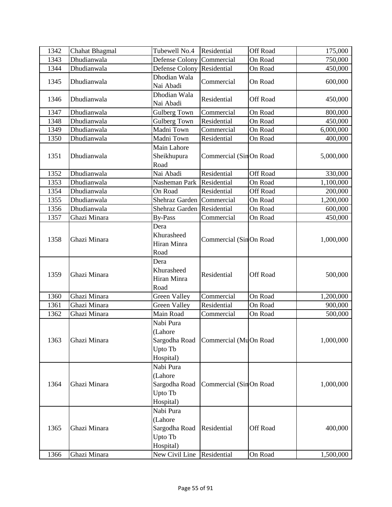| 1342         | Chahat Bhagmal               | Tubewell No.4                                                                   | Residential                | Off Road            | 175,000              |
|--------------|------------------------------|---------------------------------------------------------------------------------|----------------------------|---------------------|----------------------|
| 1343         | Dhudianwala                  | Defense Colony                                                                  | Commercial                 | On Road             | 750,000              |
| 1344         | Dhudianwala                  | Defense Colony                                                                  | Residential                | On Road             | 450,000              |
| 1345         | Dhudianwala                  | Dhodian Wala<br>Nai Abadi                                                       | Commercial                 | On Road             | 600,000              |
| 1346         | Dhudianwala                  | Dhodian Wala<br>Nai Abadi                                                       | Residential                | Off Road            | 450,000              |
| 1347         | Dhudianwala                  | Gulberg Town                                                                    | Commercial                 | On Road             | 800,000              |
| 1348         | Dhudianwala                  | Gulberg Town                                                                    | Residential                | On Road             | 450,000              |
| 1349         | Dhudianwala                  | Madni Town                                                                      | Commercial                 | On Road             | 6,000,000            |
| 1350         | Dhudianwala                  | Madni Town                                                                      | Residential                | On Road             | 400,000              |
| 1351         | Dhudianwala                  | Main Lahore<br>Sheikhupura<br>Road                                              | Commercial (SinOn Road     |                     | 5,000,000            |
| 1352         | Dhudianwala                  | Nai Abadi                                                                       | Residential                | Off Road            | 330,000              |
| 1353         | Dhudianwala                  | Nasheman Park                                                                   | Residential                | On Road             | 1,100,000            |
| 1354         | Dhudianwala                  | On Road                                                                         | Residential                | Off Road            | 200,000              |
| 1355         | Dhudianwala                  | Shehraz Garden                                                                  | Commercial                 | On Road             | 1,200,000            |
| 1356         | Dhudianwala                  | Shehraz Garden                                                                  | Residential                | On Road             | 600,000              |
| 1357         | Ghazi Minara                 | <b>By-Pass</b>                                                                  | Commercial                 | On Road             | 450,000              |
| 1358         | Ghazi Minara                 | Dera<br>Khurasheed<br>Hiran Minra<br>Road                                       | Commercial (SinOn Road     |                     | 1,000,000            |
| 1359         | Ghazi Minara                 | Dera<br>Khurasheed<br>Hiran Minra<br>Road                                       | Residential                | Off Road            | 500,000              |
| 1360         | Ghazi Minara                 | <b>Green Valley</b>                                                             | Commercial                 | On Road             | 1,200,000            |
| 1361         | Ghazi Minara                 | Green Valley                                                                    | Residential                | On Road             | 900,000              |
| 1362         | Ghazi Minara                 | Main Road                                                                       | Commercial                 | On Road             | 500,000              |
| 1363         | Ghazi Minara                 | Nabi Pura<br>(Lahore<br>Sargodha Road<br>Upto Tb<br>Hospital)                   | Commercial (MuOn Road      |                     | 1,000,000            |
| 1364         | Ghazi Minara                 | Nabi Pura<br>(Lahore<br>Sargodha Road<br>Upto Tb<br>Hospital)                   | Commercial (SinOn Road     |                     | 1,000,000            |
| 1365<br>1366 | Ghazi Minara<br>Ghazi Minara | Nabi Pura<br>(Lahore<br>Sargodha Road<br>Upto Tb<br>Hospital)<br>New Civil Line | Residential<br>Residential | Off Road<br>On Road | 400,000<br>1,500,000 |
|              |                              |                                                                                 |                            |                     |                      |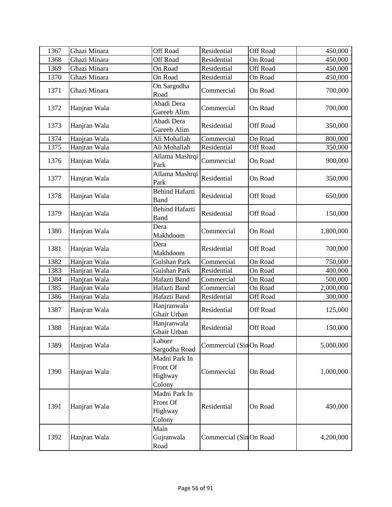| 1367 | Ghazi Minara | <b>Off Road</b>                                | Residential            | Off Road | 450,000   |
|------|--------------|------------------------------------------------|------------------------|----------|-----------|
| 1368 | Ghazi Minara | Off Road                                       | Residential            | On Road  | 450,000   |
| 1369 | Ghazi Minara | On Road                                        | Residential            | Off Road | 450,000   |
| 1370 | Ghazi Minara | On Road                                        | Residential            | On Road  | 450,000   |
| 1371 | Ghazi Minara | On Sargodha<br>Road                            | Commercial             | On Road  | 700,000   |
| 1372 | Hanjran Wala | Abadi Dera<br>Gareeb Alim                      | Commercial             | On Road  | 700,000   |
| 1373 | Hanjran Wala | Abadi Dera<br>Gareeb Alim                      | Residential            | Off Road | 350,000   |
| 1374 | Hanjran Wala | Ali Mohallah                                   | Commercial             | On Road  | 800,000   |
| 1375 | Hanjran Wala | Ali Mohallah                                   | Residential            | Off Road | 350,000   |
| 1376 | Hanjran Wala | Allama Mashrqi<br>Park                         | Commercial             | On Road  | 900,000   |
| 1377 | Hanjran Wala | Allama Mashrqi<br>Park                         | Residential            | On Road  | 350,000   |
| 1378 | Hanjran Wala | <b>Behind Hafazti</b><br><b>Band</b>           | Residential            | Off Road | 650,000   |
| 1379 | Hanjran Wala | <b>Behind Hafazti</b><br><b>Band</b>           | Residential            | Off Road | 150,000   |
| 1380 | Hanjran Wala | Dera<br>Makhdoom                               | Commercial             | On Road  | 1,800,000 |
| 1381 | Hanjran Wala | Dera<br>Makhdoom                               | Residential            | Off Road | 700,000   |
| 1382 | Hanjran Wala | Gulshan Park                                   | Commercial             | On Road  | 750,000   |
| 1383 | Hanjran Wala | Gulshan Park                                   | Residential            | On Road  | 400,000   |
| 1384 | Hanjran Wala | Hafazti Band                                   | Commercial             | On Road  | 500,000   |
| 1385 | Hanjran Wala | Hafazti Band                                   | Commercial             | On Road  | 2,000,000 |
| 1386 | Hanjran Wala | Hafazti Band                                   | Residential            | Off Road | 300,000   |
| 1387 | Hanjran Wala | Hanjranwala<br>Ghair Urban                     | Residential            | Off Road | 125,000   |
| 1388 | Hanjran Wala | Hanjranwala<br>Ghair Urban                     | Residential            | Off Road | 150,000   |
| 1389 | Hanjran Wala | Lahore<br>Sargodha Road                        | Commercial (SinOn Road |          | 5,000,000 |
| 1390 | Hanjran Wala | Madni Park In<br>Front Of<br>Highway<br>Colony | Commercial             | On Road  | 1,000,000 |
| 1391 | Hanjran Wala | Madni Park In<br>Front Of<br>Highway<br>Colony | Residential            | On Road  | 450,000   |
| 1392 | Hanjran Wala | Main<br>Gujranwala<br>Road                     | Commercial (SinOn Road |          | 4,200,000 |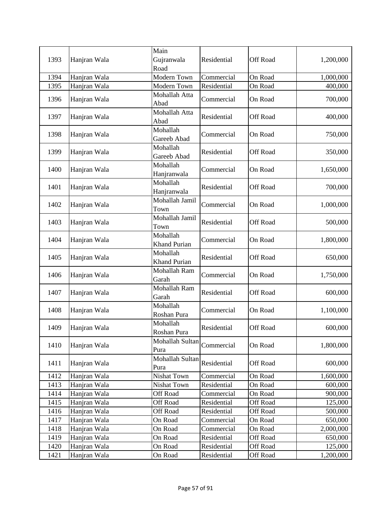| 1393 | Hanjran Wala | Main<br>Gujranwala      | Residential | <b>Off Road</b> | 1,200,000 |
|------|--------------|-------------------------|-------------|-----------------|-----------|
|      |              | Road                    |             |                 |           |
| 1394 | Hanjran Wala | Modern Town             | Commercial  | On Road         | 1,000,000 |
| 1395 | Hanjran Wala | Modern Town             | Residential | On Road         | 400,000   |
|      |              | Mohallah Atta           |             |                 |           |
| 1396 | Hanjran Wala | Abad                    | Commercial  | On Road         | 700,000   |
| 1397 | Hanjran Wala | Mohallah Atta           | Residential | <b>Off Road</b> | 400,000   |
|      |              | Abad                    |             |                 |           |
| 1398 | Hanjran Wala | Mohallah                | Commercial  | On Road         | 750,000   |
|      |              | Gareeb Abad             |             |                 |           |
| 1399 | Hanjran Wala | Mohallah                | Residential | <b>Off Road</b> | 350,000   |
|      |              | Gareeb Abad<br>Mohallah |             |                 |           |
| 1400 | Hanjran Wala | Hanjranwala             | Commercial  | On Road         | 1,650,000 |
|      |              | Mohallah                |             |                 |           |
| 1401 | Hanjran Wala | Hanjranwala             | Residential | <b>Off Road</b> | 700,000   |
|      |              | Mohallah Jamil          |             |                 |           |
| 1402 | Hanjran Wala | Town                    | Commercial  | On Road         | 1,000,000 |
|      |              | Mohallah Jamil          |             |                 |           |
| 1403 | Hanjran Wala | Town                    | Residential | Off Road        | 500,000   |
| 1404 |              | Mohallah                | Commercial  | On Road         |           |
|      | Hanjran Wala | Khand Purian            |             |                 | 1,800,000 |
| 1405 | Hanjran Wala | Mohallah                | Residential | <b>Off Road</b> | 650,000   |
|      |              | Khand Purian            |             |                 |           |
| 1406 | Hanjran Wala | Mohallah Ram            | Commercial  | On Road         | 1,750,000 |
|      |              | Garah                   |             |                 |           |
| 1407 | Hanjran Wala | Mohallah Ram            | Residential | Off Road        | 600,000   |
|      |              | Garah<br>Mohallah       |             |                 |           |
| 1408 | Hanjran Wala | Roshan Pura             | Commercial  | On Road         | 1,100,000 |
|      |              | Mohallah                |             |                 |           |
| 1409 | Hanjran Wala | Roshan Pura             | Residential | Off Road        | 600,000   |
|      |              | Mohallah Sultan         |             |                 |           |
| 1410 | Hanjran Wala | Pura                    | Commercial  | On Road         | 1,800,000 |
|      |              | Mohallah Sultan         |             |                 |           |
| 1411 | Hanjran Wala | Pura                    | Residential | <b>Off Road</b> | 600,000   |
| 1412 | Hanjran Wala | Nishat Town             | Commercial  | On Road         | 1,600,000 |
| 1413 | Hanjran Wala | Nishat Town             | Residential | On Road         | 600,000   |
| 1414 | Hanjran Wala | Off Road                | Commercial  | On Road         | 900,000   |
| 1415 | Hanjran Wala | Off Road                | Residential | <b>Off Road</b> | 125,000   |
| 1416 | Hanjran Wala | <b>Off Road</b>         | Residential | <b>Off Road</b> | 500,000   |
| 1417 | Hanjran Wala | On Road                 | Commercial  | On Road         | 650,000   |
| 1418 | Hanjran Wala | On Road                 | Commercial  | On Road         | 2,000,000 |
| 1419 | Hanjran Wala | On Road                 | Residential | <b>Off Road</b> | 650,000   |
| 1420 | Hanjran Wala | On Road                 | Residential | <b>Off Road</b> | 125,000   |
| 1421 | Hanjran Wala | On Road                 | Residential | Off Road        | 1,200,000 |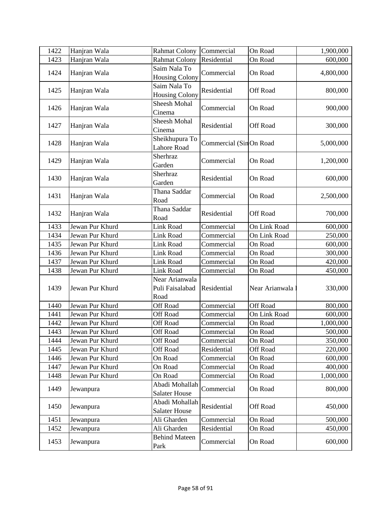| 1422 | Hanjran Wala    | <b>Rahmat Colony</b>                      | Commercial              | On Road         | 1,900,000 |
|------|-----------------|-------------------------------------------|-------------------------|-----------------|-----------|
| 1423 | Hanjran Wala    | <b>Rahmat Colony</b>                      | Residential             | On Road         | 600,000   |
| 1424 | Hanjran Wala    | Saim Nala To<br><b>Housing Colony</b>     | Commercial              | On Road         | 4,800,000 |
| 1425 | Hanjran Wala    | Saim Nala To<br><b>Housing Colony</b>     | Residential             | Off Road        | 800,000   |
| 1426 | Hanjran Wala    | <b>Sheesh Mohal</b><br>Cinema             | Commercial              | On Road         | 900,000   |
| 1427 | Hanjran Wala    | Sheesh Mohal<br>Cinema                    | Residential             | <b>Off Road</b> | 300,000   |
| 1428 | Hanjran Wala    | Sheikhupura To<br><b>Lahore Road</b>      | Commercial (Sin On Road |                 | 5,000,000 |
| 1429 | Hanjran Wala    | Sherhraz<br>Garden                        | Commercial              | On Road         | 1,200,000 |
| 1430 | Hanjran Wala    | Sherhraz<br>Garden                        | Residential             | On Road         | 600,000   |
| 1431 | Hanjran Wala    | Thana Saddar<br>Road                      | Commercial              | On Road         | 2,500,000 |
| 1432 | Hanjran Wala    | Thana Saddar<br>Road                      | Residential             | <b>Off Road</b> | 700,000   |
| 1433 | Jewan Pur Khurd | <b>Link Road</b>                          | Commercial              | On Link Road    | 600,000   |
| 1434 | Jewan Pur Khurd | Link Road                                 | Commercial              | On Link Road    | 250,000   |
| 1435 | Jewan Pur Khurd | Link Road                                 | Commercial              | On Road         | 600,000   |
| 1436 | Jewan Pur Khurd | Link Road                                 | Commercial              | On Road         | 300,000   |
| 1437 | Jewan Pur Khurd | Link Road                                 | Commercial              | On Road         | 420,000   |
| 1438 | Jewan Pur Khurd | <b>Link Road</b>                          | Commercial              | On Road         | 450,000   |
| 1439 | Jewan Pur Khurd | Near Arianwala<br>Puli Faisalabad<br>Road | Residential             | Near Arianwala  | 330,000   |
| 1440 | Jewan Pur Khurd | <b>Off Road</b>                           | Commercial              | Off Road        | 800,000   |
| 1441 | Jewan Pur Khurd | Off Road                                  | Commercial              | On Link Road    | 600,000   |
| 1442 | Jewan Pur Khurd | Off Road                                  | Commercial              | On Road         | 1,000,000 |
| 1443 | Jewan Pur Khurd | Off Road                                  | Commercial              | On Road         | 500,000   |
| 1444 | Jewan Pur Khurd | Off Road                                  | Commercial              | On Road         | 350,000   |
| 1445 | Jewan Pur Khurd | <b>Off Road</b>                           | Residential             | Off Road        | 220,000   |
| 1446 | Jewan Pur Khurd | On Road                                   | Commercial              | On Road         | 600,000   |
| 1447 | Jewan Pur Khurd | On Road                                   | Commercial              | On Road         | 400,000   |
| 1448 | Jewan Pur Khurd | On Road                                   | Commercial              | On Road         | 1,000,000 |
| 1449 | Jewanpura       | Abadi Mohallah<br><b>Salater House</b>    | Commercial              | On Road         | 800,000   |
| 1450 | Jewanpura       | Abadi Mohallah<br><b>Salater House</b>    | Residential             | <b>Off Road</b> | 450,000   |
| 1451 | Jewanpura       | Ali Gharden                               | Commercial              | On Road         | 500,000   |
| 1452 | Jewanpura       | Ali Gharden                               | Residential             | On Road         | 450,000   |
| 1453 | Jewanpura       | <b>Behind Mateen</b><br>Park              | Commercial              | On Road         | 600,000   |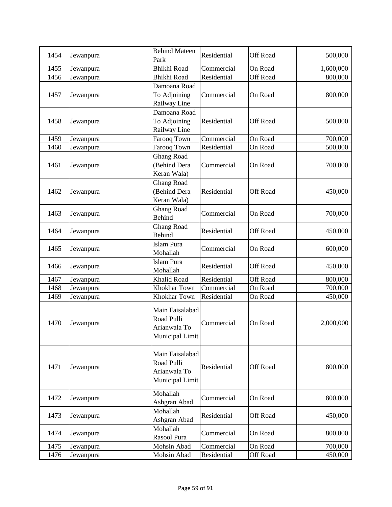| 1454 | Jewanpura | <b>Behind Mateen</b><br>Park                                     | Residential | <b>Off Road</b> | 500,000   |
|------|-----------|------------------------------------------------------------------|-------------|-----------------|-----------|
| 1455 | Jewanpura | <b>Bhikhi Road</b>                                               | Commercial  | On Road         | 1,600,000 |
| 1456 | Jewanpura | <b>Bhikhi Road</b>                                               | Residential | <b>Off Road</b> | 800,000   |
| 1457 | Jewanpura | Damoana Road<br>To Adjoining<br>Railway Line                     | Commercial  | On Road         | 800,000   |
| 1458 | Jewanpura | Damoana Road<br>To Adjoining<br>Railway Line                     | Residential | <b>Off Road</b> | 500,000   |
| 1459 | Jewanpura | Farooq Town                                                      | Commercial  | On Road         | 700,000   |
| 1460 | Jewanpura | Farooq Town                                                      | Residential | On Road         | 500,000   |
| 1461 | Jewanpura | <b>Ghang Road</b><br>(Behind Dera<br>Keran Wala)                 | Commercial  | On Road         | 700,000   |
| 1462 | Jewanpura | <b>Ghang Road</b><br>(Behind Dera<br>Keran Wala)                 | Residential | <b>Off Road</b> | 450,000   |
| 1463 | Jewanpura | <b>Ghang Road</b><br><b>Behind</b>                               | Commercial  | On Road         | 700,000   |
| 1464 | Jewanpura | <b>Ghang Road</b><br><b>Behind</b>                               | Residential | <b>Off Road</b> | 450,000   |
| 1465 | Jewanpura | <b>Islam Pura</b><br>Mohallah                                    | Commercial  | On Road         | 600,000   |
| 1466 | Jewanpura | Islam Pura<br>Mohallah                                           | Residential | <b>Off Road</b> | 450,000   |
| 1467 | Jewanpura | <b>Khalid Road</b>                                               | Residential | <b>Off Road</b> | 800,000   |
| 1468 | Jewanpura | Khokhar Town                                                     | Commercial  | On Road         | 700,000   |
| 1469 | Jewanpura | Khokhar Town                                                     | Residential | On Road         | 450,000   |
| 1470 | Jewanpura | Main Faisalabad<br>Road Pulli<br>Arianwala To<br>Municipal Limit | Commercial  | On Road         | 2,000,000 |
| 1471 | Jewanpura | Main Faisalabad<br>Road Pulli<br>Arianwala To<br>Municipal Limit | Residential | <b>Off Road</b> | 800,000   |
| 1472 | Jewanpura | Mohallah<br>Ashgran Abad                                         | Commercial  | On Road         | 800,000   |
| 1473 | Jewanpura | Mohallah<br>Ashgran Abad                                         | Residential | <b>Off Road</b> | 450,000   |
| 1474 | Jewanpura | Mohallah<br>Rasool Pura                                          | Commercial  | On Road         | 800,000   |
| 1475 | Jewanpura | Mohsin Abad                                                      | Commercial  | On Road         | 700,000   |
| 1476 | Jewanpura | Mohsin Abad                                                      | Residential | Off Road        | 450,000   |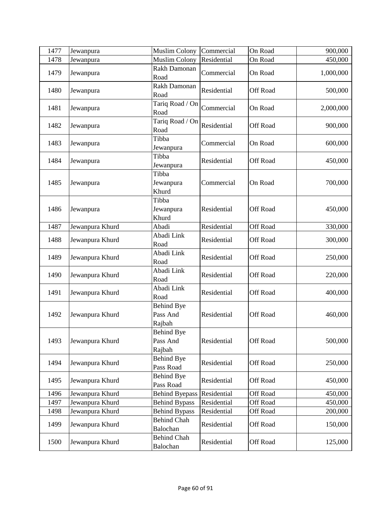| 1477 | Jewanpura       | <b>Muslim Colony</b>                    | Commercial  | On Road         | 900,000   |
|------|-----------------|-----------------------------------------|-------------|-----------------|-----------|
| 1478 | Jewanpura       | <b>Muslim Colony</b>                    | Residential | On Road         | 450,000   |
| 1479 | Jewanpura       | Rakh Damonan<br>Road                    | Commercial  | On Road         | 1,000,000 |
| 1480 | Jewanpura       | Rakh Damonan<br>Road                    | Residential | <b>Off Road</b> | 500,000   |
| 1481 | Jewanpura       | Tariq Road / On<br>Road                 | Commercial  | On Road         | 2,000,000 |
| 1482 | Jewanpura       | Tariq Road / On<br>Road                 | Residential | Off Road        | 900,000   |
| 1483 | Jewanpura       | Tibba<br>Jewanpura                      | Commercial  | On Road         | 600,000   |
| 1484 | Jewanpura       | Tibba<br>Jewanpura                      | Residential | Off Road        | 450,000   |
| 1485 | Jewanpura       | Tibba<br>Jewanpura<br>Khurd             | Commercial  | On Road         | 700,000   |
| 1486 | Jewanpura       | Tibba<br>Jewanpura<br>Khurd             | Residential | <b>Off Road</b> | 450,000   |
| 1487 | Jewanpura Khurd | Abadi                                   | Residential | Off Road        | 330,000   |
| 1488 | Jewanpura Khurd | Abadi Link<br>Road                      | Residential | Off Road        | 300,000   |
| 1489 | Jewanpura Khurd | Abadi Link<br>Road                      | Residential | Off Road        | 250,000   |
| 1490 | Jewanpura Khurd | Abadi Link<br>Road                      | Residential | Off Road        | 220,000   |
| 1491 | Jewanpura Khurd | Abadi Link<br>Road                      | Residential | <b>Off Road</b> | 400,000   |
| 1492 | Jewanpura Khurd | <b>Behind Bye</b><br>Pass And<br>Rajbah | Residential | <b>Off Road</b> | 460,000   |
| 1493 | Jewanpura Khurd | <b>Behind Bye</b><br>Pass And<br>Rajbah | Residential | Off Road        | 500,000   |
| 1494 | Jewanpura Khurd | <b>Behind Bye</b><br>Pass Road          | Residential | Off Road        | 250,000   |
| 1495 | Jewanpura Khurd | <b>Behind Bye</b><br>Pass Road          | Residential | Off Road        | 450,000   |
| 1496 | Jewanpura Khurd | <b>Behind Byepass</b>                   | Residential | <b>Off Road</b> | 450,000   |
| 1497 | Jewanpura Khurd | <b>Behind Bypass</b>                    | Residential | <b>Off Road</b> | 450,000   |
| 1498 | Jewanpura Khurd | <b>Behind Bypass</b>                    | Residential | <b>Off Road</b> | 200,000   |
| 1499 | Jewanpura Khurd | <b>Behind Chah</b><br>Balochan          | Residential | <b>Off Road</b> | 150,000   |
| 1500 | Jewanpura Khurd | <b>Behind Chah</b><br>Balochan          | Residential | Off Road        | 125,000   |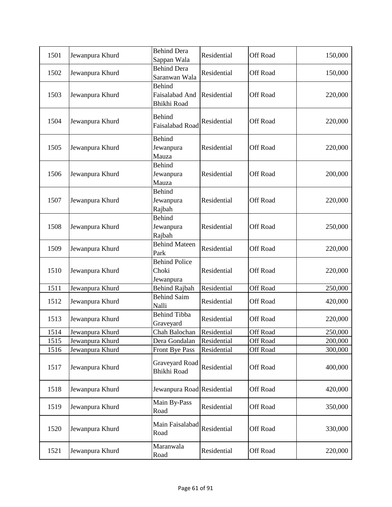| 1501 | Jewanpura Khurd | <b>Behind Dera</b><br>Sappan Wala                     | Residential | Off Road        | 150,000 |
|------|-----------------|-------------------------------------------------------|-------------|-----------------|---------|
| 1502 | Jewanpura Khurd | <b>Behind Dera</b><br>Saranwan Wala                   | Residential | Off Road        | 150,000 |
| 1503 | Jewanpura Khurd | <b>Behind</b><br>Faisalabad And<br><b>Bhikhi Road</b> | Residential | Off Road        | 220,000 |
| 1504 | Jewanpura Khurd | <b>Behind</b><br>Faisalabad Road                      | Residential | Off Road        | 220,000 |
| 1505 | Jewanpura Khurd | <b>Behind</b><br>Jewanpura<br>Mauza                   | Residential | Off Road        | 220,000 |
| 1506 | Jewanpura Khurd | <b>Behind</b><br>Jewanpura<br>Mauza                   | Residential | Off Road        | 200,000 |
| 1507 | Jewanpura Khurd | <b>Behind</b><br>Jewanpura<br>Rajbah                  | Residential | Off Road        | 220,000 |
| 1508 | Jewanpura Khurd | <b>Behind</b><br>Jewanpura<br>Rajbah                  | Residential | Off Road        | 250,000 |
| 1509 | Jewanpura Khurd | <b>Behind Mateen</b><br>Park                          | Residential | Off Road        | 220,000 |
| 1510 | Jewanpura Khurd | <b>Behind Police</b><br>Choki<br>Jewanpura            | Residential | Off Road        | 220,000 |
| 1511 | Jewanpura Khurd | <b>Behind Rajbah</b>                                  | Residential | Off Road        | 250,000 |
| 1512 | Jewanpura Khurd | <b>Behind Saim</b><br>Nalli                           | Residential | Off Road        | 420,000 |
| 1513 | Jewanpura Khurd | <b>Behind Tibba</b><br>Graveyard                      | Residential | Off Road        | 220,000 |
| 1514 | Jewanpura Khurd | Chah Balochan                                         | Residential | Off Road        | 250,000 |
| 1515 | Jewanpura Khurd | Dera Gondalan                                         | Residential | Off Road        | 200,000 |
| 1516 | Jewanpura Khurd | Front Bye Pass                                        | Residential | <b>Off Road</b> | 300,000 |
| 1517 | Jewanpura Khurd | Graveyard Road<br><b>Bhikhi Road</b>                  | Residential | Off Road        | 400,000 |
| 1518 | Jewanpura Khurd | Jewanpura Road Residential                            |             | Off Road        | 420,000 |
| 1519 | Jewanpura Khurd | Main By-Pass<br>Road                                  | Residential | Off Road        | 350,000 |
| 1520 | Jewanpura Khurd | Main Faisalabad<br>Road                               | Residential | Off Road        | 330,000 |
| 1521 | Jewanpura Khurd | Maranwala<br>Road                                     | Residential | Off Road        | 220,000 |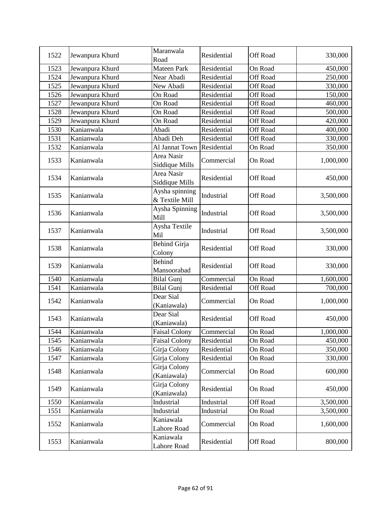| 1522 | Jewanpura Khurd | Maranwala<br>Road                | Residential | Off Road        | 330,000   |
|------|-----------------|----------------------------------|-------------|-----------------|-----------|
| 1523 | Jewanpura Khurd | Mateen Park                      | Residential | On Road         | 450,000   |
| 1524 | Jewanpura Khurd | Near Abadi                       | Residential | Off Road        | 250,000   |
| 1525 | Jewanpura Khurd | New Abadi                        | Residential | <b>Off Road</b> | 330,000   |
| 1526 | Jewanpura Khurd | On Road                          | Residential | Off Road        | 150,000   |
| 1527 | Jewanpura Khurd | On Road                          | Residential | <b>Off Road</b> | 460,000   |
| 1528 | Jewanpura Khurd | On Road                          | Residential | <b>Off Road</b> | 500,000   |
| 1529 | Jewanpura Khurd | On Road                          | Residential | <b>Off Road</b> | 420,000   |
| 1530 | Kanianwala      | Abadi                            | Residential | <b>Off Road</b> | 400,000   |
| 1531 | Kanianwala      | Abadi Deh                        | Residential | <b>Off Road</b> | 330,000   |
| 1532 | Kanianwala      | Al Jannat Town                   | Residential | On Road         | 350,000   |
| 1533 | Kanianwala      | Area Nasir<br>Siddique Mills     | Commercial  | On Road         | 1,000,000 |
| 1534 | Kanianwala      | Area Nasir<br>Siddique Mills     | Residential | Off Road        | 450,000   |
| 1535 | Kanianwala      | Aysha spinning<br>& Textile Mill | Industrial  | Off Road        | 3,500,000 |
| 1536 | Kanianwala      | Aysha Spinning<br>Mill           | Industrial  | <b>Off Road</b> | 3,500,000 |
| 1537 | Kanianwala      | Aysha Textile<br>Mil             | Industrial  | <b>Off Road</b> | 3,500,000 |
| 1538 | Kanianwala      | <b>Behind Girja</b><br>Colony    | Residential | Off Road        | 330,000   |
| 1539 | Kanianwala      | <b>Behind</b><br>Mansoorabad     | Residential | Off Road        | 330,000   |
| 1540 | Kanianwala      | <b>Bilal Gunj</b>                | Commercial  | On Road         | 1,600,000 |
| 1541 | Kanianwala      | <b>Bilal Gunj</b>                | Residential | Off Road        | 700,000   |
| 1542 | Kanianwala      | Dear Sial<br>(Kaniawala)         | Commercial  | On Road         | 1,000,000 |
| 1543 | Kanianwala      | Dear Sial<br>(Kaniawala)         | Residential | Off Road        | 450,000   |
| 1544 | Kanianwala      | <b>Faisal Colony</b>             | Commercial  | On Road         | 1,000,000 |
| 1545 | Kanianwala      | <b>Faisal Colony</b>             | Residential | On Road         | 450,000   |
| 1546 | Kanianwala      | Girja Colony                     | Residential | On Road         | 350,000   |
| 1547 | Kanianwala      | Girja Colony                     | Residential | On Road         | 330,000   |
| 1548 | Kanianwala      | Girja Colony<br>(Kaniawala)      | Commercial  | On Road         | 600,000   |
| 1549 | Kanianwala      | Girja Colony<br>(Kaniawala)      | Residential | On Road         | 450,000   |
| 1550 | Kanianwala      | Industrial                       | Industrial  | <b>Off Road</b> | 3,500,000 |
| 1551 | Kanianwala      | Industrial                       | Industrial  | On Road         | 3,500,000 |
| 1552 | Kanianwala      | Kaniawala<br>Lahore Road         | Commercial  | On Road         | 1,600,000 |
| 1553 | Kanianwala      | Kaniawala<br>Lahore Road         | Residential | Off Road        | 800,000   |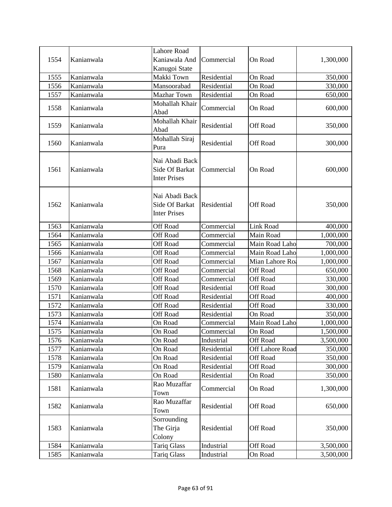|      |            | <b>Lahore Road</b>                                      |             |                  |           |
|------|------------|---------------------------------------------------------|-------------|------------------|-----------|
| 1554 | Kanianwala | Kaniawala And                                           | Commercial  | On Road          | 1,300,000 |
|      |            | Kanugoi State                                           |             |                  |           |
| 1555 | Kanianwala | Makki Town                                              | Residential | On Road          | 350,000   |
| 1556 | Kanianwala | Mansoorabad                                             | Residential | On Road          | 330,000   |
| 1557 | Kanianwala | <b>Mazhar Town</b>                                      | Residential | On Road          | 650,000   |
| 1558 | Kanianwala | Mohallah Khair<br>Abad                                  | Commercial  | On Road          | 600,000   |
| 1559 | Kanianwala | Mohallah Khair<br>Abad                                  | Residential | <b>Off Road</b>  | 350,000   |
| 1560 | Kanianwala | Mohallah Siraj<br>Pura                                  | Residential | Off Road         | 300,000   |
| 1561 | Kanianwala | Nai Abadi Back<br>Side Of Barkat<br><b>Inter Prises</b> | Commercial  | On Road          | 600,000   |
| 1562 | Kanianwala | Nai Abadi Back<br>Side Of Barkat<br><b>Inter Prises</b> | Residential | Off Road         | 350,000   |
| 1563 | Kanianwala | <b>Off Road</b>                                         | Commercial  | <b>Link Road</b> | 400,000   |
| 1564 | Kanianwala | <b>Off Road</b>                                         | Commercial  | Main Road        | 1,000,000 |
| 1565 | Kanianwala | <b>Off Road</b>                                         | Commercial  | Main Road Laho   | 700,000   |
| 1566 | Kanianwala | <b>Off Road</b>                                         | Commercial  | Main Road Laho   | 1,000,000 |
| 1567 | Kanianwala | <b>Off Road</b>                                         | Commercial  | Mian Lahore Roa  | 1,000,000 |
| 1568 | Kanianwala | <b>Off Road</b>                                         | Commercial  | Off Road         | 650,000   |
| 1569 | Kanianwala | Off Road                                                | Commercial  | Off Road         | 330,000   |
| 1570 | Kanianwala | <b>Off Road</b>                                         | Residential | <b>Off Road</b>  | 300,000   |
| 1571 | Kanianwala | Off Road                                                | Residential | <b>Off Road</b>  | 400,000   |
| 1572 | Kanianwala | <b>Off Road</b>                                         | Residential | Off Road         | 330,000   |
| 1573 | Kanianwala | <b>Off Road</b>                                         | Residential | On Road          | 350,000   |
| 1574 | Kanianwala | On Road                                                 | Commercial  | Main Road Laho   | 1,000,000 |
| 1575 | Kanianwala | On Road                                                 | Commercial  | On Road          | 1,500,000 |
| 1576 | Kanianwala | On Road                                                 | Industrial  | Off Road         | 3,500,000 |
| 1577 | Kanianwala | On Road                                                 | Residential | Off Lahore Road  | 350,000   |
| 1578 | Kanianwala | On Road                                                 | Residential | Off Road         | 350,000   |
| 1579 | Kanianwala | On Road                                                 | Residential | Off Road         | 300,000   |
| 1580 | Kanianwala | On Road                                                 | Residential | On Road          | 350,000   |
| 1581 | Kanianwala | Rao Muzaffar<br>Town                                    | Commercial  | On Road          | 1,300,000 |
| 1582 | Kanianwala | Rao Muzaffar<br>Town                                    | Residential | Off Road         | 650,000   |
| 1583 | Kanianwala | Sorrounding<br>The Girja<br>Colony                      | Residential | <b>Off Road</b>  | 350,000   |
| 1584 | Kanianwala | <b>Tariq Glass</b>                                      | Industrial  | <b>Off Road</b>  | 3,500,000 |
| 1585 | Kanianwala | <b>Tariq Glass</b>                                      | Industrial  | On Road          | 3,500,000 |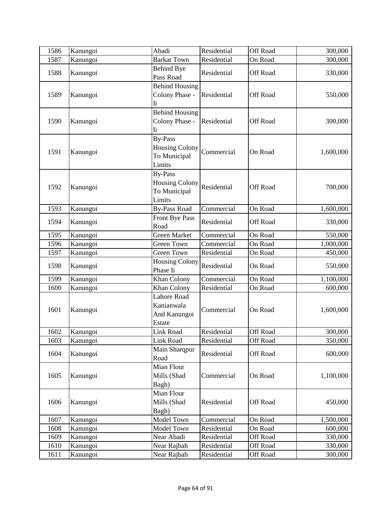| 1586 | Kanungoi | Abadi                                                             | Residential | Off Road        | 300,000   |
|------|----------|-------------------------------------------------------------------|-------------|-----------------|-----------|
| 1587 | Kanungoi | <b>Barkat Town</b>                                                | Residential | On Road         | 300,000   |
| 1588 | Kanungoi | <b>Behind Bye</b><br>Pass Road                                    | Residential | Off Road        | 330,000   |
| 1589 | Kanungoi | <b>Behind Housing</b><br>Colony Phase -<br>Ii                     | Residential | <b>Off Road</b> | 550,000   |
| 1590 | Kanungoi | <b>Behind Housing</b><br>Colony Phase -<br>Ii                     | Residential | Off Road        | 300,000   |
| 1591 | Kanungoi | <b>By-Pass</b><br><b>Housing Colony</b><br>To Municipal<br>Limits | Commercial  | On Road         | 1,600,000 |
| 1592 | Kanungoi | <b>By-Pass</b><br><b>Housing Colony</b><br>To Municipal<br>Limits | Residential | <b>Off Road</b> | 700,000   |
| 1593 | Kanungoi | <b>By-Pass Road</b>                                               | Commercial  | On Road         | 1,600,000 |
| 1594 | Kanungoi | Front Bye Pass<br>Road                                            | Residential | Off Road        | 330,000   |
| 1595 | Kanungoi | <b>Green Market</b>                                               | Commercial  | On Road         | 550,000   |
| 1596 | Kanungoi | Green Town                                                        | Commercial  | On Road         | 1,000,000 |
| 1597 | Kanungoi | Green Town                                                        | Residential | On Road         | 450,000   |
| 1598 | Kanungoi | Housing Colony<br>Phase Ii                                        | Residential | On Road         | 550,000   |
| 1599 | Kanungoi | Khan Colony                                                       | Commercial  | On Road         | 1,100,000 |
| 1600 | Kanungoi | Khan Colony                                                       | Residential | On Road         | 600,000   |
| 1601 | Kanungoi | <b>Lahore Road</b><br>Kanianwala<br>And Kanungoi<br>Estate        | Commercial  | On Road         | 1,600,000 |
| 1602 | Kanungoi | Link Road                                                         | Residential | Off Road        | 300,000   |
| 1603 | Kanungoi | Link Road                                                         | Residential | Off Road        | 350,000   |
| 1604 | Kanungoi | Main Sharqpur<br>Road                                             | Residential | Off Road        | 600,000   |
| 1605 | Kanungoi | Mian Flour<br>Mills (Shad<br>Bagh)                                | Commercial  | On Road         | 1,100,000 |
| 1606 | Kanungoi | Mian Flour<br>Mills (Shad<br>Bagh)                                | Residential | Off Road        | 450,000   |
| 1607 | Kanungoi | Model Town                                                        | Commercial  | On Road         | 1,500,000 |
| 1608 | Kanungoi | Model Town                                                        | Residential | On Road         | 600,000   |
| 1609 | Kanungoi | Near Abadi                                                        | Residential | <b>Off Road</b> | 330,000   |
| 1610 | Kanungoi | Near Rajbah                                                       | Residential | <b>Off Road</b> | 330,000   |
| 1611 | Kanungoi | Near Rajbah                                                       | Residential | Off Road        | 300,000   |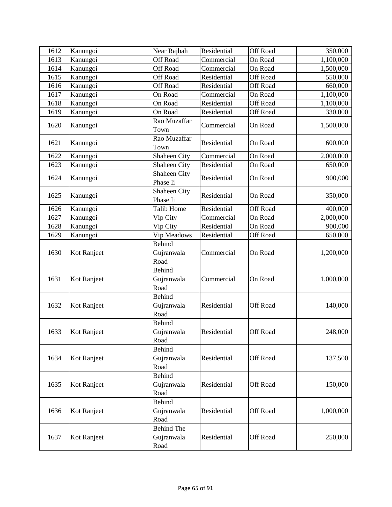| 1612 | Kanungoi    | Near Rajbah                             | Residential | <b>Off Road</b> | 350,000   |
|------|-------------|-----------------------------------------|-------------|-----------------|-----------|
| 1613 | Kanungoi    | <b>Off Road</b>                         | Commercial  | On Road         | 1,100,000 |
| 1614 | Kanungoi    | Off Road                                | Commercial  | On Road         | 1,500,000 |
| 1615 | Kanungoi    | Off Road                                | Residential | Off Road        | 550,000   |
| 1616 | Kanungoi    | Off Road                                | Residential | <b>Off Road</b> | 660,000   |
| 1617 | Kanungoi    | On Road                                 | Commercial  | On Road         | 1,100,000 |
| 1618 | Kanungoi    | On Road                                 | Residential | Off Road        | 1,100,000 |
| 1619 | Kanungoi    | On Road                                 | Residential | Off Road        | 330,000   |
| 1620 | Kanungoi    | Rao Muzaffar<br>Town                    | Commercial  | On Road         | 1,500,000 |
| 1621 | Kanungoi    | Rao Muzaffar<br>Town                    | Residential | On Road         | 600,000   |
| 1622 | Kanungoi    | Shaheen City                            | Commercial  | On Road         | 2,000,000 |
| 1623 | Kanungoi    | Shaheen City                            | Residential | On Road         | 650,000   |
| 1624 | Kanungoi    | Shaheen City<br>Phase Ii                | Residential | On Road         | 900,000   |
| 1625 | Kanungoi    | Shaheen City<br>Phase Ii                | Residential | On Road         | 350,000   |
| 1626 | Kanungoi    | <b>Talib Home</b>                       | Residential | <b>Off Road</b> | 400,000   |
| 1627 | Kanungoi    | Vip City                                | Commercial  | On Road         | 2,000,000 |
| 1628 | Kanungoi    | Vip City                                | Residential | On Road         | 900,000   |
| 1629 | Kanungoi    | Vip Meadows                             | Residential | Off Road        | 650,000   |
| 1630 | Kot Ranjeet | <b>Behind</b><br>Gujranwala<br>Road     | Commercial  | On Road         | 1,200,000 |
| 1631 | Kot Ranjeet | <b>Behind</b><br>Gujranwala<br>Road     | Commercial  | On Road         | 1,000,000 |
| 1632 | Kot Ranjeet | <b>Behind</b><br>Gujranwala<br>Road     | Residential | Off Road        | 140,000   |
| 1633 | Kot Ranjeet | <b>Behind</b><br>Gujranwala<br>Road     | Residential | Off Road        | 248,000   |
| 1634 | Kot Ranjeet | Behind<br>Gujranwala<br>Road            | Residential | Off Road        | 137,500   |
| 1635 | Kot Ranjeet | <b>Behind</b><br>Gujranwala<br>Road     | Residential | Off Road        | 150,000   |
| 1636 | Kot Ranjeet | <b>Behind</b><br>Gujranwala<br>Road     | Residential | <b>Off Road</b> | 1,000,000 |
| 1637 | Kot Ranjeet | <b>Behind The</b><br>Gujranwala<br>Road | Residential | Off Road        | 250,000   |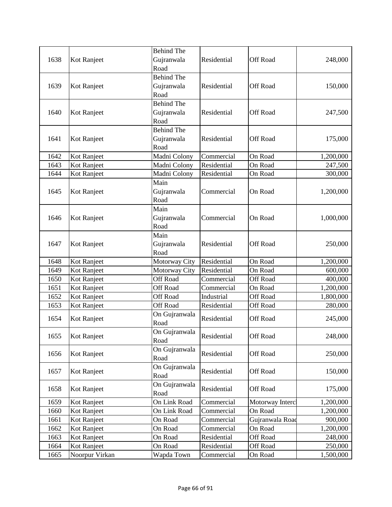|      |                | <b>Behind The</b> |             |                 |           |
|------|----------------|-------------------|-------------|-----------------|-----------|
| 1638 | Kot Ranjeet    | Gujranwala        | Residential | Off Road        | 248,000   |
|      |                | Road              |             |                 |           |
|      |                | <b>Behind The</b> |             |                 |           |
| 1639 | Kot Ranjeet    | Gujranwala        | Residential | Off Road        | 150,000   |
|      |                | Road              |             |                 |           |
|      |                | <b>Behind The</b> |             |                 |           |
| 1640 | Kot Ranjeet    | Gujranwala        | Residential | Off Road        | 247,500   |
|      |                | Road              |             |                 |           |
|      |                | <b>Behind The</b> |             |                 |           |
| 1641 | Kot Ranjeet    | Gujranwala        | Residential | Off Road        | 175,000   |
|      |                | Road              |             |                 |           |
| 1642 | Kot Ranjeet    | Madni Colony      | Commercial  | On Road         | 1,200,000 |
| 1643 | Kot Ranjeet    | Madni Colony      | Residential | On Road         | 247,500   |
| 1644 | Kot Ranjeet    | Madni Colony      | Residential | On Road         | 300,000   |
|      |                | Main              |             |                 |           |
| 1645 | Kot Ranjeet    | Gujranwala        | Commercial  | On Road         | 1,200,000 |
|      |                | Road              |             |                 |           |
|      |                | Main              |             |                 |           |
| 1646 | Kot Ranjeet    | Gujranwala        | Commercial  | On Road         | 1,000,000 |
|      |                | Road              |             |                 |           |
|      |                | Main              |             |                 |           |
| 1647 | Kot Ranjeet    | Gujranwala        | Residential | Off Road        | 250,000   |
|      |                | Road              |             |                 |           |
| 1648 | Kot Ranjeet    | Motorway City     | Residential | On Road         | 1,200,000 |
| 1649 | Kot Ranjeet    | Motorway City     | Residential | On Road         | 600,000   |
| 1650 | Kot Ranjeet    | Off Road          | Commercial  | Off Road        | 400,000   |
| 1651 | Kot Ranjeet    | Off Road          | Commercial  | On Road         | 1,200,000 |
| 1652 | Kot Ranjeet    | Off Road          | Industrial  | Off Road        | 1,800,000 |
| 1653 | Kot Ranjeet    | Off Road          | Residential | Off Road        | 280,000   |
|      |                | On Gujranwala     | Residential | Off Road        |           |
| 1654 | Kot Ranjeet    | Road              |             |                 | 245,000   |
|      |                | On Gujranwala     |             |                 | 248,000   |
| 1655 | Kot Ranjeet    | Road              | Residential | Off Road        |           |
|      |                | On Gujranwala     |             |                 | 250,000   |
| 1656 | Kot Ranjeet    | Road              | Residential | Off Road        |           |
|      |                | On Gujranwala     |             |                 |           |
| 1657 | Kot Ranjeet    | Road              | Residential | Off Road        | 150,000   |
|      |                | On Gujranwala     |             |                 |           |
| 1658 | Kot Ranjeet    | Road              | Residential | Off Road        | 175,000   |
| 1659 | Kot Ranjeet    | On Link Road      | Commercial  | Motorway Interc | 1,200,000 |
| 1660 | Kot Ranjeet    | On Link Road      | Commercial  | On Road         | 1,200,000 |
| 1661 | Kot Ranjeet    | On Road           | Commercial  | Gujranwala Road | 900,000   |
| 1662 | Kot Ranjeet    | On Road           | Commercial  | On Road         | 1,200,000 |
| 1663 | Kot Ranjeet    | On Road           | Residential | Off Road        | 248,000   |
| 1664 | Kot Ranjeet    | On Road           | Residential | <b>Off Road</b> | 250,000   |
| 1665 | Noorpur Virkan | Wapda Town        | Commercial  | On Road         | 1,500,000 |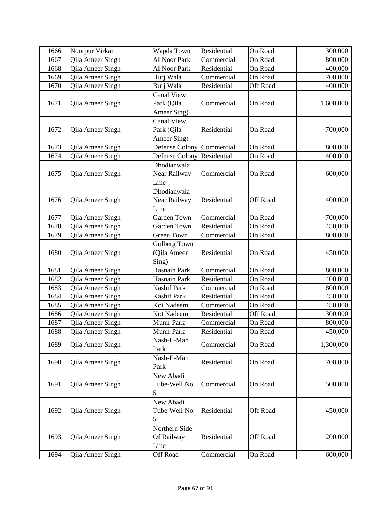| 1666 | Noorpur Virkan   | Wapda Town                | Residential | On Road         | 300,000   |
|------|------------------|---------------------------|-------------|-----------------|-----------|
| 1667 | Qila Ameer Singh | Al Noor Park              | Commercial  | On Road         | 800,000   |
| 1668 | Qila Ameer Singh | Al Noor Park              | Residential | On Road         | 400,000   |
| 1669 | Qila Ameer Singh | Burj Wala                 | Commercial  | On Road         | 700,000   |
| 1670 | Qila Ameer Singh | Burj Wala                 | Residential | Off Road        | 400,000   |
|      |                  | Canal View                |             |                 |           |
| 1671 | Qila Ameer Singh | Park (Qila                | Commercial  | On Road         | 1,600,000 |
|      |                  | Ameer Sing)               |             |                 |           |
|      |                  | <b>Canal View</b>         |             |                 |           |
| 1672 | Qila Ameer Singh | Park (Qila                | Residential | On Road         | 700,000   |
|      |                  | Ameer Sing)               |             |                 |           |
| 1673 | Qila Ameer Singh | Defense Colony Commercial |             | On Road         | 800,000   |
| 1674 | Qila Ameer Singh | Defense Colony            | Residential | On Road         | 400,000   |
|      |                  | Dhodianwala               |             |                 |           |
| 1675 | Qila Ameer Singh | Near Railway              | Commercial  | On Road         | 600,000   |
|      |                  | Line                      |             |                 |           |
|      |                  | Dhodianwala               |             |                 |           |
| 1676 | Qila Ameer Singh | Near Railway              | Residential | <b>Off Road</b> | 400,000   |
|      |                  | Line                      |             |                 |           |
| 1677 | Qila Ameer Singh | Garden Town               | Commercial  | On Road         | 700,000   |
| 1678 | Qila Ameer Singh | Garden Town               | Residential | On Road         | 450,000   |
| 1679 | Qila Ameer Singh | <b>Green Town</b>         | Commercial  | On Road         | 800,000   |
|      |                  | Gulberg Town              |             |                 |           |
| 1680 | Qila Ameer Singh | (Qila Ameer               | Residential | On Road         | 450,000   |
|      |                  | Sing)                     |             |                 |           |
| 1681 | Qila Ameer Singh | Hasnain Park              | Commercial  | On Road         | 800,000   |
| 1682 | Qila Ameer Singh | Hasnain Park              | Residential | On Road         | 400,000   |
| 1683 | Qila Ameer Singh | Kashif Park               | Commercial  | On Road         | 800,000   |
| 1684 | Qila Ameer Singh | <b>Kashif Park</b>        | Residential | On Road         | 450,000   |
| 1685 | Qila Ameer Singh | Kot Nadeem                | Commercial  | On Road         | 450,000   |
| 1686 | Qila Ameer Singh | Kot Nadeem                | Residential | <b>Off Road</b> | 300,000   |
| 1687 | Qila Ameer Singh | Munir Park                | Commercial  | On Road         | 800,000   |
| 1688 | Qila Ameer Singh | Munir Park                | Residential | On Road         | 450,000   |
| 1689 | Qila Ameer Singh | Nash-E-Man                | Commercial  | On Road         | 1,300,000 |
|      |                  | Park                      |             |                 |           |
| 1690 | Qila Ameer Singh | Nash-E-Man                | Residential | On Road         | 700,000   |
|      |                  | Park                      |             |                 |           |
|      |                  | New Abadi                 |             |                 |           |
| 1691 | Qila Ameer Singh | Tube-Well No.             | Commercial  | On Road         | 500,000   |
|      |                  | 5                         |             |                 |           |
|      |                  | New Abadi                 |             |                 |           |
| 1692 | Qila Ameer Singh | Tube-Well No.             | Residential | Off Road        | 450,000   |
|      |                  | 5                         |             |                 |           |
|      |                  | Northern Side             |             |                 |           |
| 1693 | Qila Ameer Singh | Of Railway                | Residential | Off Road        | 200,000   |
|      |                  | Line                      |             |                 |           |
| 1694 | Qila Ameer Singh | Off Road                  | Commercial  | On Road         | 600,000   |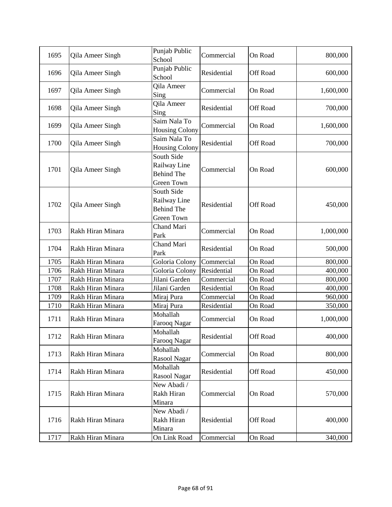| 1695 | Qila Ameer Singh  | Punjab Public<br>School                                              | Commercial  | On Road         | 800,000   |
|------|-------------------|----------------------------------------------------------------------|-------------|-----------------|-----------|
| 1696 | Qila Ameer Singh  | Punjab Public<br>School                                              | Residential | Off Road        | 600,000   |
| 1697 | Qila Ameer Singh  | <b>Qila Ameer</b><br>Sing                                            | Commercial  | On Road         | 1,600,000 |
| 1698 | Qila Ameer Singh  | Qila Ameer<br>Sing                                                   | Residential | Off Road        | 700,000   |
| 1699 | Qila Ameer Singh  | Saim Nala To<br><b>Housing Colony</b>                                | Commercial  | On Road         | 1,600,000 |
| 1700 | Qila Ameer Singh  | Saim Nala To<br><b>Housing Colony</b>                                | Residential | Off Road        | 700,000   |
| 1701 | Qila Ameer Singh  | South Side<br>Railway Line<br><b>Behind The</b><br><b>Green Town</b> | Commercial  | On Road         | 600,000   |
| 1702 | Qila Ameer Singh  | South Side<br>Railway Line<br><b>Behind The</b><br>Green Town        | Residential | <b>Off Road</b> | 450,000   |
| 1703 | Rakh Hiran Minara | Chand Mari<br>Park                                                   | Commercial  | On Road         | 1,000,000 |
| 1704 | Rakh Hiran Minara | Chand Mari<br>Park                                                   | Residential | On Road         | 500,000   |
| 1705 | Rakh Hiran Minara | Goloria Colony                                                       | Commercial  | On Road         | 800,000   |
| 1706 | Rakh Hiran Minara | Goloria Colony                                                       | Residential | On Road         | 400,000   |
| 1707 | Rakh Hiran Minara | Jilani Garden                                                        | Commercial  | On Road         | 800,000   |
| 1708 | Rakh Hiran Minara | Jilani Garden                                                        | Residential | On Road         | 400,000   |
| 1709 | Rakh Hiran Minara | Miraj Pura                                                           | Commercial  | On Road         | 960,000   |
| 1710 | Rakh Hiran Minara | Miraj Pura                                                           | Residential | On Road         | 350,000   |
| 1711 | Rakh Hiran Minara | Mohallah<br>Farooq Nagar                                             | Commercial  | On Road         | 1,000,000 |
| 1712 | Rakh Hiran Minara | Mohallah<br>Farooq Nagar                                             | Residential | Off Road        | 400,000   |
| 1713 | Rakh Hiran Minara | Mohallah<br>Rasool Nagar                                             | Commercial  | On Road         | 800,000   |
| 1714 | Rakh Hiran Minara | Mohallah<br>Rasool Nagar                                             | Residential | Off Road        | 450,000   |
| 1715 | Rakh Hiran Minara | New Abadi /<br>Rakh Hiran<br>Minara                                  | Commercial  | On Road         | 570,000   |
| 1716 | Rakh Hiran Minara | New Abadi /<br>Rakh Hiran<br>Minara                                  | Residential | Off Road        | 400,000   |
| 1717 | Rakh Hiran Minara | On Link Road                                                         | Commercial  | On Road         | 340,000   |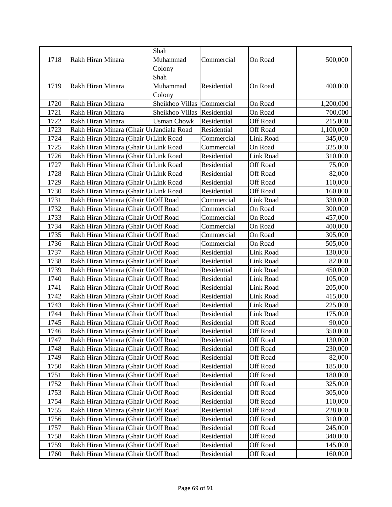|              |                                                                            | Shah                        |                            |                      |                   |
|--------------|----------------------------------------------------------------------------|-----------------------------|----------------------------|----------------------|-------------------|
| 1718         | Rakh Hiran Minara                                                          | Muhammad                    | Commercial                 | On Road              | 500,000           |
|              |                                                                            | Colony                      |                            |                      |                   |
| 1719         | Rakh Hiran Minara                                                          | Shah<br>Muhammad            | Residential                | On Road              | 400,000           |
|              |                                                                            | Colony                      |                            |                      |                   |
| 1720         | Rakh Hiran Minara                                                          | Sheikhoo Villas Commercial  |                            | On Road              | 1,200,000         |
| 1721         | Rakh Hiran Minara                                                          | Sheikhoo Villas Residential |                            | On Road              | 700,000           |
| 1722         | Rakh Hiran Minara                                                          | <b>Usman Chowk</b>          | Residential                | Off Road             | 215,000           |
| 1723         | Rakh Hiran Minara (Ghair U Jandiala Road                                   |                             | Residential                | <b>Off Road</b>      | 1,100,000         |
| 1724         | Rakh Hiran Minara (Ghair UlLink Road                                       |                             | Commercial                 | Link Road            | 345,000           |
| 1725         | Rakh Hiran Minara (Ghair UlLink Road                                       |                             | Commercial                 | On Road              | 325,000           |
| 1726         | Rakh Hiran Minara (Ghair UlLink Road                                       |                             | Residential                | Link Road            | 310,000           |
| 1727         | Rakh Hiran Minara (Ghair UlLink Road                                       |                             | Residential                | Off Road             | 75,000            |
| 1728         | Rakh Hiran Minara (Ghair UrLink Road                                       |                             | Residential                | Off Road             | 82,000            |
| 1729         | Rakh Hiran Minara (Ghair UlLink Road                                       |                             | Residential                | Off Road             | 110,000           |
| 1730         | Rakh Hiran Minara (Ghair UlLink Road                                       |                             | Residential                | Off Road             | 160,000           |
| 1731         | Rakh Hiran Minara (Ghair UIOff Road                                        |                             | Commercial                 | Link Road            | 330,000           |
| 1732         | Rakh Hiran Minara (Ghair UIOff Road                                        |                             | Commercial                 | On Road              | 300,000           |
| 1733         | Rakh Hiran Minara (Ghair UIOff Road                                        |                             | Commercial                 | On Road              | 457,000           |
| 1734         | Rakh Hiran Minara (Ghair UIOff Road                                        |                             | Commercial                 | On Road              | 400,000           |
| 1735         | Rakh Hiran Minara (Ghair UIOff Road                                        |                             | Commercial                 | On Road              | 305,000           |
| 1736         | Rakh Hiran Minara (Ghair UIOff Road                                        |                             | Commercial                 | On Road              | 505,000           |
| 1737         | Rakh Hiran Minara (Ghair UIOff Road                                        |                             | Residential                | Link Road            | 130,000           |
| 1738         | Rakh Hiran Minara (Ghair UIOff Road                                        |                             | Residential                | Link Road            | 82,000            |
| 1739         | Rakh Hiran Minara (Ghair UIOff Road                                        |                             | Residential                | Link Road            | 450,000           |
| 1740         | Rakh Hiran Minara (Ghair UIOff Road                                        |                             | Residential                | Link Road            | 105,000           |
| 1741         | Rakh Hiran Minara (Ghair UIOff Road                                        |                             | Residential                | Link Road            | 205,000           |
| 1742         | Rakh Hiran Minara (Ghair UIOff Road                                        |                             | Residential                | Link Road            | 415,000           |
| 1743         | Rakh Hiran Minara (Ghair UrOff Road                                        |                             | Residential                | Link Road            | 225,000           |
| 1744         | Rakh Hiran Minara (Ghair UIOff Road                                        |                             | Residential                | Link Road            | 175,000           |
| 1745         | Rakh Hiran Minara (Ghair U Off Road                                        |                             | Residential                | <b>Off Road</b>      | 90,000            |
| 1746         | Rakh Hiran Minara (Ghair UIOff Road                                        |                             | Residential                | Off Road             | 350,000           |
| 1747         | Rakh Hiran Minara (Ghair U Off Road                                        |                             | Residential                | Off Road             | 130,000           |
| 1748<br>1749 | Rakh Hiran Minara (Ghair UrOff Road<br>Rakh Hiran Minara (Ghair U Off Road |                             | Residential<br>Residential | Off Road<br>Off Road | 230,000<br>82,000 |
| 1750         | Rakh Hiran Minara (Ghair UrOff Road                                        |                             | Residential                | Off Road             | 185,000           |
| 1751         | Rakh Hiran Minara (Ghair UrOff Road                                        |                             | Residential                | Off Road             | 180,000           |
| 1752         | Rakh Hiran Minara (Ghair UrOff Road                                        |                             | Residential                | Off Road             | 325,000           |
| 1753         | Rakh Hiran Minara (Ghair UrOff Road                                        |                             | Residential                | Off Road             | 305,000           |
| 1754         | Rakh Hiran Minara (Ghair U Off Road                                        |                             | Residential                | Off Road             | 110,000           |
| 1755         | Rakh Hiran Minara (Ghair U Off Road                                        |                             | Residential                | Off Road             | 228,000           |
| 1756         | Rakh Hiran Minara (Ghair U Off Road                                        |                             | Residential                | Off Road             | 310,000           |
| 1757         | Rakh Hiran Minara (Ghair U Off Road                                        |                             | Residential                | Off Road             | 245,000           |
| 1758         | Rakh Hiran Minara (Ghair UrOff Road                                        |                             | Residential                | Off Road             | 340,000           |
| 1759         | Rakh Hiran Minara (Ghair UrOff Road                                        |                             | Residential                | Off Road             | 145,000           |
| 1760         | Rakh Hiran Minara (Ghair U Off Road                                        |                             | Residential                | Off Road             | 160,000           |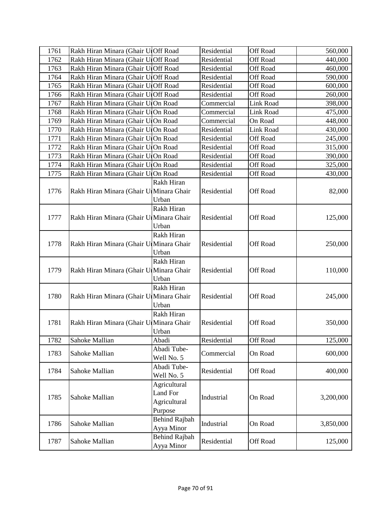| 1761 | Rakh Hiran Minara (Ghair UIOff Road      |                      | Residential | Off Road        | 560,000   |
|------|------------------------------------------|----------------------|-------------|-----------------|-----------|
| 1762 | Rakh Hiran Minara (Ghair UIOff Road      |                      | Residential | <b>Off Road</b> | 440,000   |
| 1763 | Rakh Hiran Minara (Ghair UIOff Road      |                      | Residential | <b>Off Road</b> | 460,000   |
| 1764 | Rakh Hiran Minara (Ghair UIOff Road      |                      | Residential | <b>Off Road</b> | 590,000   |
| 1765 | Rakh Hiran Minara (Ghair UIOff Road      |                      | Residential | Off Road        | 600,000   |
| 1766 | Rakh Hiran Minara (Ghair UIOff Road      |                      | Residential | <b>Off Road</b> | 260,000   |
| 1767 | Rakh Hiran Minara (Ghair U. On Road      |                      | Commercial  | Link Road       | 398,000   |
| 1768 | Rakh Hiran Minara (Ghair U. On Road      |                      | Commercial  | Link Road       | 475,000   |
| 1769 | Rakh Hiran Minara (Ghair UIOn Road       |                      | Commercial  | On Road         | 448,000   |
| 1770 | Rakh Hiran Minara (Ghair U. On Road      |                      | Residential | Link Road       | 430,000   |
| 1771 | Rakh Hiran Minara (Ghair U. On Road      |                      | Residential | <b>Off Road</b> | 245,000   |
| 1772 | Rakh Hiran Minara (Ghair U. On Road      |                      | Residential | Off Road        | 315,000   |
| 1773 | Rakh Hiran Minara (Ghair U. On Road      |                      | Residential | <b>Off Road</b> | 390,000   |
| 1774 | Rakh Hiran Minara (Ghair U. On Road      |                      | Residential | <b>Off Road</b> | 325,000   |
| 1775 | Rakh Hiran Minara (Ghair U. On Road      |                      | Residential | <b>Off Road</b> | 430,000   |
|      |                                          | Rakh Hiran           |             |                 |           |
| 1776 | Rakh Hiran Minara (Ghair UrMinara Ghair  |                      | Residential | Off Road        | 82,000    |
|      |                                          | Urban                |             |                 |           |
|      |                                          | Rakh Hiran           |             |                 |           |
| 1777 | Rakh Hiran Minara (Ghair Ul Minara Ghair |                      | Residential | Off Road        | 125,000   |
|      |                                          | Urban                |             |                 |           |
|      |                                          | Rakh Hiran           |             |                 |           |
| 1778 | Rakh Hiran Minara (Ghair Ul Minara Ghair |                      | Residential | Off Road        | 250,000   |
|      |                                          | Urban                |             |                 |           |
|      |                                          | Rakh Hiran           |             |                 |           |
| 1779 | Rakh Hiran Minara (Ghair UrMinara Ghair  |                      | Residential | Off Road        | 110,000   |
|      |                                          | Urban                |             |                 |           |
|      |                                          | Rakh Hiran           |             |                 |           |
| 1780 | Rakh Hiran Minara (Ghair U Minara Ghair  |                      | Residential | Off Road        | 245,000   |
|      |                                          | Urban                |             |                 |           |
|      |                                          | Rakh Hiran           |             |                 |           |
| 1781 | Rakh Hiran Minara (Ghair UrMinara Ghair  |                      | Residential | Off Road        | 350,000   |
|      |                                          | Urban                |             |                 |           |
| 1782 | Sahoke Mallian                           | Abadi                | Residential | Off Road        | 125,000   |
| 1783 | Sahoke Mallian                           | Abadi Tube-          | Commercial  | On Road         | 600,000   |
|      |                                          | Well No. 5           |             |                 |           |
| 1784 | Sahoke Mallian                           | Abadi Tube-          | Residential | Off Road        | 400,000   |
|      |                                          | Well No. 5           |             |                 |           |
|      |                                          | Agricultural         |             |                 |           |
| 1785 | Sahoke Mallian                           | Land For             | Industrial  | On Road         | 3,200,000 |
|      |                                          | Agricultural         |             |                 |           |
|      |                                          | Purpose              |             |                 |           |
| 1786 | Sahoke Mallian                           | <b>Behind Rajbah</b> | Industrial  | On Road         | 3,850,000 |
|      |                                          | Ayya Minor           |             |                 |           |
| 1787 | Sahoke Mallian                           | Behind Rajbah        | Residential | Off Road        | 125,000   |
|      |                                          | Ayya Minor           |             |                 |           |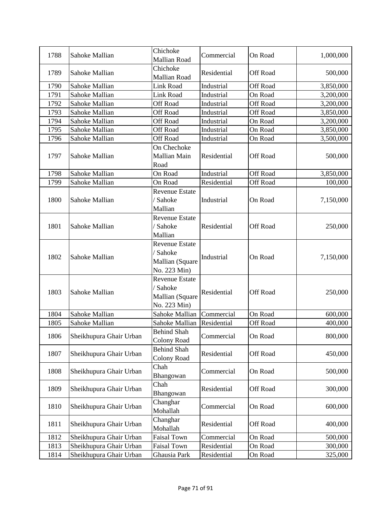| 1788 | Sahoke Mallian          | Chichoke<br><b>Mallian Road</b>                                      | Commercial  | On Road         | 1,000,000 |
|------|-------------------------|----------------------------------------------------------------------|-------------|-----------------|-----------|
| 1789 | Sahoke Mallian          | Chichoke<br><b>Mallian Road</b>                                      | Residential | <b>Off Road</b> | 500,000   |
| 1790 | Sahoke Mallian          | Link Road                                                            | Industrial  | <b>Off Road</b> | 3,850,000 |
| 1791 | Sahoke Mallian          | Link Road                                                            | Industrial  | On Road         | 3,200,000 |
| 1792 | Sahoke Mallian          | <b>Off Road</b>                                                      | Industrial  | <b>Off Road</b> | 3,200,000 |
| 1793 | Sahoke Mallian          | Off Road                                                             | Industrial  | <b>Off Road</b> | 3,850,000 |
| 1794 | Sahoke Mallian          | Off Road                                                             | Industrial  | On Road         | 3,200,000 |
| 1795 | Sahoke Mallian          | Off Road                                                             | Industrial  | On Road         | 3,850,000 |
| 1796 | Sahoke Mallian          | Off Road                                                             | Industrial  | On Road         | 3,500,000 |
| 1797 | Sahoke Mallian          | On Chechoke<br>Mallian Main<br>Road                                  | Residential | <b>Off Road</b> | 500,000   |
| 1798 | Sahoke Mallian          | On Road                                                              | Industrial  | Off Road        | 3,850,000 |
| 1799 | Sahoke Mallian          | On Road                                                              | Residential | <b>Off Road</b> | 100,000   |
| 1800 | Sahoke Mallian          | <b>Revenue Estate</b><br>/ Sahoke<br>Mallian                         | Industrial  | On Road         | 7,150,000 |
| 1801 | Sahoke Mallian          | <b>Revenue Estate</b><br>/ Sahoke<br>Mallian                         | Residential | Off Road        | 250,000   |
| 1802 | Sahoke Mallian          | <b>Revenue Estate</b><br>/ Sahoke<br>Mallian (Square<br>No. 223 Min) | Industrial  | On Road         | 7,150,000 |
| 1803 | Sahoke Mallian          | <b>Revenue Estate</b><br>/ Sahoke<br>Mallian (Square<br>No. 223 Min) | Residential | <b>Off Road</b> | 250,000   |
| 1804 | Sahoke Mallian          | Sahoke Mallian                                                       | Commercial  | On Road         | 600,000   |
| 1805 | Sahoke Mallian          | Sahoke Mallian                                                       | Residential | <b>Off Road</b> | 400,000   |
| 1806 | Sheikhupura Ghair Urban | <b>Behind Shah</b><br>Colony Road                                    | Commercial  | On Road         | 800,000   |
| 1807 | Sheikhupura Ghair Urban | <b>Behind Shah</b><br><b>Colony Road</b>                             | Residential | <b>Off Road</b> | 450,000   |
| 1808 | Sheikhupura Ghair Urban | Chah<br>Bhangowan                                                    | Commercial  | On Road         | 500,000   |
| 1809 | Sheikhupura Ghair Urban | Chah<br>Bhangowan                                                    | Residential | Off Road        | 300,000   |
| 1810 | Sheikhupura Ghair Urban | Changhar<br>Mohallah                                                 | Commercial  | On Road         | 600,000   |
| 1811 | Sheikhupura Ghair Urban | Changhar<br>Mohallah                                                 | Residential | <b>Off Road</b> | 400,000   |
| 1812 | Sheikhupura Ghair Urban | <b>Faisal Town</b>                                                   | Commercial  | On Road         | 500,000   |
| 1813 | Sheikhupura Ghair Urban | <b>Faisal Town</b>                                                   | Residential | On Road         | 300,000   |
| 1814 | Sheikhupura Ghair Urban | Ghausia Park                                                         | Residential | On Road         | 325,000   |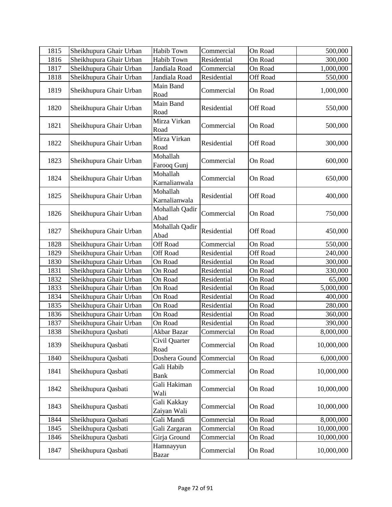| 1815 | Sheikhupura Ghair Urban | <b>Habib Town</b>          | Commercial  | On Road         | 500,000    |
|------|-------------------------|----------------------------|-------------|-----------------|------------|
| 1816 | Sheikhupura Ghair Urban | Habib Town                 | Residential | On Road         | 300,000    |
| 1817 | Sheikhupura Ghair Urban | Jandiala Road              | Commercial  | On Road         | 1,000,000  |
| 1818 | Sheikhupura Ghair Urban | Jandiala Road              | Residential | Off Road        | 550,000    |
| 1819 | Sheikhupura Ghair Urban | Main Band<br>Road          | Commercial  | On Road         | 1,000,000  |
| 1820 | Sheikhupura Ghair Urban | Main Band<br>Road          | Residential | Off Road        | 550,000    |
| 1821 | Sheikhupura Ghair Urban | Mirza Virkan<br>Road       | Commercial  | On Road         | 500,000    |
| 1822 | Sheikhupura Ghair Urban | Mirza Virkan<br>Road       | Residential | Off Road        | 300,000    |
| 1823 | Sheikhupura Ghair Urban | Mohallah<br>Farooq Gunj    | Commercial  | On Road         | 600,000    |
| 1824 | Sheikhupura Ghair Urban | Mohallah<br>Karnalianwala  | Commercial  | On Road         | 650,000    |
| 1825 | Sheikhupura Ghair Urban | Mohallah<br>Karnalianwala  | Residential | Off Road        | 400,000    |
| 1826 | Sheikhupura Ghair Urban | Mohallah Qadir<br>Abad     | Commercial  | On Road         | 750,000    |
| 1827 | Sheikhupura Ghair Urban | Mohallah Qadir<br>Abad     | Residential | Off Road        | 450,000    |
| 1828 | Sheikhupura Ghair Urban | Off Road                   | Commercial  | On Road         | 550,000    |
| 1829 | Sheikhupura Ghair Urban | <b>Off Road</b>            | Residential | <b>Off Road</b> | 240,000    |
| 1830 | Sheikhupura Ghair Urban | On Road                    | Residential | On Road         | 300,000    |
| 1831 | Sheikhupura Ghair Urban | On Road                    | Residential | On Road         | 330,000    |
| 1832 | Sheikhupura Ghair Urban | On Road                    | Residential | On Road         | 65,000     |
| 1833 | Sheikhupura Ghair Urban | On Road                    | Residential | On Road         | 5,000,000  |
| 1834 | Sheikhupura Ghair Urban | On Road                    | Residential | On Road         | 400,000    |
| 1835 | Sheikhupura Ghair Urban | On Road                    | Residential | On Road         | 280,000    |
| 1836 | Sheikhupura Ghair Urban | On Road                    | Residential | On Road         | 360,000    |
| 1837 | Sheikhupura Ghair Urban | On Road                    | Residential | On Road         | 390,000    |
| 1838 | Sheikhupura Qasbati     | Akbar Bazar                | Commercial  | On Road         | 8,000,000  |
| 1839 | Sheikhupura Qasbati     | Civil Quarter<br>Road      | Commercial  | On Road         | 10,000,000 |
| 1840 | Sheikhupura Qasbati     | Doshera Gound              | Commercial  | On Road         | 6,000,000  |
| 1841 | Sheikhupura Qasbati     | Gali Habib<br><b>Bank</b>  | Commercial  | On Road         | 10,000,000 |
| 1842 | Sheikhupura Qasbati     | Gali Hakiman<br>Wali       | Commercial  | On Road         | 10,000,000 |
| 1843 | Sheikhupura Qasbati     | Gali Kakkay<br>Zaiyan Wali | Commercial  | On Road         | 10,000,000 |
| 1844 | Sheikhupura Qasbati     | Gali Mandi                 | Commercial  | On Road         | 8,000,000  |
| 1845 | Sheikhupura Qasbati     | Gali Zargaran              | Commercial  | On Road         | 10,000,000 |
| 1846 | Sheikhupura Qasbati     | Girja Ground               | Commercial  | On Road         | 10,000,000 |
| 1847 | Sheikhupura Qasbati     | Hamnayyun<br><b>Bazar</b>  | Commercial  | On Road         | 10,000,000 |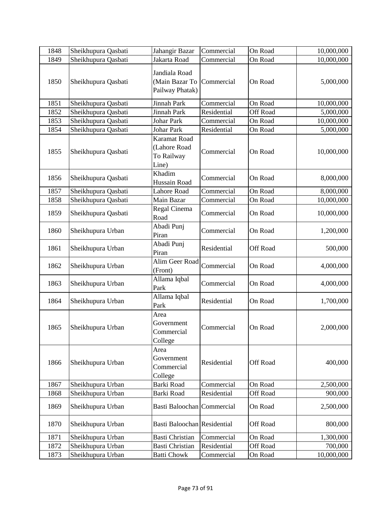| 1848 | Sheikhupura Qasbati | Jahangir Bazar                                             | Commercial  | On Road         | 10,000,000 |
|------|---------------------|------------------------------------------------------------|-------------|-----------------|------------|
| 1849 | Sheikhupura Qasbati | Jakarta Road                                               | Commercial  | On Road         | 10,000,000 |
| 1850 | Sheikhupura Qasbati | Jandiala Road<br>(Main Bazar To<br>Pailway Phatak)         | Commercial  | On Road         | 5,000,000  |
| 1851 | Sheikhupura Qasbati | Jinnah Park                                                | Commercial  | On Road         | 10,000,000 |
| 1852 | Sheikhupura Qasbati | Jinnah Park                                                | Residential | <b>Off Road</b> | 5,000,000  |
| 1853 | Sheikhupura Qasbati | <b>Johar Park</b>                                          | Commercial  | On Road         | 10,000,000 |
| 1854 | Sheikhupura Qasbati | <b>Johar Park</b>                                          | Residential | On Road         | 5,000,000  |
| 1855 | Sheikhupura Qasbati | <b>Karamat Road</b><br>(Lahore Road<br>To Railway<br>Line) | Commercial  | On Road         | 10,000,000 |
| 1856 | Sheikhupura Qasbati | Khadim<br>Hussain Road                                     | Commercial  | On Road         | 8,000,000  |
| 1857 | Sheikhupura Qasbati | <b>Lahore Road</b>                                         | Commercial  | On Road         | 8,000,000  |
| 1858 | Sheikhupura Qasbati | Main Bazar                                                 | Commercial  | On Road         | 10,000,000 |
| 1859 | Sheikhupura Qasbati | Regal Cinema<br>Road                                       | Commercial  | On Road         | 10,000,000 |
| 1860 | Sheikhupura Urban   | Abadi Punj<br>Piran                                        | Commercial  | On Road         | 1,200,000  |
| 1861 | Sheikhupura Urban   | Abadi Punj<br>Piran                                        | Residential | Off Road        | 500,000    |
| 1862 | Sheikhupura Urban   | Alim Geer Road<br>(Front)                                  | Commercial  | On Road         | 4,000,000  |
| 1863 | Sheikhupura Urban   | Allama Iqbal<br>Park                                       | Commercial  | On Road         | 4,000,000  |
| 1864 | Sheikhupura Urban   | Allama Iqbal<br>Park                                       | Residential | On Road         | 1,700,000  |
| 1865 | Sheikhupura Urban   | Area<br>Government<br>Commercial<br>College                | Commercial  | On Road         | 2,000,000  |
| 1866 | Sheikhupura Urban   | Area<br>Government<br>Commercial<br>College                | Residential | Off Road        | 400,000    |
| 1867 | Sheikhupura Urban   | <b>Barki Road</b>                                          | Commercial  | On Road         | 2,500,000  |
| 1868 | Sheikhupura Urban   | Barki Road                                                 | Residential | Off Road        | 900,000    |
| 1869 | Sheikhupura Urban   | Basti Baloochan Commercial                                 |             | On Road         | 2,500,000  |
| 1870 | Sheikhupura Urban   | Basti Baloochan Residential                                |             | Off Road        | 800,000    |
| 1871 | Sheikhupura Urban   | <b>Basti Christian</b>                                     | Commercial  | On Road         | 1,300,000  |
| 1872 | Sheikhupura Urban   | <b>Basti Christian</b>                                     | Residential | Off Road        | 700,000    |
| 1873 | Sheikhupura Urban   | <b>Batti Chowk</b>                                         | Commercial  | On Road         | 10,000,000 |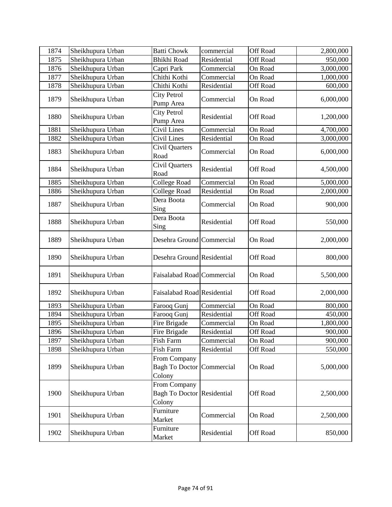| 1874 | Sheikhupura Urban | <b>Batti Chowk</b>                                          | commercial  | Off Road | 2,800,000 |
|------|-------------------|-------------------------------------------------------------|-------------|----------|-----------|
| 1875 | Sheikhupura Urban | <b>Bhikhi Road</b>                                          | Residential | Off Road | 950,000   |
| 1876 | Sheikhupura Urban | Capri Park                                                  | Commercial  | On Road  | 3,000,000 |
| 1877 | Sheikhupura Urban | Chithi Kothi                                                | Commercial  | On Road  | 1,000,000 |
| 1878 | Sheikhupura Urban | Chithi Kothi                                                | Residential | Off Road | 600,000   |
| 1879 | Sheikhupura Urban | City Petrol<br>Pump Area                                    | Commercial  | On Road  | 6,000,000 |
| 1880 | Sheikhupura Urban | <b>City Petrol</b><br>Pump Area                             | Residential | Off Road | 1,200,000 |
| 1881 | Sheikhupura Urban | Civil Lines                                                 | Commercial  | On Road  | 4,700,000 |
| 1882 | Sheikhupura Urban | Civil Lines                                                 | Residential | On Road  | 3,000,000 |
| 1883 | Sheikhupura Urban | Civil Quarters<br>Road                                      | Commercial  | On Road  | 6,000,000 |
| 1884 | Sheikhupura Urban | Civil Quarters<br>Road                                      | Residential | Off Road | 4,500,000 |
| 1885 | Sheikhupura Urban | <b>College Road</b>                                         | Commercial  | On Road  | 5,000,000 |
| 1886 | Sheikhupura Urban | <b>College Road</b>                                         | Residential | On Road  | 2,000,000 |
| 1887 | Sheikhupura Urban | Dera Boota<br>Sing                                          | Commercial  | On Road  | 900,000   |
| 1888 | Sheikhupura Urban | Dera Boota<br>Sing                                          | Residential | Off Road | 550,000   |
| 1889 | Sheikhupura Urban | Desehra Ground Commercial                                   |             | On Road  | 2,000,000 |
| 1890 | Sheikhupura Urban | Desehra Ground Residential                                  |             | Off Road | 800,000   |
| 1891 | Sheikhupura Urban | Faisalabad Road Commercial                                  |             | On Road  | 5,500,000 |
| 1892 | Sheikhupura Urban | Faisalabad Road Residential                                 |             | Off Road | 2,000,000 |
| 1893 | Sheikhupura Urban | Farooq Gunj                                                 | Commercial  | On Road  | 800,000   |
| 1894 | Sheikhupura Urban | Farooq Gunj                                                 | Residential | Off Road | 450,000   |
| 1895 | Sheikhupura Urban | Fire Brigade                                                | Commercial  | On Road  | 1,800,000 |
| 1896 | Sheikhupura Urban | Fire Brigade                                                | Residential | Off Road | 900,000   |
| 1897 | Sheikhupura Urban | Fish Farm                                                   | Commercial  | On Road  | 900,000   |
| 1898 | Sheikhupura Urban | Fish Farm                                                   | Residential | Off Road | 550,000   |
| 1899 | Sheikhupura Urban | From Company<br><b>Bagh To Doctor</b><br>Colony             | Commercial  | On Road  | 5,000,000 |
| 1900 | Sheikhupura Urban | From Company<br><b>Bagh To Doctor Residential</b><br>Colony |             | Off Road | 2,500,000 |
| 1901 | Sheikhupura Urban | Furniture<br>Market                                         | Commercial  | On Road  | 2,500,000 |
| 1902 | Sheikhupura Urban | Furniture<br>Market                                         | Residential | Off Road | 850,000   |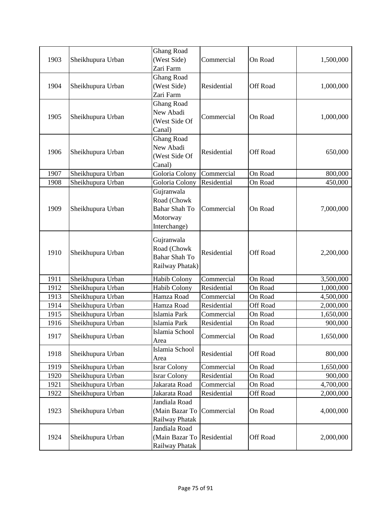|      |                   | <b>Ghang Road</b>          |             |                 |           |
|------|-------------------|----------------------------|-------------|-----------------|-----------|
| 1903 | Sheikhupura Urban | (West Side)                | Commercial  | On Road         | 1,500,000 |
|      |                   | Zari Farm                  |             |                 |           |
|      |                   | <b>Ghang Road</b>          |             |                 |           |
| 1904 | Sheikhupura Urban | (West Side)                | Residential | Off Road        | 1,000,000 |
|      |                   | Zari Farm                  |             |                 |           |
|      |                   | <b>Ghang Road</b>          |             |                 |           |
| 1905 | Sheikhupura Urban | New Abadi                  | Commercial  | On Road         | 1,000,000 |
|      |                   | (West Side Of              |             |                 |           |
|      |                   | Canal)                     |             |                 |           |
|      |                   | <b>Ghang Road</b>          |             |                 |           |
| 1906 | Sheikhupura Urban | New Abadi                  | Residential | Off Road        | 650,000   |
|      |                   | (West Side Of              |             |                 |           |
|      |                   | Canal)                     |             |                 |           |
| 1907 | Sheikhupura Urban | Goloria Colony             | Commercial  | On Road         | 800,000   |
| 1908 | Sheikhupura Urban | Goloria Colony             | Residential | On Road         | 450,000   |
|      |                   | Gujranwala                 |             |                 |           |
|      |                   | Road (Chowk                |             |                 |           |
| 1909 | Sheikhupura Urban | <b>Bahar Shah To</b>       | Commercial  | On Road         | 7,000,000 |
|      |                   | Motorway                   |             |                 |           |
|      |                   | Interchange)               |             |                 |           |
|      |                   | Gujranwala                 |             |                 |           |
|      |                   | Road (Chowk                |             |                 |           |
| 1910 | Sheikhupura Urban | <b>Bahar Shah To</b>       | Residential | <b>Off Road</b> | 2,200,000 |
|      |                   | Railway Phatak)            |             |                 |           |
|      |                   |                            |             |                 |           |
| 1911 | Sheikhupura Urban | <b>Habib Colony</b>        | Commercial  | On Road         | 3,500,000 |
| 1912 | Sheikhupura Urban | <b>Habib Colony</b>        | Residential | On Road         | 1,000,000 |
| 1913 | Sheikhupura Urban | Hamza Road                 | Commercial  | On Road         | 4,500,000 |
| 1914 | Sheikhupura Urban | Hamza Road                 | Residential | Off Road        | 2,000,000 |
| 1915 | Sheikhupura Urban | Islamia Park               | Commercial  | On Road         | 1,650,000 |
| 1916 | Sheikhupura Urban | Islamia Park               | Residential | On Road         | 900,000   |
| 1917 | Sheikhupura Urban | Islamia School             | Commercial  | On Road         | 1,650,000 |
|      |                   | Area                       |             |                 |           |
| 1918 | Sheikhupura Urban | Islamia School             | Residential | Off Road        | 800,000   |
|      |                   | Area                       |             |                 |           |
| 1919 | Sheikhupura Urban | <b>Israr Colony</b>        | Commercial  | On Road         | 1,650,000 |
| 1920 | Sheikhupura Urban | <b>Israr Colony</b>        | Residential | On Road         | 900,000   |
| 1921 | Sheikhupura Urban | Jakarata Road              | Commercial  | On Road         | 4,700,000 |
| 1922 | Sheikhupura Urban | Jakarata Road              | Residential | Off Road        | 2,000,000 |
|      |                   | Jandiala Road              |             |                 |           |
| 1923 | Sheikhupura Urban | (Main Bazar To             | Commercial  | On Road         | 4,000,000 |
|      |                   | Railway Phatak             |             |                 |           |
|      |                   | Jandiala Road              |             |                 |           |
| 1924 | Sheikhupura Urban | (Main Bazar To Residential |             | Off Road        | 2,000,000 |
|      |                   | Railway Phatak             |             |                 |           |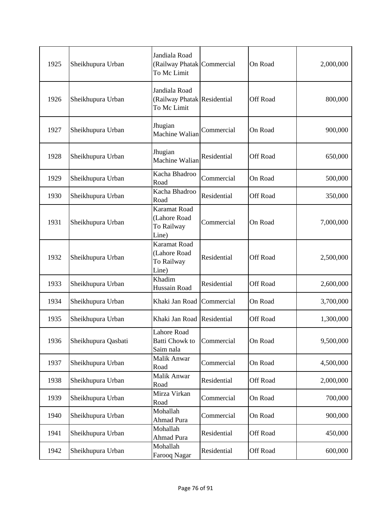| 1925 | Sheikhupura Urban   | Jandiala Road<br>(Railway Phatak Commercial<br>To Mc Limit  |             | On Road         | 2,000,000 |
|------|---------------------|-------------------------------------------------------------|-------------|-----------------|-----------|
| 1926 | Sheikhupura Urban   | Jandiala Road<br>(Railway Phatak Residential<br>To Mc Limit |             | Off Road        | 800,000   |
| 1927 | Sheikhupura Urban   | Jhugian<br>Machine Walian                                   | Commercial  | On Road         | 900,000   |
| 1928 | Sheikhupura Urban   | Jhugian<br>Machine Walian                                   | Residential | Off Road        | 650,000   |
| 1929 | Sheikhupura Urban   | Kacha Bhadroo<br>Road                                       | Commercial  | On Road         | 500,000   |
| 1930 | Sheikhupura Urban   | Kacha Bhadroo<br>Road                                       | Residential | Off Road        | 350,000   |
| 1931 | Sheikhupura Urban   | <b>Karamat Road</b><br>(Lahore Road<br>To Railway<br>Line)  | Commercial  | On Road         | 7,000,000 |
| 1932 | Sheikhupura Urban   | <b>Karamat Road</b><br>(Lahore Road<br>To Railway<br>Line)  | Residential | Off Road        | 2,500,000 |
| 1933 | Sheikhupura Urban   | Khadim<br>Hussain Road                                      | Residential | Off Road        | 2,600,000 |
| 1934 | Sheikhupura Urban   | Khaki Jan Road Commercial                                   |             | On Road         | 3,700,000 |
| 1935 | Sheikhupura Urban   | Khaki Jan Road Residential                                  |             | Off Road        | 1,300,000 |
| 1936 | Sheikhupura Qasbati | Lahore Road<br><b>Batti Chowk to</b><br>Saim nala           | Commercial  | On Road         | 9,500,000 |
| 1937 | Sheikhupura Urban   | Malik Anwar<br>Road                                         | Commercial  | On Road         | 4,500,000 |
| 1938 | Sheikhupura Urban   | Malik Anwar<br>Road                                         | Residential | <b>Off Road</b> | 2,000,000 |
| 1939 | Sheikhupura Urban   | Mirza Virkan<br>Road                                        | Commercial  | On Road         | 700,000   |
| 1940 | Sheikhupura Urban   | Mohallah<br>Ahmad Pura                                      | Commercial  | On Road         | 900,000   |
| 1941 | Sheikhupura Urban   | Mohallah<br>Ahmad Pura                                      | Residential | Off Road        | 450,000   |
| 1942 | Sheikhupura Urban   | Mohallah<br>Farooq Nagar                                    | Residential | Off Road        | 600,000   |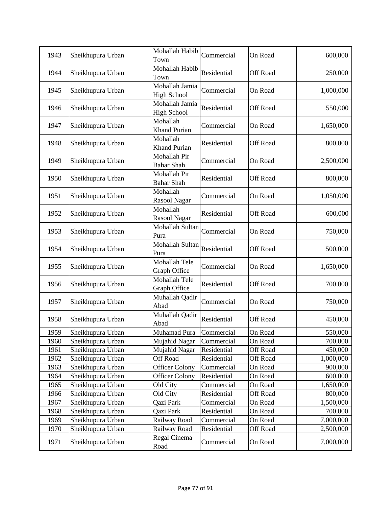| 1943 | Sheikhupura Urban | Mohallah Habib<br>Town               | Commercial  | On Road         | 600,000   |
|------|-------------------|--------------------------------------|-------------|-----------------|-----------|
| 1944 | Sheikhupura Urban | Mohallah Habib<br>Town               | Residential | <b>Off Road</b> | 250,000   |
| 1945 | Sheikhupura Urban | Mohallah Jamia<br><b>High School</b> | Commercial  | On Road         | 1,000,000 |
| 1946 | Sheikhupura Urban | Mohallah Jamia<br><b>High School</b> | Residential | Off Road        | 550,000   |
| 1947 | Sheikhupura Urban | Mohallah<br><b>Khand Purian</b>      | Commercial  | On Road         | 1,650,000 |
| 1948 | Sheikhupura Urban | Mohallah<br>Khand Purian             | Residential | Off Road        | 800,000   |
| 1949 | Sheikhupura Urban | Mohallah Pir<br><b>Bahar Shah</b>    | Commercial  | On Road         | 2,500,000 |
| 1950 | Sheikhupura Urban | Mohallah Pir<br><b>Bahar Shah</b>    | Residential | Off Road        | 800,000   |
| 1951 | Sheikhupura Urban | Mohallah<br>Rasool Nagar             | Commercial  | On Road         | 1,050,000 |
| 1952 | Sheikhupura Urban | Mohallah<br>Rasool Nagar             | Residential | Off Road        | 600,000   |
| 1953 | Sheikhupura Urban | Mohallah Sultan<br>Pura              | Commercial  | On Road         | 750,000   |
| 1954 | Sheikhupura Urban | Mohallah Sultan<br>Pura              | Residential | <b>Off Road</b> | 500,000   |
| 1955 | Sheikhupura Urban | Mohallah Tele<br>Graph Office        | Commercial  | On Road         | 1,650,000 |
| 1956 | Sheikhupura Urban | Mohallah Tele<br>Graph Office        | Residential | Off Road        | 700,000   |
| 1957 | Sheikhupura Urban | Muhallah Qadir<br>Abad               | Commercial  | On Road         | 750,000   |
| 1958 | Sheikhupura Urban | Muhallah Qadir<br>Abad               | Residential | Off Road        | 450,000   |
| 1959 | Sheikhupura Urban | Muhamad Pura                         | Commercial  | On Road         | 550,000   |
| 1960 | Sheikhupura Urban | Mujahid Nagar                        | Commercial  | On Road         | 700,000   |
| 1961 | Sheikhupura Urban | Mujahid Nagar                        | Residential | <b>Off Road</b> | 450,000   |
| 1962 | Sheikhupura Urban | Off Road                             | Residential | Off Road        | 1,000,000 |
| 1963 | Sheikhupura Urban | <b>Officer Colony</b>                | Commercial  | On Road         | 900,000   |
| 1964 | Sheikhupura Urban | <b>Officer Colony</b>                | Residential | On Road         | 600,000   |
| 1965 | Sheikhupura Urban | Old City                             | Commercial  | On Road         | 1,650,000 |
| 1966 | Sheikhupura Urban | Old City                             | Residential | <b>Off Road</b> | 800,000   |
| 1967 | Sheikhupura Urban | Qazi Park                            | Commercial  | On Road         | 1,500,000 |
| 1968 | Sheikhupura Urban | Qazi Park                            | Residential | On Road         | 700,000   |
| 1969 | Sheikhupura Urban | Railway Road                         | Commercial  | On Road         | 7,000,000 |
| 1970 | Sheikhupura Urban | Railway Road                         | Residential | <b>Off Road</b> | 2,500,000 |
| 1971 | Sheikhupura Urban | Regal Cinema<br>Road                 | Commercial  | On Road         | 7,000,000 |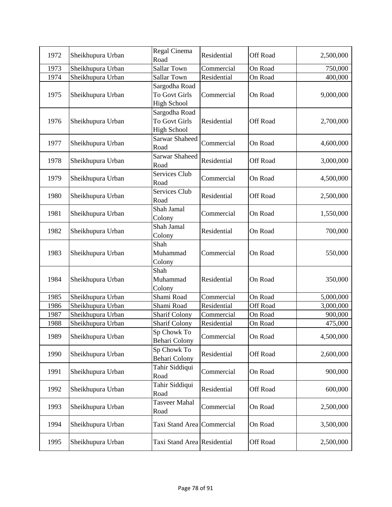| 1972 | Sheikhupura Urban | Regal Cinema<br>Road                                        | Residential | Off Road | 2,500,000 |
|------|-------------------|-------------------------------------------------------------|-------------|----------|-----------|
| 1973 | Sheikhupura Urban | <b>Sallar Town</b>                                          | Commercial  | On Road  | 750,000   |
| 1974 | Sheikhupura Urban | <b>Sallar Town</b>                                          | Residential | On Road  | 400,000   |
| 1975 | Sheikhupura Urban | Sargodha Road<br><b>To Govt Girls</b><br><b>High School</b> | Commercial  | On Road  | 9,000,000 |
| 1976 | Sheikhupura Urban | Sargodha Road<br>To Govt Girls<br><b>High School</b>        | Residential | Off Road | 2,700,000 |
| 1977 | Sheikhupura Urban | <b>Sarwar Shaheed</b><br>Road                               | Commercial  | On Road  | 4,600,000 |
| 1978 | Sheikhupura Urban | <b>Sarwar Shaheed</b><br>Road                               | Residential | Off Road | 3,000,000 |
| 1979 | Sheikhupura Urban | Services Club<br>Road                                       | Commercial  | On Road  | 4,500,000 |
| 1980 | Sheikhupura Urban | Services Club<br>Road                                       | Residential | Off Road | 2,500,000 |
| 1981 | Sheikhupura Urban | Shah Jamal<br>Colony                                        | Commercial  | On Road  | 1,550,000 |
| 1982 | Sheikhupura Urban | Shah Jamal<br>Colony                                        | Residential | On Road  | 700,000   |
| 1983 | Sheikhupura Urban | Shah<br>Muhammad<br>Colony                                  | Commercial  | On Road  | 550,000   |
| 1984 | Sheikhupura Urban | Shah<br>Muhammad<br>Colony                                  | Residential | On Road  | 350,000   |
| 1985 | Sheikhupura Urban | Shami Road                                                  | Commercial  | On Road  | 5,000,000 |
| 1986 | Sheikhupura Urban | Shami Road                                                  | Residential | Off Road | 3,000,000 |
| 1987 | Sheikhupura Urban | <b>Sharif Colony</b>                                        | Commercial  | On Road  | 900,000   |
| 1988 | Sheikhupura Urban | <b>Sharif Colony</b>                                        | Residential | On Road  | 475,000   |
| 1989 | Sheikhupura Urban | Sp Chowk To<br><b>Behari Colony</b>                         | Commercial  | On Road  | 4,500,000 |
| 1990 | Sheikhupura Urban | Sp Chowk To<br><b>Behari Colony</b>                         | Residential | Off Road | 2,600,000 |
| 1991 | Sheikhupura Urban | Tahir Siddiqui<br>Road                                      | Commercial  | On Road  | 900,000   |
| 1992 | Sheikhupura Urban | Tahir Siddiqui<br>Road                                      | Residential | Off Road | 600,000   |
| 1993 | Sheikhupura Urban | <b>Tasveer Mahal</b><br>Road                                | Commercial  | On Road  | 2,500,000 |
| 1994 | Sheikhupura Urban | Taxi Stand Area Commercial                                  |             | On Road  | 3,500,000 |
| 1995 | Sheikhupura Urban | Taxi Stand Area Residential                                 |             | Off Road | 2,500,000 |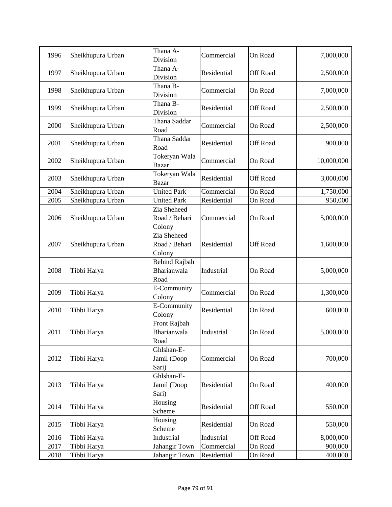| 1996 | Sheikhupura Urban | Thana A-<br>Division                   | Commercial  | On Road         | 7,000,000  |
|------|-------------------|----------------------------------------|-------------|-----------------|------------|
| 1997 | Sheikhupura Urban | Thana A-<br>Division                   | Residential | Off Road        | 2,500,000  |
| 1998 | Sheikhupura Urban | Thana B-<br>Division                   | Commercial  | On Road         | 7,000,000  |
| 1999 | Sheikhupura Urban | Thana B-<br>Division                   | Residential | Off Road        | 2,500,000  |
| 2000 | Sheikhupura Urban | Thana Saddar<br>Road                   | Commercial  | On Road         | 2,500,000  |
| 2001 | Sheikhupura Urban | Thana Saddar<br>Road                   | Residential | <b>Off Road</b> | 900,000    |
| 2002 | Sheikhupura Urban | Tokeryan Wala<br><b>Bazar</b>          | Commercial  | On Road         | 10,000,000 |
| 2003 | Sheikhupura Urban | Tokeryan Wala<br><b>Bazar</b>          | Residential | Off Road        | 3,000,000  |
| 2004 | Sheikhupura Urban | <b>United Park</b>                     | Commercial  | On Road         | 1,750,000  |
| 2005 | Sheikhupura Urban | <b>United Park</b>                     | Residential | On Road         | 950,000    |
| 2006 | Sheikhupura Urban | Zia Sheheed<br>Road / Behari<br>Colony | Commercial  | On Road         | 5,000,000  |
| 2007 | Sheikhupura Urban | Zia Sheheed<br>Road / Behari<br>Colony | Residential | Off Road        | 1,600,000  |
| 2008 | Tibbi Harya       | Behind Rajbah<br>Bharianwala<br>Road   | Industrial  | On Road         | 5,000,000  |
| 2009 | Tibbi Harya       | E-Community<br>Colony                  | Commercial  | On Road         | 1,300,000  |
| 2010 | Tibbi Harya       | E-Community<br>Colony                  | Residential | On Road         | 600,000    |
| 2011 | Tibbi Harya       | Front Rajbah<br>Bharianwala<br>Road    | Industrial  | On Road         | 5,000,000  |
| 2012 | Tibbi Harya       | Ghlshan-E-<br>Jamil (Doop<br>Sari)     | Commercial  | On Road         | 700,000    |
| 2013 | Tibbi Harya       | Ghlshan-E-<br>Jamil (Doop<br>Sari)     | Residential | On Road         | 400,000    |
| 2014 | Tibbi Harya       | Housing<br>Scheme                      | Residential | Off Road        | 550,000    |
| 2015 | Tibbi Harya       | Housing<br>Scheme                      | Residential | On Road         | 550,000    |
| 2016 | Tibbi Harya       | Industrial                             | Industrial  | Off Road        | 8,000,000  |
| 2017 | Tibbi Harya       | Jahangir Town                          | Commercial  | On Road         | 900,000    |
| 2018 | Tibbi Harya       | Jahangir Town                          | Residential | On Road         | 400,000    |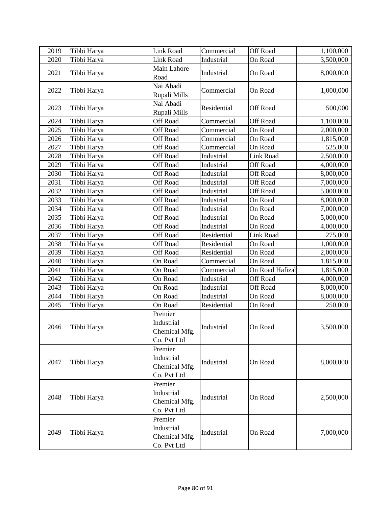| 2019 | Tibbi Harya | Link Road                                             | Commercial  | Off Road        | 1,100,000 |
|------|-------------|-------------------------------------------------------|-------------|-----------------|-----------|
| 2020 | Tibbi Harya | Link Road                                             | Industrial  | On Road         | 3,500,000 |
| 2021 | Tibbi Harya | Main Lahore<br>Road                                   | Industrial  | On Road         | 8,000,000 |
| 2022 | Tibbi Harya | Nai Abadi<br>Rupali Mills                             | Commercial  | On Road         | 1,000,000 |
| 2023 | Tibbi Harya | Nai Abadi<br>Rupali Mills                             | Residential | Off Road        | 500,000   |
| 2024 | Tibbi Harya | Off Road                                              | Commercial  | <b>Off Road</b> | 1,100,000 |
| 2025 | Tibbi Harya | <b>Off Road</b>                                       | Commercial  | On Road         | 2,000,000 |
| 2026 | Tibbi Harya | <b>Off Road</b>                                       | Commercial  | On Road         | 1,815,000 |
| 2027 | Tibbi Harya | <b>Off Road</b>                                       | Commercial  | On Road         | 525,000   |
| 2028 | Tibbi Harya | Off Road                                              | Industrial  | Link Road       | 2,500,000 |
| 2029 | Tibbi Harya | <b>Off Road</b>                                       | Industrial  | Off Road        | 4,000,000 |
| 2030 | Tibbi Harya | Off Road                                              | Industrial  | Off Road        | 8,000,000 |
| 2031 | Tibbi Harya | Off Road                                              | Industrial  | Off Road        | 7,000,000 |
| 2032 | Tibbi Harya | <b>Off Road</b>                                       | Industrial  | <b>Off Road</b> | 5,000,000 |
| 2033 | Tibbi Harya | <b>Off Road</b>                                       | Industrial  | On Road         | 8,000,000 |
| 2034 | Tibbi Harya | Off Road                                              | Industrial  | On Road         | 7,000,000 |
| 2035 | Tibbi Harya | Off Road                                              | Industrial  | On Road         | 5,000,000 |
| 2036 | Tibbi Harya | <b>Off Road</b>                                       | Industrial  | On Road         | 4,000,000 |
| 2037 | Tibbi Harya | Off Road                                              | Residential | Link Road       | 275,000   |
| 2038 | Tibbi Harya | Off Road                                              | Residential | On Road         | 1,000,000 |
| 2039 | Tibbi Harya | <b>Off Road</b>                                       | Residential | On Road         | 2,000,000 |
| 2040 | Tibbi Harya | On Road                                               | Commercial  | On Road         | 1,815,000 |
| 2041 | Tibbi Harya | On Road                                               | Commercial  | On Road Hafizal | 1,815,000 |
| 2042 | Tibbi Harya | On Road                                               | Industrial  | <b>Off Road</b> | 4,000,000 |
| 2043 | Tibbi Harya | On Road                                               | Industrial  | <b>Off Road</b> | 8,000,000 |
| 2044 | Tibbi Harya | On Road                                               | Industrial  | On Road         | 8,000,000 |
| 2045 | Tibbi Harya | On Road                                               | Residential | On Road         | 250,000   |
| 2046 | Tibbi Harya | Premier<br>Industrial<br>Chemical Mfg.<br>Co. Pvt Ltd | Industrial  | On Road         | 3,500,000 |
| 2047 | Tibbi Harya | Premier<br>Industrial<br>Chemical Mfg.<br>Co. Pvt Ltd | Industrial  | On Road         | 8,000,000 |
| 2048 | Tibbi Harya | Premier<br>Industrial<br>Chemical Mfg.<br>Co. Pvt Ltd | Industrial  | On Road         | 2,500,000 |
| 2049 | Tibbi Harya | Premier<br>Industrial<br>Chemical Mfg.<br>Co. Pvt Ltd | Industrial  | On Road         | 7,000,000 |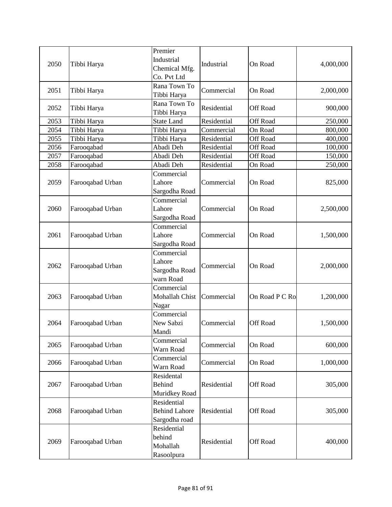| 2050 | Tibbi Harya      | Premier<br>Industrial<br>Chemical Mfg.<br>Co. Pvt Ltd | Industrial  | On Road         | 4,000,000 |
|------|------------------|-------------------------------------------------------|-------------|-----------------|-----------|
| 2051 | Tibbi Harya      | Rana Town To<br>Tibbi Harya                           | Commercial  | On Road         | 2,000,000 |
| 2052 | Tibbi Harya      | Rana Town To<br>Tibbi Harya                           | Residential | Off Road        | 900,000   |
| 2053 | Tibbi Harya      | <b>State Land</b>                                     | Residential | <b>Off Road</b> | 250,000   |
| 2054 | Tibbi Harya      | Tibbi Harya                                           | Commercial  | On Road         | 800,000   |
| 2055 | Tibbi Harya      | Tibbi Harya                                           | Residential | Off Road        | 400,000   |
| 2056 | Farooqabad       | Abadi Deh                                             | Residential | Off Road        | 100,000   |
| 2057 | Farooqabad       | Abadi Deh                                             | Residential | <b>Off Road</b> | 150,000   |
| 2058 | Farooqabad       | Abadi Deh                                             | Residential | On Road         | 250,000   |
| 2059 | Farooqabad Urban | Commercial<br>Lahore<br>Sargodha Road                 | Commercial  | On Road         | 825,000   |
| 2060 | Farooqabad Urban | Commercial<br>Lahore<br>Sargodha Road                 | Commercial  | On Road         | 2,500,000 |
| 2061 | Farooqabad Urban | Commercial<br>Lahore<br>Sargodha Road                 | Commercial  | On Road         | 1,500,000 |
| 2062 | Farooqabad Urban | Commercial<br>Lahore<br>Sargodha Road<br>warn Road    | Commercial  | On Road         | 2,000,000 |
| 2063 | Farooqabad Urban | Commercial<br>Mohallah Chist<br>Nagar                 | Commercial  | On Road P C Ro  | 1,200,000 |
| 2064 | Farooqabad Urban | Commercial<br>New Sabzi<br>Mandi                      | Commercial  | Off Road        | 1,500,000 |
| 2065 | Farooqabad Urban | Commercial<br>Warn Road                               | Commercial  | On Road         | 600,000   |
| 2066 | Farooqabad Urban | Commercial<br>Warn Road                               | Commercial  | On Road         | 1,000,000 |
| 2067 | Farooqabad Urban | Residental<br><b>Behind</b><br>Muridkey Road          | Residential | Off Road        | 305,000   |
| 2068 | Farooqabad Urban | Residential<br><b>Behind Lahore</b><br>Sargodha road  | Residential | Off Road        | 305,000   |
| 2069 | Farooqabad Urban | Residential<br>behind<br>Mohallah<br>Rasoolpura       | Residential | Off Road        | 400,000   |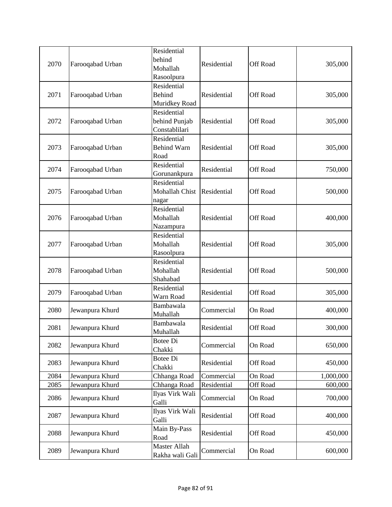| 2070 | Farooqabad Urban | Residential<br>behind<br>Mohallah<br>Rasoolpura | Residential | <b>Off Road</b> | 305,000   |
|------|------------------|-------------------------------------------------|-------------|-----------------|-----------|
| 2071 | Farooqabad Urban | Residential<br><b>Behind</b><br>Muridkey Road   | Residential | <b>Off Road</b> | 305,000   |
| 2072 | Farooqabad Urban | Residential<br>behind Punjab<br>Constablilari   | Residential | Off Road        | 305,000   |
| 2073 | Farooqabad Urban | Residential<br><b>Behind Warn</b><br>Road       | Residential | <b>Off Road</b> | 305,000   |
| 2074 | Farooqabad Urban | Residential<br>Gorunankpura                     | Residential | Off Road        | 750,000   |
| 2075 | Farooqabad Urban | Residential<br>Mohallah Chist<br>nagar          | Residential | Off Road        | 500,000   |
| 2076 | Farooqabad Urban | Residential<br>Mohallah<br>Nazampura            | Residential | <b>Off Road</b> | 400,000   |
| 2077 | Farooqabad Urban | Residential<br>Mohallah<br>Rasoolpura           | Residential | Off Road        | 305,000   |
| 2078 | Farooqabad Urban | Residential<br>Mohallah<br>Shahabad             | Residential | <b>Off Road</b> | 500,000   |
| 2079 | Farooqabad Urban | Residential<br>Warn Road                        | Residential | Off Road        | 305,000   |
| 2080 | Jewanpura Khurd  | Bambawala<br>Muhallah                           | Commercial  | On Road         | 400,000   |
| 2081 | Jewanpura Khurd  | Bambawala<br>Muhallah                           | Residential | <b>Off Road</b> | 300,000   |
| 2082 | Jewanpura Khurd  | Botee Di<br>Chakki                              | Commercial  | On Road         | 650,000   |
| 2083 | Jewanpura Khurd  | <b>Botee Di</b><br>Chakki                       | Residential | <b>Off Road</b> | 450,000   |
| 2084 | Jewanpura Khurd  | Chhanga Road                                    | Commercial  | On Road         | 1,000,000 |
| 2085 | Jewanpura Khurd  | Chhanga Road                                    | Residential | Off Road        | 600,000   |
| 2086 | Jewanpura Khurd  | Ilyas Virk Wali<br>Galli                        | Commercial  | On Road         | 700,000   |
| 2087 | Jewanpura Khurd  | Ilyas Virk Wali<br>Galli                        | Residential | Off Road        | 400,000   |
| 2088 | Jewanpura Khurd  | Main By-Pass<br>Road                            | Residential | Off Road        | 450,000   |
| 2089 | Jewanpura Khurd  | Master Allah<br>Rakha wali Gali                 | Commercial  | On Road         | 600,000   |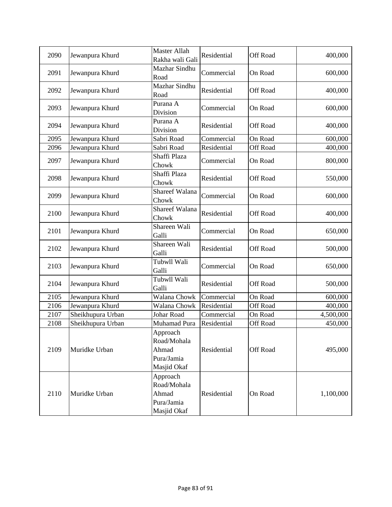| 2090 | Jewanpura Khurd   | Master Allah<br>Rakha wali Gali                               | Residential | Off Road        | 400,000   |
|------|-------------------|---------------------------------------------------------------|-------------|-----------------|-----------|
| 2091 | Jewanpura Khurd   | Mazhar Sindhu<br>Road                                         | Commercial  | On Road         | 600,000   |
| 2092 | Jewanpura Khurd   | Mazhar Sindhu<br>Road                                         | Residential | Off Road        | 400,000   |
| 2093 | Jewanpura Khurd   | Purana A<br>Division                                          | Commercial  | On Road         | 600,000   |
| 2094 | Jewanpura Khurd   | Purana A<br>Division                                          | Residential | Off Road        | 400,000   |
| 2095 | Jewanpura Khurd   | Sabri Road                                                    | Commercial  | On Road         | 600,000   |
| 2096 | Jewanpura Khurd   | Sabri Road                                                    | Residential | Off Road        | 400,000   |
| 2097 | Jewanpura Khurd   | Shaffi Plaza<br>Chowk                                         | Commercial  | On Road         | 800,000   |
| 2098 | Jewanpura Khurd   | Shaffi Plaza<br>Chowk                                         | Residential | Off Road        | 550,000   |
| 2099 | Jewanpura Khurd   | Shareef Walana<br>Chowk                                       | Commercial  | On Road         | 600,000   |
| 2100 | Jewanpura Khurd   | Shareef Walana<br>Chowk                                       | Residential | Off Road        | 400,000   |
| 2101 | Jewanpura Khurd   | Shareen Wali<br>Galli                                         | Commercial  | On Road         | 650,000   |
| 2102 | Jewanpura Khurd   | Shareen Wali<br>Galli                                         | Residential | Off Road        | 500,000   |
| 2103 | Jewanpura Khurd   | Tubwll Wali<br>Galli                                          | Commercial  | On Road         | 650,000   |
| 2104 | Jewanpura Khurd   | Tubwll Wali<br>Galli                                          | Residential | Off Road        | 500,000   |
| 2105 | Jewanpura Khurd   | Walana Chowk                                                  | Commercial  | On Road         | 600,000   |
| 2106 | Jewanpura Khurd   | Walana Chowk                                                  | Residential | <b>Off Road</b> | 400,000   |
| 2107 | Sheikhupura Urban | Johar Road                                                    | Commercial  | On Road         | 4,500,000 |
| 2108 | Sheikhupura Urban | Muhamad Pura                                                  | Residential | Off Road        | 450,000   |
| 2109 | Muridke Urban     | Approach<br>Road/Mohala<br>Ahmad<br>Pura/Jamia<br>Masjid Okaf | Residential | <b>Off Road</b> | 495,000   |
| 2110 | Muridke Urban     | Approach<br>Road/Mohala<br>Ahmad<br>Pura/Jamia<br>Masjid Okaf | Residential | On Road         | 1,100,000 |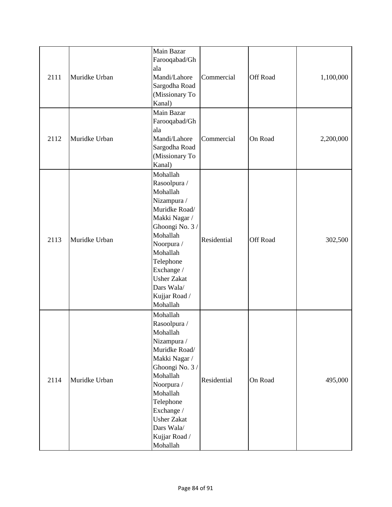| 2111 | Muridke Urban | Main Bazar<br>Farooqabad/Gh<br>ala<br>Mandi/Lahore<br>Sargodha Road<br>(Missionary To<br>Kanal)                                                                                                                                            | Commercial  | <b>Off Road</b> | 1,100,000 |
|------|---------------|--------------------------------------------------------------------------------------------------------------------------------------------------------------------------------------------------------------------------------------------|-------------|-----------------|-----------|
| 2112 | Muridke Urban | Main Bazar<br>Farooqabad/Gh<br>ala<br>Mandi/Lahore<br>Sargodha Road<br>(Missionary To<br>Kanal)                                                                                                                                            | Commercial  | On Road         | 2,200,000 |
| 2113 | Muridke Urban | Mohallah<br>Rasoolpura /<br>Mohallah<br>Nizampura /<br>Muridke Road/<br>Makki Nagar /<br>Ghoongi No. 3/<br>Mohallah<br>Noorpura /<br>Mohallah<br>Telephone<br>Exchange /<br><b>Usher Zakat</b><br>Dars Wala/<br>Kujjar Road /<br>Mohallah  | Residential | Off Road        | 302,500   |
| 2114 | Muridke Urban | Mohallah<br>Rasoolpura /<br>Mohallah<br>Nizampura /<br>Muridke Road/<br>Makki Nagar /<br>Ghoongi No. 3 /<br>Mohallah<br>Noorpura /<br>Mohallah<br>Telephone<br>Exchange /<br><b>Usher Zakat</b><br>Dars Wala/<br>Kujjar Road /<br>Mohallah | Residential | On Road         | 495,000   |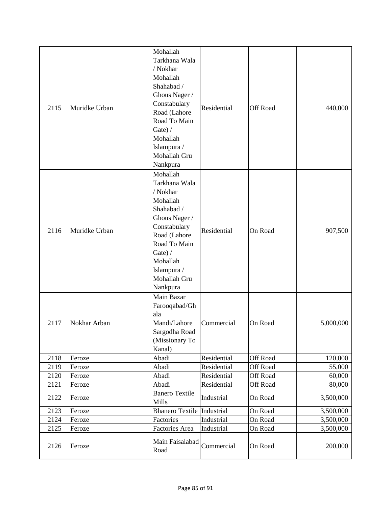| 2115         | Muridke Urban    | Mohallah<br>Tarkhana Wala<br>/ Nokhar<br>Mohallah<br>Shahabad /<br>Ghous Nager /<br>Constabulary<br>Road (Lahore<br>Road To Main<br>Gate) $/$<br>Mohallah<br>Islampura /<br>Mohallah Gru<br>Nankpura | Residential                | Off Road                    | 440,000          |
|--------------|------------------|------------------------------------------------------------------------------------------------------------------------------------------------------------------------------------------------------|----------------------------|-----------------------------|------------------|
| 2116         | Muridke Urban    | Mohallah<br>Tarkhana Wala<br>/ Nokhar<br>Mohallah<br>Shahabad /<br>Ghous Nager /<br>Constabulary<br>Road (Lahore<br>Road To Main<br>Gate) $/$<br>Mohallah<br>Islampura /<br>Mohallah Gru<br>Nankpura | Residential                | On Road                     | 907,500          |
| 2117         | Nokhar Arban     | Main Bazar<br>Farooqabad/Gh<br>ala<br>Mandi/Lahore<br>Sargodha Road<br>(Missionary To<br>Kanal)                                                                                                      | Commercial                 | On Road                     | 5,000,000        |
| 2118         | Feroze           | Abadi                                                                                                                                                                                                | Residential                | Off Road                    | 120,000          |
| 2119         | Feroze           | Abadi<br>Abadi                                                                                                                                                                                       | Residential<br>Residential | Off Road                    | 55,000           |
| 2120<br>2121 | Feroze<br>Feroze | Abadi                                                                                                                                                                                                | Residential                | <b>Off Road</b><br>Off Road | 60,000<br>80,000 |
| 2122         | Feroze           | <b>Banero Textile</b><br>Mills                                                                                                                                                                       | Industrial                 | On Road                     | 3,500,000        |
| 2123         | Feroze           | <b>Bhanero Textile Industrial</b>                                                                                                                                                                    |                            | On Road                     | 3,500,000        |
| 2124         | Feroze           | Factories                                                                                                                                                                                            | Industrial                 | On Road                     | 3,500,000        |
| 2125         | Feroze           | Factories Area                                                                                                                                                                                       | Industrial                 | On Road                     | 3,500,000        |
| 2126         | Feroze           | Main Faisalabad<br>Road                                                                                                                                                                              | Commercial                 | On Road                     | 200,000          |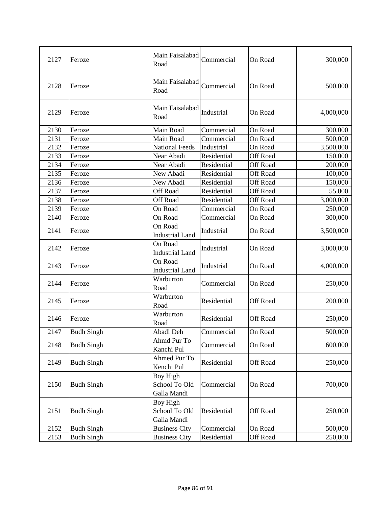| 2127 | Feroze            | Main Faisalabad<br>Road                  | Commercial  | On Road         | 300,000   |
|------|-------------------|------------------------------------------|-------------|-----------------|-----------|
| 2128 | Feroze            | Main Faisalabad<br>Road                  | Commercial  | On Road         | 500,000   |
| 2129 | Feroze            | Main Faisalabad<br>Road                  | Industrial  | On Road         | 4,000,000 |
| 2130 | Feroze            | Main Road                                | Commercial  | On Road         | 300,000   |
| 2131 | Feroze            | Main Road                                | Commercial  | On Road         | 500,000   |
| 2132 | Feroze            | <b>National Feeds</b>                    | Industrial  | On Road         | 3,500,000 |
| 2133 | Feroze            | Near Abadi                               | Residential | Off Road        | 150,000   |
| 2134 | Feroze            | Near Abadi                               | Residential | Off Road        | 200,000   |
| 2135 | Feroze            | New Abadi                                | Residential | Off Road        | 100,000   |
| 2136 | Feroze            | New Abadi                                | Residential | Off Road        | 150,000   |
| 2137 | Feroze            | <b>Off Road</b>                          | Residential | <b>Off Road</b> | 55,000    |
| 2138 | Feroze            | <b>Off Road</b>                          | Residential | Off Road        | 3,000,000 |
| 2139 | Feroze            | On Road                                  | Commercial  | On Road         | 250,000   |
| 2140 | Feroze            | On Road                                  | Commercial  | On Road         | 300,000   |
| 2141 | Feroze            | On Road<br><b>Industrial Land</b>        | Industrial  | On Road         | 3,500,000 |
| 2142 | Feroze            | On Road<br><b>Industrial Land</b>        | Industrial  | On Road         | 3,000,000 |
| 2143 | Feroze            | On Road<br><b>Industrial Land</b>        | Industrial  | On Road         | 4,000,000 |
| 2144 | Feroze            | Warburton<br>Road                        | Commercial  | On Road         | 250,000   |
| 2145 | Feroze            | Warburton<br>Road                        | Residential | Off Road        | 200,000   |
| 2146 | Feroze            | Warburton<br>Road                        | Residential | Off Road        | 250,000   |
| 2147 | <b>Budh Singh</b> | Abadi Deh                                | Commercial  | On Road         | 500,000   |
| 2148 | <b>Budh Singh</b> | Ahmd Pur To<br>Kanchi Pul                | Commercial  | On Road         | 600,000   |
| 2149 | <b>Budh Singh</b> | Ahmed Pur To<br>Kenchi Pul               | Residential | Off Road        | 250,000   |
| 2150 | <b>Budh Singh</b> | Boy High<br>School To Old<br>Galla Mandi | Commercial  | On Road         | 700,000   |
| 2151 | <b>Budh Singh</b> | Boy High<br>School To Old<br>Galla Mandi | Residential | Off Road        | 250,000   |
| 2152 | <b>Budh Singh</b> | <b>Business City</b>                     | Commercial  | On Road         | 500,000   |
| 2153 | <b>Budh Singh</b> | <b>Business City</b>                     | Residential | Off Road        | 250,000   |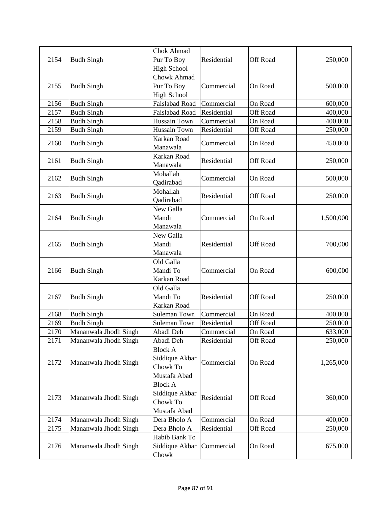|      |                       | <b>Chok Ahmad</b>  |             |                 |           |
|------|-----------------------|--------------------|-------------|-----------------|-----------|
| 2154 | <b>Budh Singh</b>     | Pur To Boy         | Residential | Off Road        | 250,000   |
|      |                       | <b>High School</b> |             |                 |           |
|      |                       | <b>Chowk Ahmad</b> |             |                 |           |
| 2155 | <b>Budh Singh</b>     | Pur To Boy         | Commercial  | On Road         | 500,000   |
|      |                       | <b>High School</b> |             |                 |           |
| 2156 | <b>Budh Singh</b>     | Faislabad Road     | Commercial  | On Road         | 600,000   |
| 2157 | <b>Budh Singh</b>     | Faislabad Road     | Residential | Off Road        | 400,000   |
| 2158 | <b>Budh Singh</b>     | Hussain Town       | Commercial  | On Road         | 400,000   |
| 2159 | <b>Budh Singh</b>     | Hussain Town       | Residential | Off Road        | 250,000   |
|      |                       | Karkan Road        |             |                 |           |
| 2160 | <b>Budh Singh</b>     | Manawala           | Commercial  | On Road         | 450,000   |
|      |                       | Karkan Road        |             |                 |           |
| 2161 | <b>Budh Singh</b>     | Manawala           | Residential | Off Road        | 250,000   |
|      |                       | Mohallah           | Commercial  | On Road         |           |
| 2162 | <b>Budh Singh</b>     | Qadirabad          |             |                 | 500,000   |
|      |                       | Mohallah           | Residential | Off Road        | 250,000   |
| 2163 | <b>Budh Singh</b>     | Qadirabad          |             |                 |           |
|      |                       | New Galla          |             |                 |           |
| 2164 | <b>Budh Singh</b>     | Mandi              | Commercial  | On Road         | 1,500,000 |
|      |                       | Manawala           |             |                 |           |
|      |                       | New Galla          |             |                 |           |
| 2165 | <b>Budh Singh</b>     | Mandi              | Residential | Off Road        | 700,000   |
|      |                       | Manawala           |             |                 |           |
|      |                       | Old Galla          |             |                 |           |
| 2166 | <b>Budh Singh</b>     | Mandi To           | Commercial  | On Road         | 600,000   |
|      |                       | Karkan Road        |             |                 |           |
|      | <b>Budh Singh</b>     | Old Galla          |             |                 | 250,000   |
| 2167 |                       | Mandi To           | Residential | <b>Off Road</b> |           |
|      |                       | Karkan Road        |             |                 |           |
| 2168 | <b>Budh Singh</b>     | Suleman Town       | Commercial  | On Road         | 400,000   |
| 2169 | <b>Budh Singh</b>     | Suleman Town       | Residential | Off Road        | 250,000   |
| 2170 | Mananwala Jhodh Singh | Abadi Deh          | Commercial  | On Road         | 633,000   |
| 2171 | Mananwala Jhodh Singh | Abadi Deh          | Residential | Off Road        | 250,000   |
|      |                       | <b>Block A</b>     |             |                 |           |
|      |                       | Siddique Akbar     |             |                 |           |
| 2172 | Mananwala Jhodh Singh | Chowk To           | Commercial  | On Road         | 1,265,000 |
|      |                       | Mustafa Abad       |             |                 |           |
|      |                       | <b>Block A</b>     |             |                 |           |
|      |                       | Siddique Akbar     |             |                 |           |
| 2173 | Mananwala Jhodh Singh | Chowk To           | Residential | Off Road        | 360,000   |
|      |                       | Mustafa Abad       |             |                 |           |
| 2174 | Mananwala Jhodh Singh | Dera Bholo A       | Commercial  | On Road         | 400,000   |
| 2175 | Mananwala Jhodh Singh | Dera Bholo A       | Residential | Off Road        | 250,000   |
|      |                       | Habib Bank To      |             |                 |           |
| 2176 | Mananwala Jhodh Singh | Siddique Akbar     | Commercial  | On Road         | 675,000   |
|      |                       | Chowk              |             |                 |           |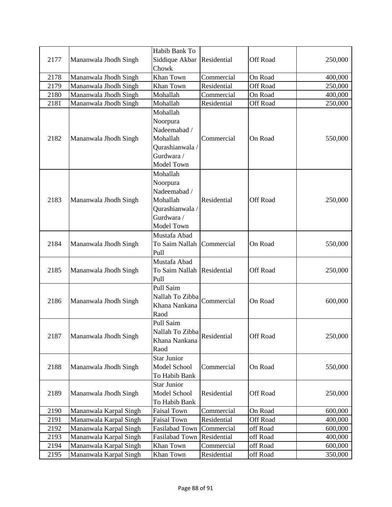|      |                        | Habib Bank To                       |             |                 |         |
|------|------------------------|-------------------------------------|-------------|-----------------|---------|
| 2177 | Mananwala Jhodh Singh  | Siddique Akbar                      | Residential | Off Road        | 250,000 |
|      |                        | Chowk                               |             |                 |         |
| 2178 | Mananwala Jhodh Singh  | Khan Town                           | Commercial  | On Road         | 400,000 |
| 2179 | Mananwala Jhodh Singh  | Khan Town                           | Residential | <b>Off Road</b> | 250,000 |
| 2180 | Mananwala Jhodh Singh  | Mohallah                            | Commercial  | On Road         | 400,000 |
| 2181 | Mananwala Jhodh Singh  | Mohallah                            | Residential | Off Road        | 250,000 |
|      |                        | Mohallah                            |             |                 |         |
|      |                        | Noorpura                            |             |                 |         |
|      |                        | Nadeemabad /                        |             |                 |         |
| 2182 | Mananwala Jhodh Singh  | Mohallah                            | Commercial  | On Road         | 550,000 |
|      |                        | Qurashianwala /                     |             |                 |         |
|      |                        | Gurdwara /                          |             |                 |         |
|      |                        | Model Town                          |             |                 |         |
|      |                        | Mohallah                            |             |                 |         |
|      |                        | Noorpura                            |             |                 |         |
|      |                        | Nadeemabad /                        |             |                 |         |
| 2183 | Mananwala Jhodh Singh  | Mohallah                            | Residential | Off Road        | 250,000 |
|      |                        | Qurashianwala /                     |             |                 |         |
|      |                        | Gurdwara /                          |             |                 |         |
|      |                        | Model Town                          |             |                 |         |
|      |                        | Mustafa Abad                        |             |                 |         |
| 2184 | Mananwala Jhodh Singh  | To Saim Nallah                      | Commercial  | On Road         | 550,000 |
|      |                        | Pull                                |             |                 |         |
|      | Mananwala Jhodh Singh  | Mustafa Abad                        |             | Off Road        | 250,000 |
| 2185 |                        | To Saim Nallah                      | Residential |                 |         |
|      |                        | Pull                                |             |                 |         |
|      | Mananwala Jhodh Singh  | Pull Saim                           |             | On Road         |         |
| 2186 |                        | Nallah To Zibba                     | Commercial  |                 | 600,000 |
|      |                        | Khana Nankana                       |             |                 |         |
|      |                        | Raod                                |             |                 |         |
|      |                        | Pull Saim                           |             |                 |         |
| 2187 | Mananwala Jhodh Singh  | Nallah To Zibba                     | Residential | Off Road        | 250,000 |
|      |                        | Khana Nankana                       |             |                 |         |
|      |                        | Raod                                |             |                 |         |
|      |                        | <b>Star Junior</b>                  |             |                 |         |
| 2188 | Mananwala Jhodh Singh  | Model School                        | Commercial  | On Road         | 550,000 |
|      |                        | To Habib Bank<br><b>Star Junior</b> |             |                 |         |
| 2189 |                        | Model School                        | Residential | Off Road        | 250,000 |
|      | Mananwala Jhodh Singh  | To Habib Bank                       |             |                 |         |
| 2190 | Mananwala Karpal Singh | <b>Faisal Town</b>                  | Commercial  | On Road         | 600,000 |
| 2191 | Mananwala Karpal Singh | <b>Faisal Town</b>                  | Residential | Off Road        | 400,000 |
| 2192 | Mananwala Karpal Singh | Fasilabad Town                      | Commercial  | off Road        | 600,000 |
| 2193 | Mananwala Karpal Singh | Fasilabad Town                      | Residential | off Road        | 400,000 |
| 2194 | Mananwala Karpal Singh | Khan Town                           | Commercial  | off Road        | 600,000 |
| 2195 | Mananwala Karpal Singh | Khan Town                           | Residential | off Road        | 350,000 |
|      |                        |                                     |             |                 |         |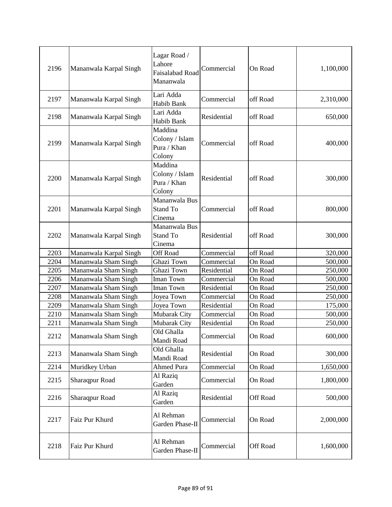| 2196 | Mananwala Karpal Singh | Lagar Road /<br>Lahore<br>Faisalabad Road<br>Mananwala | Commercial  | On Road  | 1,100,000 |
|------|------------------------|--------------------------------------------------------|-------------|----------|-----------|
| 2197 | Mananwala Karpal Singh | Lari Adda<br>Habib Bank                                | Commercial  | off Road | 2,310,000 |
| 2198 | Mananwala Karpal Singh | Lari Adda<br>Habib Bank                                | Residential | off Road | 650,000   |
| 2199 | Mananwala Karpal Singh | Maddina<br>Colony / Islam<br>Pura / Khan<br>Colony     | Commercial  | off Road | 400,000   |
| 2200 | Mananwala Karpal Singh | Maddina<br>Colony / Islam<br>Pura / Khan<br>Colony     | Residential | off Road | 300,000   |
| 2201 | Mananwala Karpal Singh | Mananwala Bus<br>Stand To<br>Cinema                    | Commercial  | off Road | 800,000   |
| 2202 | Mananwala Karpal Singh | Mananwala Bus<br>Stand To<br>Cinema                    | Residential | off Road | 300,000   |
| 2203 | Mananwala Karpal Singh | Off Road                                               | Commercial  | off Road | 320,000   |
| 2204 | Mananwala Sham Singh   | Ghazi Town                                             | Commercial  | On Road  | 500,000   |
| 2205 | Mananwala Sham Singh   | Ghazi Town                                             | Residential | On Road  | 250,000   |
| 2206 | Mananwala Sham Singh   | Iman Town                                              | Commercial  | On Road  | 500,000   |
| 2207 | Mananwala Sham Singh   | Iman Town                                              | Residential | On Road  | 250,000   |
| 2208 | Mananwala Sham Singh   | Joyea Town                                             | Commercial  | On Road  | 250,000   |
| 2209 | Mananwala Sham Singh   | Joyea Town                                             | Residential | On Road  | 175,000   |
| 2210 | Mananwala Sham Singh   | Mubarak City                                           | Commercial  | On Road  | 500,000   |
| 2211 | Mananwala Sham Singh   | Mubarak City                                           | Residential | On Road  | 250,000   |
| 2212 | Mananwala Sham Singh   | Old Ghalla<br>Mandi Road                               | Commercial  | On Road  | 600,000   |
| 2213 | Mananwala Sham Singh   | Old Ghalla<br>Mandi Road                               | Residential | On Road  | 300,000   |
| 2214 | Muridkey Urban         | Ahmed Pura                                             | Commercial  | On Road  | 1,650,000 |
| 2215 | Sharaqpur Road         | Al Raziq<br>Garden                                     | Commercial  | On Road  | 1,800,000 |
| 2216 | Sharaqpur Road         | Al Raziq<br>Garden                                     | Residential | Off Road | 500,000   |
| 2217 | Faiz Pur Khurd         | Al Rehman<br>Garden Phase-II                           | Commercial  | On Road  | 2,000,000 |
| 2218 | Faiz Pur Khurd         | Al Rehman<br>Garden Phase-II                           | Commercial  | Off Road | 1,600,000 |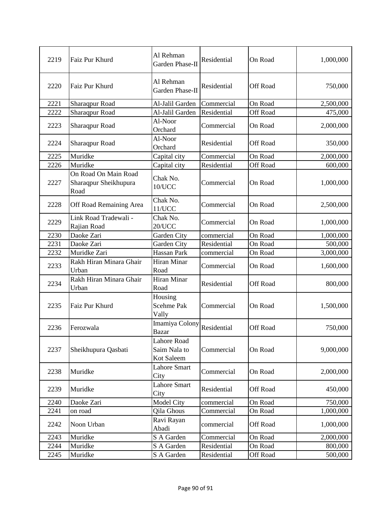| 2219 | Faiz Pur Khurd                                        | Al Rehman<br>Garden Phase-II              | Residential | On Road         | 1,000,000 |
|------|-------------------------------------------------------|-------------------------------------------|-------------|-----------------|-----------|
| 2220 | Faiz Pur Khurd                                        | Al Rehman<br>Garden Phase-II              | Residential | Off Road        | 750,000   |
| 2221 | Sharaqpur Road                                        | Al-Jalil Garden                           | Commercial  | On Road         | 2,500,000 |
| 2222 | Sharaqpur Road                                        | Al-Jalil Garden                           | Residential | <b>Off Road</b> | 475,000   |
| 2223 | Sharaqpur Road                                        | Al-Noor<br>Orchard                        | Commercial  | On Road         | 2,000,000 |
| 2224 | <b>Sharaqpur Road</b>                                 | Al-Noor<br>Orchard                        | Residential | Off Road        | 350,000   |
| 2225 | Muridke                                               | Capital city                              | Commercial  | On Road         | 2,000,000 |
| 2226 | Muridke                                               | Capital city                              | Residential | <b>Off Road</b> | 600,000   |
| 2227 | On Road On Main Road<br>Sharaqpur Sheikhupura<br>Road | Chak No.<br>10/UCC                        | Commercial  | On Road         | 1,000,000 |
| 2228 | Off Road Remaining Area                               | Chak No.<br>11/UCC                        | Commercial  | On Road         | 2,500,000 |
| 2229 | Link Road Tradewali -<br>Rajian Road                  | Chak No.<br>20/UCC                        | Commercial  | On Road         | 1,000,000 |
| 2230 | Daoke Zari                                            | Garden City                               | commercial  | On Road         | 1,000,000 |
| 2231 | Daoke Zari                                            | Garden City                               | Residential | On Road         | 500,000   |
| 2232 | Muridke Zari                                          | Hassan Park                               | commercial  | On Road         | 3,000,000 |
| 2233 | Rakh Hiran Minara Ghair<br>Urban                      | Hiran Minar<br>Road                       | Commercial  | On Road         | 1,600,000 |
| 2234 | Rakh Hiran Minara Ghair<br>Urban                      | Hiran Minar<br>Road                       | Residential | Off Road        | 800,000   |
| 2235 | Faiz Pur Khurd                                        | Housing<br>Scehme Pak<br>Vally            | Commercial  | On Road         | 1,500,000 |
| 2236 | Ferozwala                                             | Imamiya Colony<br><b>Bazar</b>            | Residential | Off Road        | 750,000   |
| 2237 | Sheikhupura Qasbati                                   | Lahore Road<br>Saim Nala to<br>Kot Saleem | Commercial  | On Road         | 9,000,000 |
| 2238 | Muridke                                               | <b>Lahore Smart</b><br>City               | Commercial  | On Road         | 2,000,000 |
| 2239 | Muridke                                               | <b>Lahore Smart</b><br>City               | Residential | Off Road        | 450,000   |
| 2240 | Daoke Zari                                            | <b>Model City</b>                         | commercial  | On Road         | 750,000   |
| 2241 | on road                                               | Qila Ghous                                | Commercial  | On Road         | 1,000,000 |
| 2242 | Noon Urban                                            | Ravi Rayan<br>Abadi                       | commercial  | Off Road        | 1,000,000 |
| 2243 | Muridke                                               | S A Garden                                | Commercial  | On Road         | 2,000,000 |
| 2244 | Muridke                                               | S A Garden                                | Residential | On Road         | 800,000   |
| 2245 | Muridke                                               | S A Garden                                | Residential | Off Road        | 500,000   |